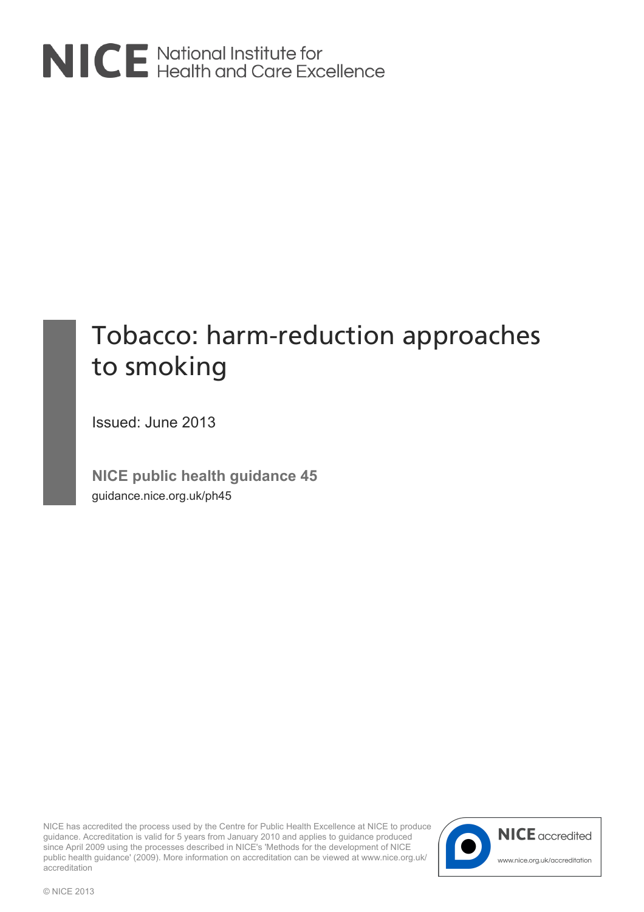

# Tobacco: harm-reduction approaches to smoking

Issued: June 2013

**NICE public health guidance 45** guidance.nice.org.uk/ph45

NICE has accredited the process used by the Centre for Public Health Excellence at NICE to produce guidance. Accreditation is valid for 5 years from January 2010 and applies to guidance produced since April 2009 using the processes described in NICE's 'Methods for the development of NICE public health guidance' (2009). More information on accreditation can be viewed at www.nice.org.uk/ accreditation

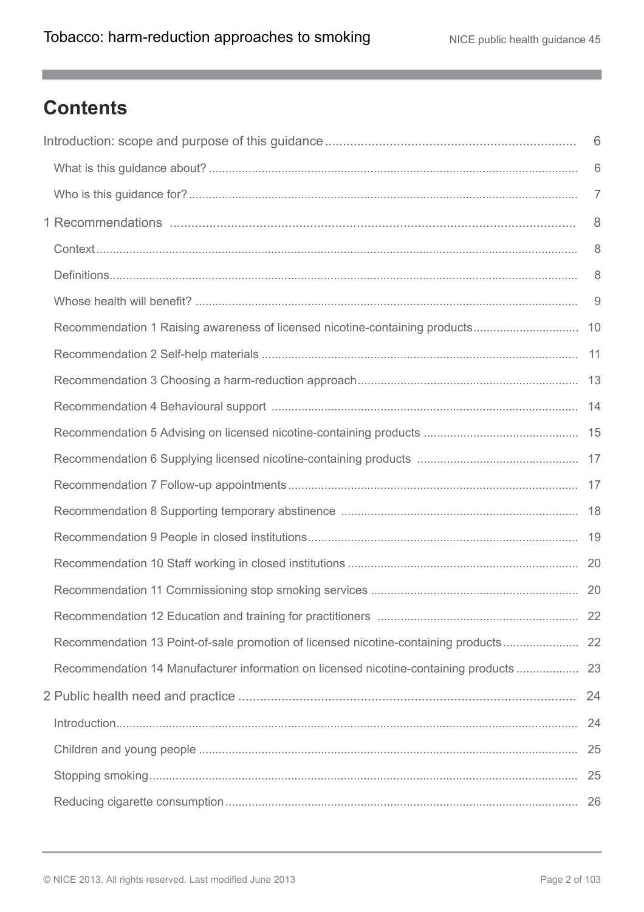m.

## **Contents**

|                                                                                         | 6              |
|-----------------------------------------------------------------------------------------|----------------|
|                                                                                         | 6              |
|                                                                                         | $\overline{7}$ |
|                                                                                         | 8              |
|                                                                                         | 8              |
|                                                                                         | 8              |
|                                                                                         | 9              |
| Recommendation 1 Raising awareness of licensed nicotine-containing products 10          |                |
|                                                                                         |                |
|                                                                                         |                |
|                                                                                         |                |
|                                                                                         |                |
|                                                                                         |                |
|                                                                                         |                |
|                                                                                         |                |
|                                                                                         |                |
|                                                                                         |                |
|                                                                                         |                |
|                                                                                         | 22             |
| Recommendation 13 Point-of-sale promotion of licensed nicotine-containing products      | 22             |
| Recommendation 14 Manufacturer information on licensed nicotine-containing products  23 |                |
|                                                                                         |                |
|                                                                                         |                |
|                                                                                         |                |
|                                                                                         |                |
|                                                                                         |                |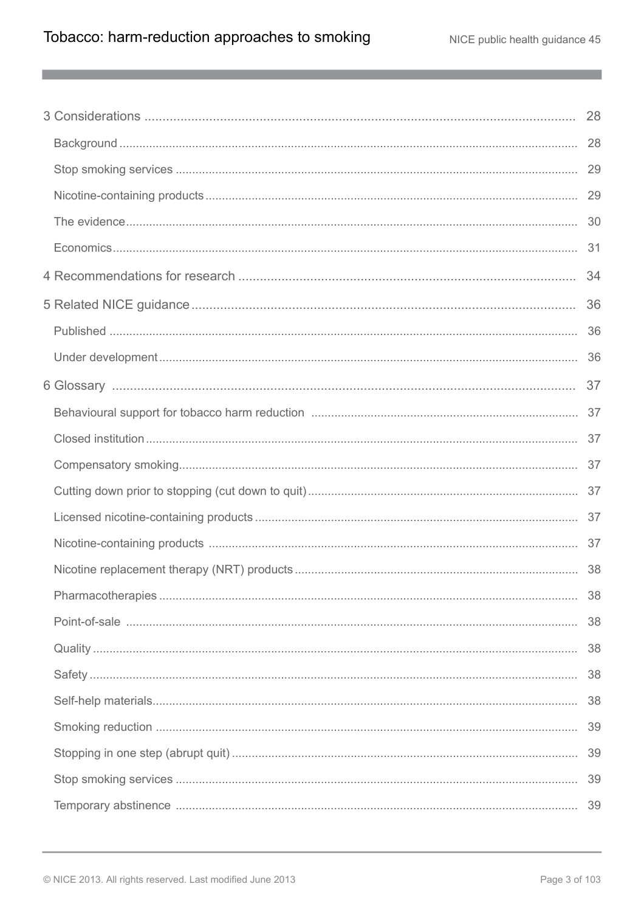m.

| 38 |
|----|
| 38 |
| 38 |
| 38 |
| 39 |
| 39 |
| 39 |
|    |
|    |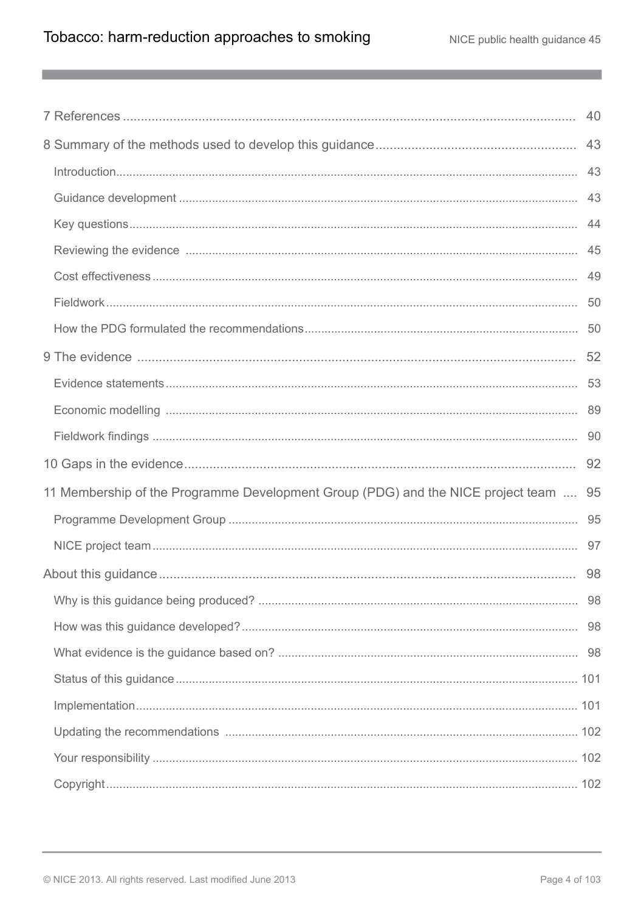m.

|                                                                                      | 52 |
|--------------------------------------------------------------------------------------|----|
|                                                                                      |    |
|                                                                                      |    |
|                                                                                      |    |
|                                                                                      |    |
|                                                                                      | 92 |
| 11 Membership of the Programme Development Group (PDG) and the NICE project team  95 |    |
|                                                                                      |    |
|                                                                                      |    |
|                                                                                      | 98 |
|                                                                                      |    |
|                                                                                      |    |
|                                                                                      |    |
|                                                                                      |    |
|                                                                                      |    |
|                                                                                      |    |
|                                                                                      |    |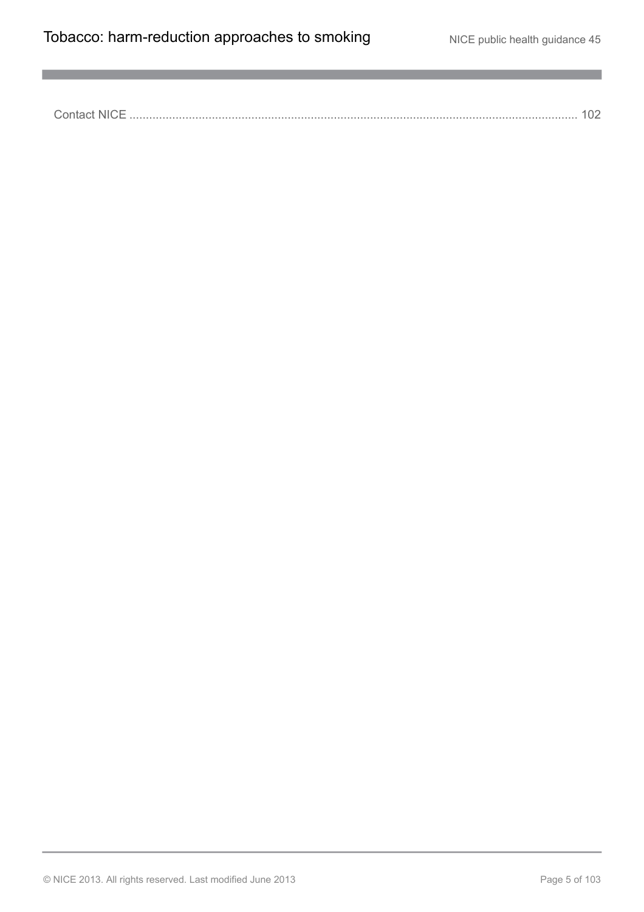a,

Contact NICE [........................................................................................................................................](#page-101-3) 102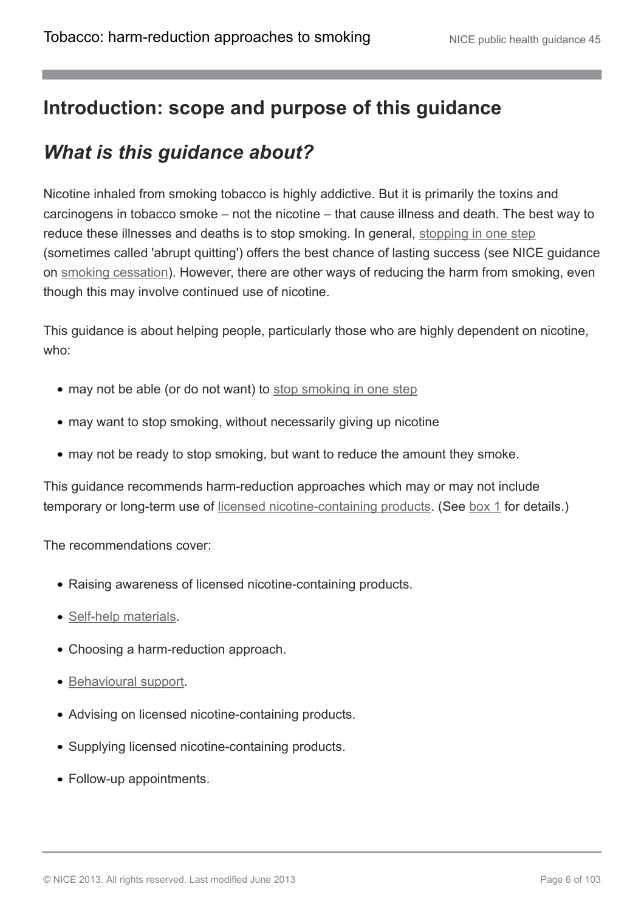### <span id="page-5-0"></span>**Introduction: scope and purpose of this guidance**

## <span id="page-5-1"></span>*What is this guidance about?*

Nicotine inhaled from smoking tobacco is highly addictive. But it is primarily the toxins and carcinogens in tobacco smoke – not the nicotine – that cause illness and death. The best way to reduce these illnesses and deaths is to stop smoking. In general, [stopping in one step](http://publications.nice.org.uk/tobacco-harm-reduction-approaches-to-smoking-ph45/glossary#stopping-in-one-step-abrupt-quit) (sometimes called 'abrupt quitting') offers the best chance of lasting success (see NICE guidance on [smoking cessation](http://guidance.nice.org.uk/PH10/)). However, there are other ways of reducing the harm from smoking, even though this may involve continued use of nicotine.

This guidance is about helping people, particularly those who are highly dependent on nicotine, who:

- may not be able (or do not want) to [stop smoking in one step](http://publications.nice.org.uk/tobacco-harm-reduction-approaches-to-smoking-ph45/glossary#stopping-in-one-step-abrupt-quit)
- may want to stop smoking, without necessarily giving up nicotine
- may not be ready to stop smoking, but want to reduce the amount they smoke.

This guidance recommends harm-reduction approaches which may or may not include temporary or long-term use of [licensed nicotine-containing products](http://publications.nice.org.uk/tobacco-harm-reduction-approaches-to-smoking-ph45/glossary#licensed-nicotine-containing-products). (See [box 1](http://publications.nice.org.uk/tobacco-harm-reduction-approaches-to-smoking-ph45/recommendations#definitions) for details.)

The recommendations cover:

- Raising awareness of licensed nicotine-containing products.
- [Self-help materials.](http://publications.nice.org.uk/tobacco-harm-reduction-approaches-to-smoking-ph45/glossary#self-help-materials)
- Choosing a harm-reduction approach.
- [Behavioural support](http://publications.nice.org.uk/tobacco-harm-reduction-approaches-to-smoking-ph45/glossary#behavioural-support-for-tobacco-harm-reduction).
- Advising on licensed nicotine-containing products.
- Supplying licensed nicotine-containing products.
- Follow-up appointments.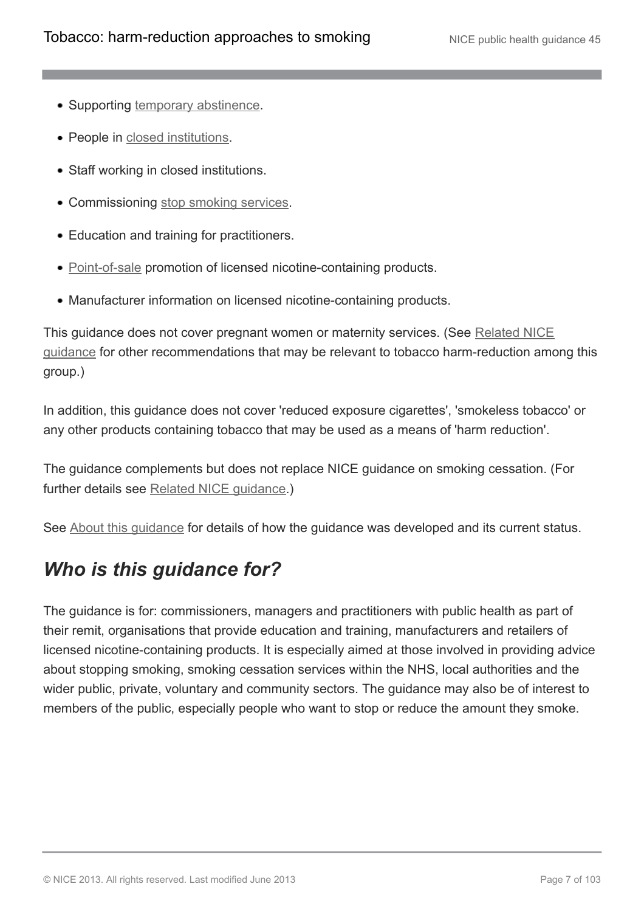- Supporting [temporary abstinence](http://publications.nice.org.uk/tobacco-harm-reduction-approaches-to-smoking-ph45/glossary#temporary-abstinence).
- People in [closed institutions](http://publications.nice.org.uk/tobacco-harm-reduction-approaches-to-smoking-ph45/glossary#closed-institution).
- Staff working in closed institutions.
- Commissioning [stop smoking services.](http://publications.nice.org.uk/tobacco-harm-reduction-approaches-to-smoking-ph45/glossary#stop-smoking-services-2)
- Education and training for practitioners.
- [Point-of-sale](http://publications.nice.org.uk/tobacco-harm-reduction-approaches-to-smoking-ph45/glossary#point-of-sale) promotion of licensed nicotine-containing products.
- Manufacturer information on licensed nicotine-containing products.

This guidance does not cover pregnant women or maternity services. (See [Related NICE](http://publications.nice.org.uk/tobacco-harm-reduction-approaches-to-smoking-ph45/related-nice-guidance) [guidance](http://publications.nice.org.uk/tobacco-harm-reduction-approaches-to-smoking-ph45/related-nice-guidance) for other recommendations that may be relevant to tobacco harm-reduction among this group.)

In addition, this guidance does not cover 'reduced exposure cigarettes', 'smokeless tobacco' or any other products containing tobacco that may be used as a means of 'harm reduction'.

The guidance complements but does not replace NICE guidance on smoking cessation. (For further details see [Related NICE guidance](http://publications.nice.org.uk/tobacco-harm-reduction-approaches-to-smoking-ph45/related-nice-guidance).)

See [About this guidance](http://publications.nice.org.uk/tobacco-harm-reduction-approaches-to-smoking-ph45/about-this-guidance) for details of how the guidance was developed and its current status.

## <span id="page-6-0"></span>*Who is this guidance for?*

The guidance is for: commissioners, managers and practitioners with public health as part of their remit, organisations that provide education and training, manufacturers and retailers of licensed nicotine-containing products. It is especially aimed at those involved in providing advice about stopping smoking, smoking cessation services within the NHS, local authorities and the wider public, private, voluntary and community sectors. The guidance may also be of interest to members of the public, especially people who want to stop or reduce the amount they smoke.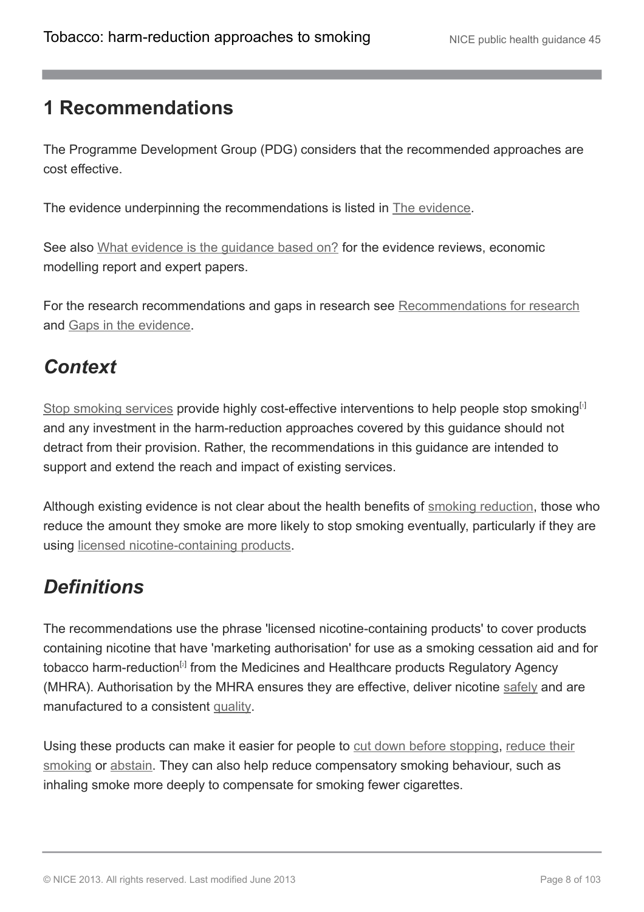### <span id="page-7-0"></span>**1 Recommendations**

The Programme Development Group (PDG) considers that the recommended approaches are cost effective.

The evidence underpinning the recommendations is listed in [The evidence.](http://publications.nice.org.uk/tobacco-harm-reduction-approaches-to-smoking-ph45/the-evidence-2)

See also [What evidence is the guidance based on?](http://publications.nice.org.uk/tobacco-harm-reduction-approaches-to-smoking-ph45/about-this-guidance#what-evidence-is-the-guidance-based-on) for the evidence reviews, economic modelling report and expert papers.

For the research recommendations and gaps in research see [Recommendations for research](http://publications.nice.org.uk/tobacco-harm-reduction-approaches-to-smoking-ph45/recommendations-for-research) and [Gaps in the evidence](http://publications.nice.org.uk/tobacco-harm-reduction-approaches-to-smoking-ph45/gaps-in-the-evidence).

### <span id="page-7-1"></span>*Context*

<span id="page-7-3"></span>[Stop smoking services](http://publications.nice.org.uk/tobacco-harm-reduction-approaches-to-smoking-ph45/glossary#stop-smoking-services-2) provide highly cost-effective interventions to help people stop smoking<sup>[[1](#page-22-1)]</sup> and any investment in the harm-reduction approaches covered by this guidance should not detract from their provision. Rather, the recommendations in this guidance are intended to support and extend the reach and impact of existing services.

Although existing evidence is not clear about the health benefits of [smoking reduction,](http://publications.nice.org.uk/tobacco-harm-reduction-approaches-to-smoking-ph45/glossary#smoking-reduction) those who reduce the amount they smoke are more likely to stop smoking eventually, particularly if they are using [licensed nicotine-containing products.](http://publications.nice.org.uk/tobacco-harm-reduction-approaches-to-smoking-ph45/glossary#licensed-nicotine-containing-products)

## <span id="page-7-2"></span>*Definitions*

<span id="page-7-4"></span>The recommendations use the phrase 'licensed nicotine-containing products' to cover products containing nicotine that have 'marketing authorisation' for use as a smoking cessation aid and for tobacco harm-reduction<sup>[[2](#page-22-2)]</sup> from the Medicines and Healthcare products Regulatory Agency (MHRA). Authorisation by the MHRA ensures they are effective, deliver nicotine [safely](http://publications.nice.org.uk/tobacco-harm-reduction-approaches-to-smoking-ph45/glossary#safety) and are manufactured to a consistent [quality](http://publications.nice.org.uk/tobacco-harm-reduction-approaches-to-smoking-ph45/glossary#quality).

Using these products can make it easier for people to [cut down before stopping,](http://publications.nice.org.uk/tobacco-harm-reduction-approaches-to-smoking-ph45/glossary#cutting-down-prior-to-stopping-cut-down-to-quit) [reduce their](http://publications.nice.org.uk/tobacco-harm-reduction-approaches-to-smoking-ph45/glossary#smoking-reduction) [smoking](http://publications.nice.org.uk/tobacco-harm-reduction-approaches-to-smoking-ph45/glossary#smoking-reduction) or [abstain.](http://publications.nice.org.uk/tobacco-harm-reduction-approaches-to-smoking-ph45/glossary#temporary-abstinence) They can also help reduce compensatory smoking behaviour, such as inhaling smoke more deeply to compensate for smoking fewer cigarettes.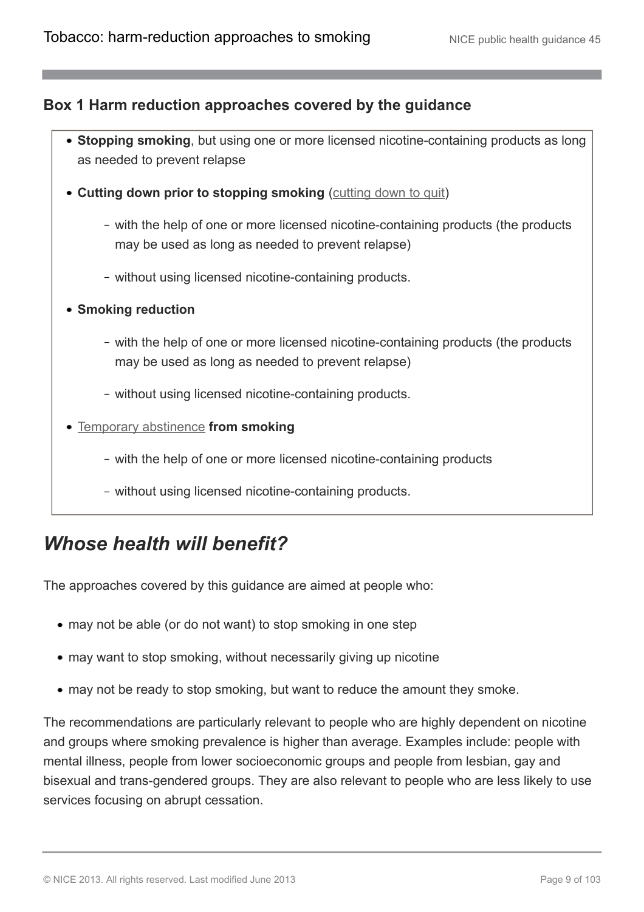#### **Box 1 Harm reduction approaches covered by the guidance**

- **Stopping smoking**, but using one or more licensed nicotine-containing products as long as needed to prevent relapse
- Cutting down prior to stopping smoking ([cutting down to quit\)](http://publications.nice.org.uk/tobacco-harm-reduction-approaches-to-smoking-ph45/glossary#cutting-down-prior-to-stopping-cut-down-to-quit)
	- with the help of one or more licensed nicotine-containing products (the products may be used as long as needed to prevent relapse)
	- without using licensed nicotine-containing products.
- **Smoking reduction**
	- with the help of one or more licensed nicotine-containing products (the products may be used as long as needed to prevent relapse)
	- without using licensed nicotine-containing products.
- [Temporary abstinence](http://publications.nice.org.uk/tobacco-harm-reduction-approaches-to-smoking-ph45/glossary#temporary-abstinence) **from smoking**
	- with the help of one or more licensed nicotine-containing products
	- without using licensed nicotine-containing products.

### <span id="page-8-0"></span>*Whose health will benefit?*

The approaches covered by this guidance are aimed at people who:

- may not be able (or do not want) to stop smoking in one step
- may want to stop smoking, without necessarily giving up nicotine
- may not be ready to stop smoking, but want to reduce the amount they smoke.

The recommendations are particularly relevant to people who are highly dependent on nicotine and groups where smoking prevalence is higher than average. Examples include: people with mental illness, people from lower socioeconomic groups and people from lesbian, gay and bisexual and trans-gendered groups. They are also relevant to people who are less likely to use services focusing on abrupt cessation.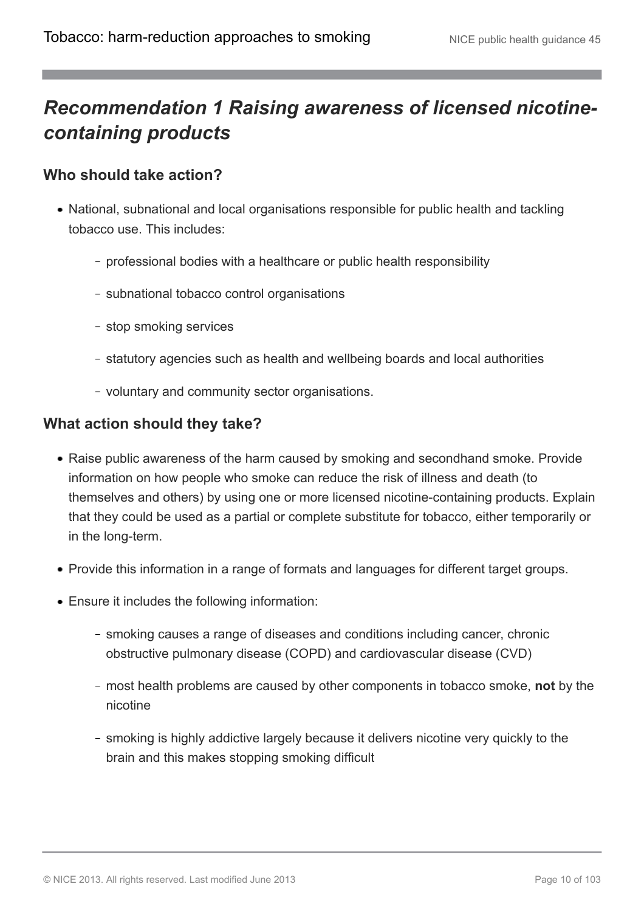## <span id="page-9-0"></span>*Recommendation 1 Raising awareness of licensed nicotinecontaining products*

#### **Who should take action?**

- National, subnational and local organisations responsible for public health and tackling tobacco use. This includes:
	- professional bodies with a healthcare or public health responsibility
	- subnational tobacco control organisations
	- stop smoking services
	- statutory agencies such as health and wellbeing boards and local authorities
	- voluntary and community sector organisations.

#### **What action should they take?**

- Raise public awareness of the harm caused by smoking and secondhand smoke. Provide information on how people who smoke can reduce the risk of illness and death (to themselves and others) by using one or more licensed nicotine-containing products. Explain that they could be used as a partial or complete substitute for tobacco, either temporarily or in the long-term.
- Provide this information in a range of formats and languages for different target groups.
- Ensure it includes the following information:
	- smoking causes a range of diseases and conditions including cancer, chronic obstructive pulmonary disease (COPD) and cardiovascular disease (CVD)
	- most health problems are caused by other components in tobacco smoke, **not** by the nicotine
	- smoking is highly addictive largely because it delivers nicotine very quickly to the brain and this makes stopping smoking difficult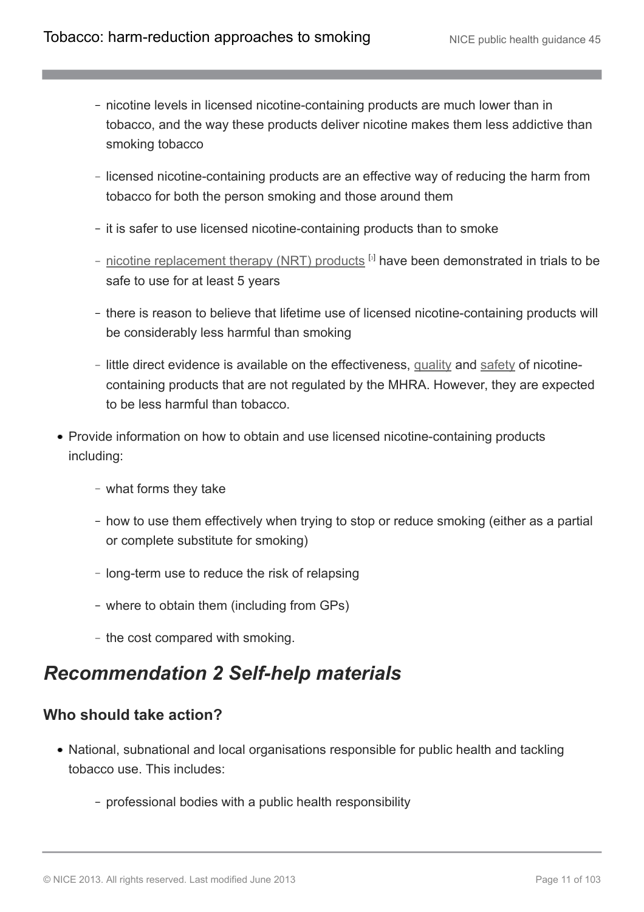- nicotine levels in licensed nicotine-containing products are much lower than in tobacco, and the way these products deliver nicotine makes them less addictive than smoking tobacco
- licensed nicotine-containing products are an effective way of reducing the harm from tobacco for both the person smoking and those around them
- it is safer to use licensed nicotine-containing products than to smoke
- <span id="page-10-1"></span>[nicotine replacement therapy \(NRT\) products](http://publications.nice.org.uk/tobacco-harm-reduction-approaches-to-smoking-ph45/glossary#nicotine-replacement-therapy-nrt-products) <sup>[[3](#page-22-3)]</sup> have been demonstrated in trials to be safe to use for at least 5 years
- there is reason to believe that lifetime use of licensed nicotine-containing products will be considerably less harmful than smoking
- little direct evidence is available on the effectiveness, [quality](http://publications.nice.org.uk/tobacco-harm-reduction-approaches-to-smoking-ph45/glossary#quality) and [safety](http://publications.nice.org.uk/tobacco-harm-reduction-approaches-to-smoking-ph45/glossary#safety) of nicotinecontaining products that are not regulated by the MHRA. However, they are expected to be less harmful than tobacco.
- Provide information on how to obtain and use licensed nicotine-containing products including:
	- what forms they take
	- how to use them effectively when trying to stop or reduce smoking (either as a partial or complete substitute for smoking)
	- long-term use to reduce the risk of relapsing
	- where to obtain them (including from GPs)
	- the cost compared with smoking.

### <span id="page-10-0"></span>*Recommendation 2 Self-help materials*

#### **Who should take action?**

- National, subnational and local organisations responsible for public health and tackling tobacco use. This includes:
	- professional bodies with a public health responsibility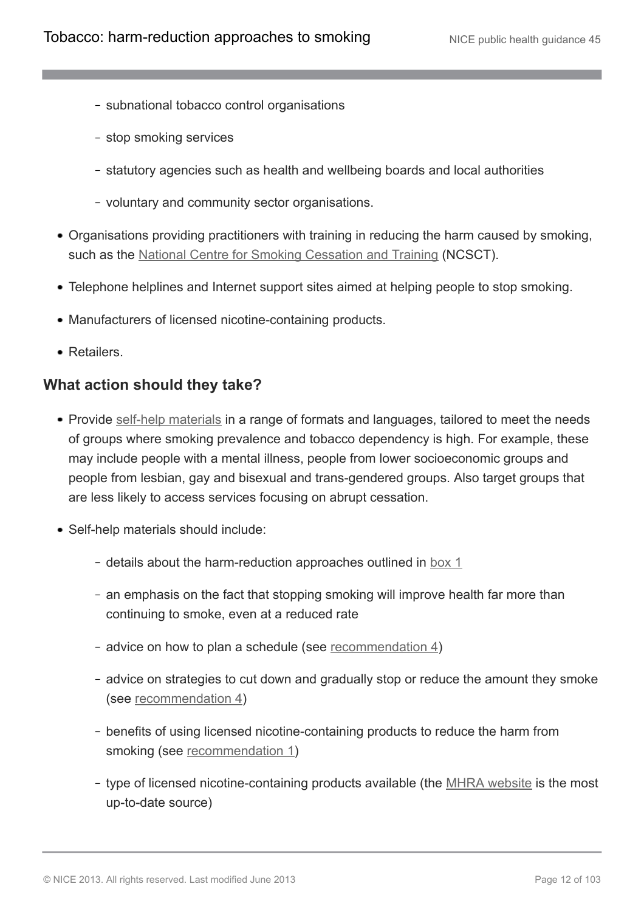- subnational tobacco control organisations
- stop smoking services
- statutory agencies such as health and wellbeing boards and local authorities
- voluntary and community sector organisations.
- Organisations providing practitioners with training in reducing the harm caused by smoking, such as the [National Centre for Smoking Cessation and Training](http://www.ncsct.co.uk/) (NCSCT).
- Telephone helplines and Internet support sites aimed at helping people to stop smoking.
- Manufacturers of licensed nicotine-containing products.
- Retailers.

#### **What action should they take?**

- Provide [self-help materials](http://publications.nice.org.uk/tobacco-harm-reduction-approaches-to-smoking-ph45/glossary#self-help-materials) in a range of formats and languages, tailored to meet the needs of groups where smoking prevalence and tobacco dependency is high. For example, these may include people with a mental illness, people from lower socioeconomic groups and people from lesbian, gay and bisexual and trans-gendered groups. Also target groups that are less likely to access services focusing on abrupt cessation.
- Self-help materials should include:
	- details about the harm-reduction approaches outlined in [box 1](http://publications.nice.org.uk/tobacco-harm-reduction-approaches-to-smoking-ph45/recommendations#definitions)
	- an emphasis on the fact that stopping smoking will improve health far more than continuing to smoke, even at a reduced rate
	- advice on how to plan a schedule (see recommendation  $4$ )
	- advice on strategies to cut down and gradually stop or reduce the amount they smoke (see [recommendation 4](http://publications.nice.org.uk/tobacco-harm-reduction-approaches-to-smoking-ph45/recommendations#recommendation-4-behavioural-support))
	- benefits of using licensed nicotine-containing products to reduce the harm from smoking (see [recommendation 1](http://publications.nice.org.uk/tobacco-harm-reduction-approaches-to-smoking-ph45/recommendations#recommendation-1-raising-awareness-of-licensed-nicotine-containing-products))
	- type of licensed nicotine-containing products available (the [MHRA website](http://www.mhra.gov.uk/index.htm#page=DynamicListMedicines) is the most up-to-date source)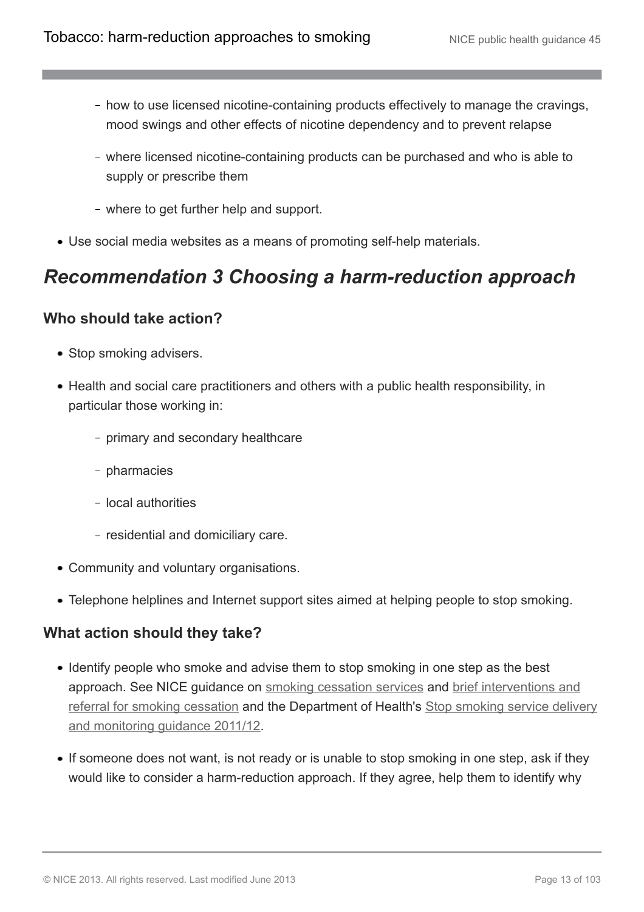- how to use licensed nicotine-containing products effectively to manage the cravings, mood swings and other effects of nicotine dependency and to prevent relapse
- where licensed nicotine-containing products can be purchased and who is able to supply or prescribe them
- where to get further help and support.
- Use social media websites as a means of promoting self-help materials.

### <span id="page-12-0"></span>*Recommendation 3 Choosing a harm-reduction approach*

#### **Who should take action?**

- Stop smoking advisers.
- Health and social care practitioners and others with a public health responsibility, in particular those working in:
	- primary and secondary healthcare
	- pharmacies
	- local authorities
	- residential and domiciliary care.
- Community and voluntary organisations.
- Telephone helplines and Internet support sites aimed at helping people to stop smoking.

#### **What action should they take?**

- Identify people who smoke and advise them to stop smoking in one step as the best approach. See NICE guidance on [smoking cessation services](http://www.nice.org.uk/guidance/PH10) and [brief interventions and](http://www.nice.org.uk/guidance/PH1) [referral for smoking cessation](http://www.nice.org.uk/guidance/PH1) and the Department of Health's [Stop smoking service delivery](http://www.dh.gov.uk/en/Publicationsandstatistics/Publications/PublicationsPolicyAndGuidance/DH_125389) [and monitoring guidance 2011/12.](http://www.dh.gov.uk/en/Publicationsandstatistics/Publications/PublicationsPolicyAndGuidance/DH_125389)
- If someone does not want, is not ready or is unable to stop smoking in one step, ask if they would like to consider a harm-reduction approach. If they agree, help them to identify why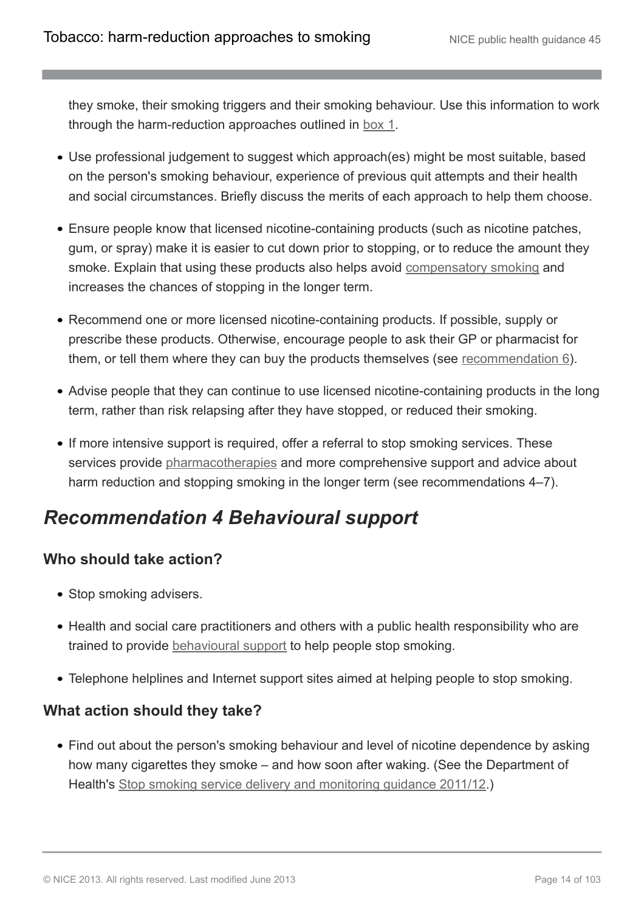they smoke, their smoking triggers and their smoking behaviour. Use this information to work through the harm-reduction approaches outlined in [box 1.](http://publications.nice.org.uk/tobacco-harm-reduction-approaches-to-smoking-ph45/recommendations#definitions)

- Use professional judgement to suggest which approach(es) might be most suitable, based on the person's smoking behaviour, experience of previous quit attempts and their health and social circumstances. Briefly discuss the merits of each approach to help them choose.
- Ensure people know that licensed nicotine-containing products (such as nicotine patches, gum, or spray) make it is easier to cut down prior to stopping, or to reduce the amount they smoke. Explain that using these products also helps avoid [compensatory smoking](http://publications.nice.org.uk/tobacco-harm-reduction-approaches-to-smoking-ph45/glossary#compensatory-smoking) and increases the chances of stopping in the longer term.
- Recommend one or more licensed nicotine-containing products. If possible, supply or prescribe these products. Otherwise, encourage people to ask their GP or pharmacist for them, or tell them where they can buy the products themselves (see [recommendation 6](http://publications.nice.org.uk/tobacco-harm-reduction-approaches-to-smoking-ph45/recommendations#recommendation-6-supplying-licensed-nicotine-containing-products)).
- Advise people that they can continue to use licensed nicotine-containing products in the long term, rather than risk relapsing after they have stopped, or reduced their smoking.
- If more intensive support is required, offer a referral to stop smoking services. These services provide [pharmacotherapies](http://publications.nice.org.uk/tobacco-harm-reduction-approaches-to-smoking-ph45/glossary#pharmacotherapies) and more comprehensive support and advice about harm reduction and stopping smoking in the longer term (see recommendations 4–7).

## <span id="page-13-0"></span>*Recommendation 4 Behavioural support*

#### **Who should take action?**

- Stop smoking advisers.
- Health and social care practitioners and others with a public health responsibility who are trained to provide [behavioural support](http://publications.nice.org.uk/tobacco-harm-reduction-approaches-to-smoking-ph45/glossary#behavioural-support-for-tobacco-harm-reduction) to help people stop smoking.
- Telephone helplines and Internet support sites aimed at helping people to stop smoking.

#### **What action should they take?**

• Find out about the person's smoking behaviour and level of nicotine dependence by asking how many cigarettes they smoke – and how soon after waking. (See the Department of Health's [Stop smoking service delivery and monitoring guidance 2011/12.](https://www.gov.uk/government/publications/guidance-for-providing-and-monitoring-stop-smoking-services-2011-to-2012))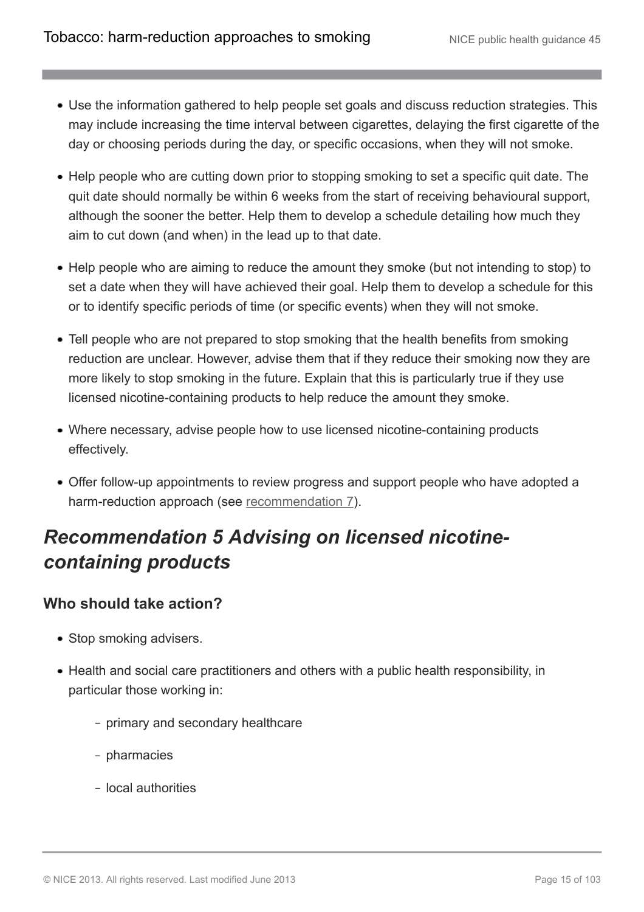- Use the information gathered to help people set goals and discuss reduction strategies. This may include increasing the time interval between cigarettes, delaying the first cigarette of the day or choosing periods during the day, or specific occasions, when they will not smoke.
- Help people who are cutting down prior to stopping smoking to set a specific quit date. The quit date should normally be within 6 weeks from the start of receiving behavioural support, although the sooner the better. Help them to develop a schedule detailing how much they aim to cut down (and when) in the lead up to that date.
- Help people who are aiming to reduce the amount they smoke (but not intending to stop) to set a date when they will have achieved their goal. Help them to develop a schedule for this or to identify specific periods of time (or specific events) when they will not smoke.
- Tell people who are not prepared to stop smoking that the health benefits from smoking reduction are unclear. However, advise them that if they reduce their smoking now they are more likely to stop smoking in the future. Explain that this is particularly true if they use licensed nicotine-containing products to help reduce the amount they smoke.
- Where necessary, advise people how to use licensed nicotine-containing products effectively.
- Offer follow-up appointments to review progress and support people who have adopted a harm-reduction approach (see [recommendation 7\)](http://publications.nice.org.uk/tobacco-harm-reduction-approaches-to-smoking-ph45/recommendations#recommendation-7-follow-up-appointments).

## <span id="page-14-0"></span>*Recommendation 5 Advising on licensed nicotinecontaining products*

#### **Who should take action?**

- Stop smoking advisers.
- Health and social care practitioners and others with a public health responsibility, in particular those working in:
	- primary and secondary healthcare
	- pharmacies
	- local authorities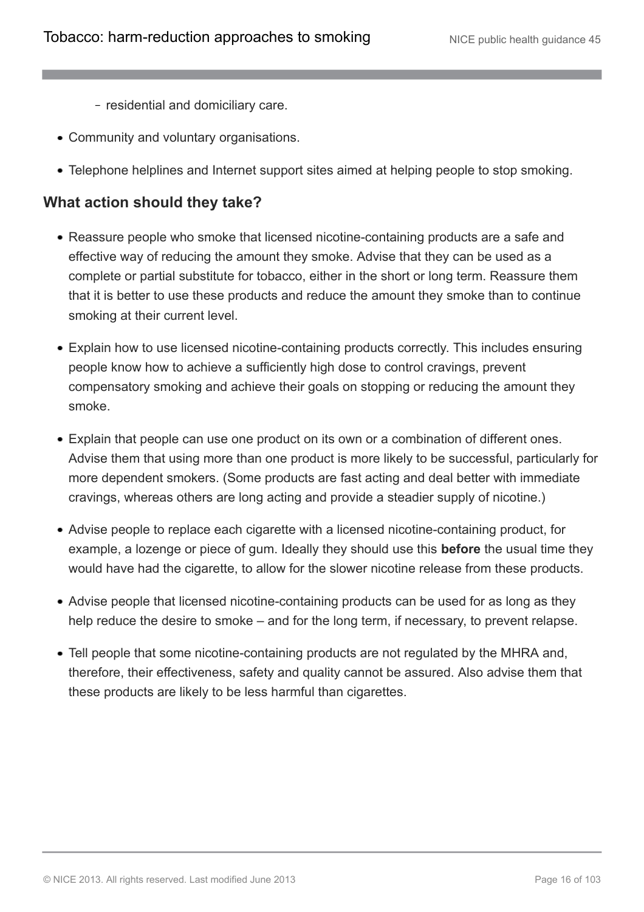- residential and domiciliary care.
- Community and voluntary organisations.
- Telephone helplines and Internet support sites aimed at helping people to stop smoking.

#### **What action should they take?**

- Reassure people who smoke that licensed nicotine-containing products are a safe and effective way of reducing the amount they smoke. Advise that they can be used as a complete or partial substitute for tobacco, either in the short or long term. Reassure them that it is better to use these products and reduce the amount they smoke than to continue smoking at their current level.
- Explain how to use licensed nicotine-containing products correctly. This includes ensuring people know how to achieve a sufficiently high dose to control cravings, prevent compensatory smoking and achieve their goals on stopping or reducing the amount they smoke.
- Explain that people can use one product on its own or a combination of different ones. Advise them that using more than one product is more likely to be successful, particularly for more dependent smokers. (Some products are fast acting and deal better with immediate cravings, whereas others are long acting and provide a steadier supply of nicotine.)
- Advise people to replace each cigarette with a licensed nicotine-containing product, for example, a lozenge or piece of gum. Ideally they should use this **before** the usual time they would have had the cigarette, to allow for the slower nicotine release from these products.
- Advise people that licensed nicotine-containing products can be used for as long as they help reduce the desire to smoke – and for the long term, if necessary, to prevent relapse.
- Tell people that some nicotine-containing products are not regulated by the MHRA and, therefore, their effectiveness, safety and quality cannot be assured. Also advise them that these products are likely to be less harmful than cigarettes.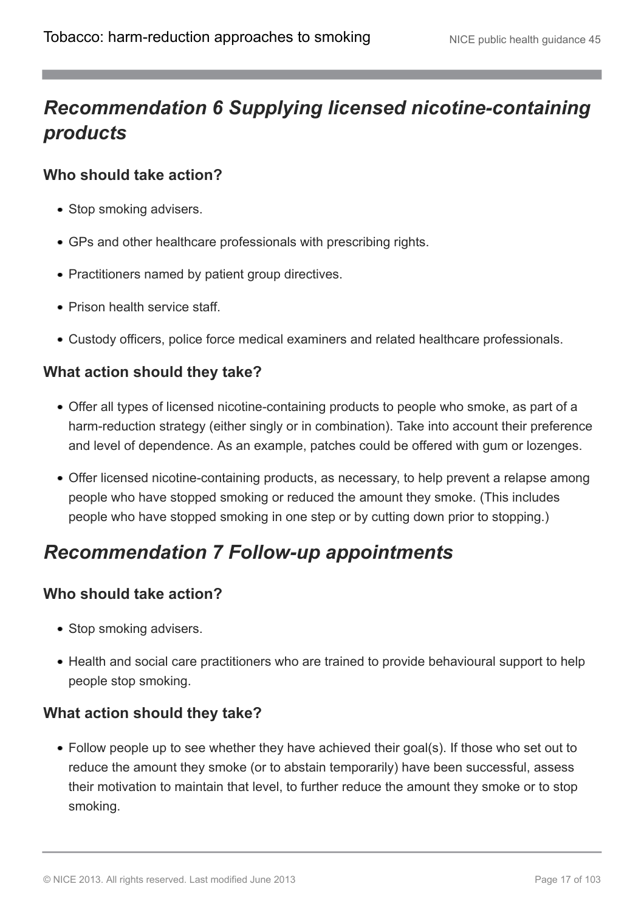## <span id="page-16-0"></span>*Recommendation 6 Supplying licensed nicotine-containing products*

#### **Who should take action?**

- Stop smoking advisers.
- GPs and other healthcare professionals with prescribing rights.
- Practitioners named by patient group directives.
- Prison health service staff.
- Custody officers, police force medical examiners and related healthcare professionals.

#### **What action should they take?**

- Offer all types of licensed nicotine-containing products to people who smoke, as part of a harm-reduction strategy (either singly or in combination). Take into account their preference and level of dependence. As an example, patches could be offered with gum or lozenges.
- Offer licensed nicotine-containing products, as necessary, to help prevent a relapse among people who have stopped smoking or reduced the amount they smoke. (This includes people who have stopped smoking in one step or by cutting down prior to stopping.)

### <span id="page-16-1"></span>*Recommendation 7 Follow-up appointments*

#### **Who should take action?**

- Stop smoking advisers.
- Health and social care practitioners who are trained to provide behavioural support to help people stop smoking.

#### **What action should they take?**

Follow people up to see whether they have achieved their goal(s). If those who set out to reduce the amount they smoke (or to abstain temporarily) have been successful, assess their motivation to maintain that level, to further reduce the amount they smoke or to stop smoking.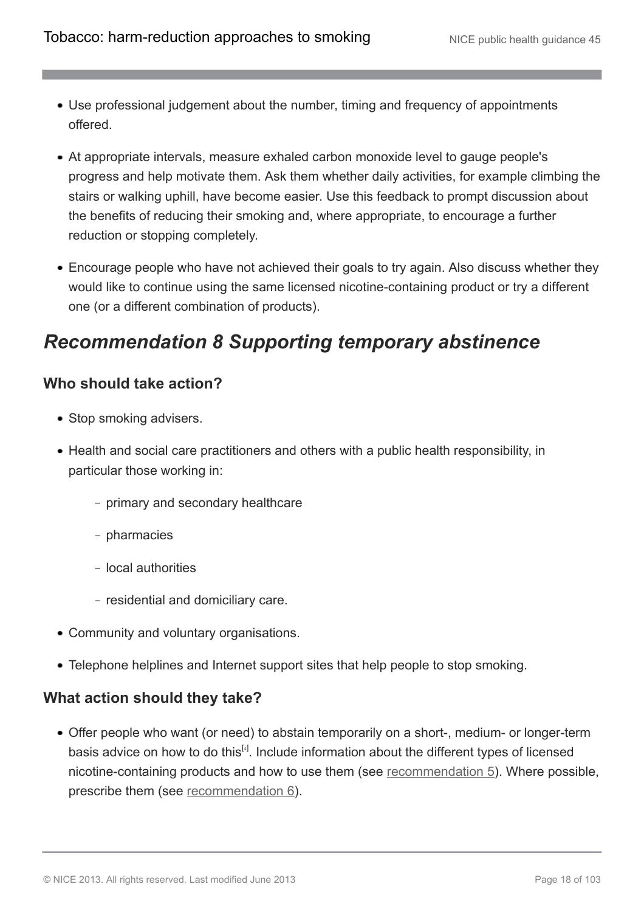- Use professional judgement about the number, timing and frequency of appointments offered.
- At appropriate intervals, measure exhaled carbon monoxide level to gauge people's progress and help motivate them. Ask them whether daily activities, for example climbing the stairs or walking uphill, have become easier. Use this feedback to prompt discussion about the benefits of reducing their smoking and, where appropriate, to encourage a further reduction or stopping completely.
- Encourage people who have not achieved their goals to try again. Also discuss whether they would like to continue using the same licensed nicotine-containing product or try a different one (or a different combination of products).

### <span id="page-17-0"></span>*Recommendation 8 Supporting temporary abstinence*

#### **Who should take action?**

- Stop smoking advisers.
- Health and social care practitioners and others with a public health responsibility, in particular those working in:
	- primary and secondary healthcare
	- pharmacies
	- local authorities
	- residential and domiciliary care.
- Community and voluntary organisations.
- Telephone helplines and Internet support sites that help people to stop smoking.

#### **What action should they take?**

<span id="page-17-1"></span>Offer people who want (or need) to abstain temporarily on a short-, medium- or longer-term basis advice on how to do this<sup>[[4](#page-22-4)]</sup>. Include information about the different types of licensed nicotine-containing products and how to use them (see [recommendation 5\)](http://publications.nice.org.uk/tobacco-harm-reduction-approaches-to-smoking-ph45/recommendations#recommendation-5-advising-on-licensed-nicotine-containing-products). Where possible, prescribe them (see [recommendation 6](http://publications.nice.org.uk/tobacco-harm-reduction-approaches-to-smoking-ph45/recommendations#recommendation-6-supplying-licensed-nicotine-containing-products)).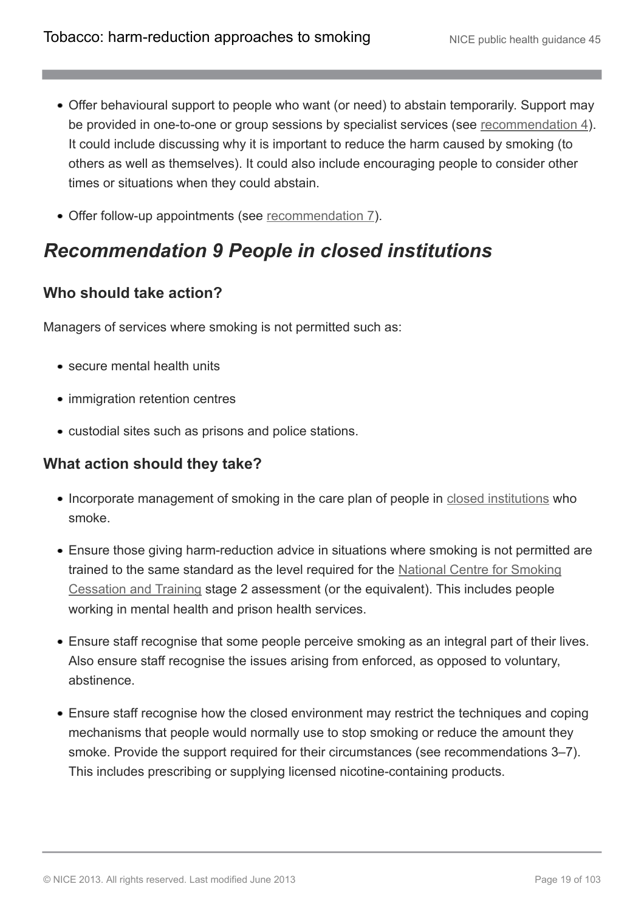- Offer behavioural support to people who want (or need) to abstain temporarily. Support may be provided in one-to-one or group sessions by specialist services (see [recommendation 4\)](http://publications.nice.org.uk/tobacco-harm-reduction-approaches-to-smoking-ph45/recommendations#recommendation-4-behavioural-support). It could include discussing why it is important to reduce the harm caused by smoking (to others as well as themselves). It could also include encouraging people to consider other times or situations when they could abstain.
- Offer follow-up appointments (see [recommendation 7\)](http://publications.nice.org.uk/tobacco-harm-reduction-approaches-to-smoking-ph45/recommendations#recommendation-7-follow-up-appointments).

## <span id="page-18-0"></span>*Recommendation 9 People in closed institutions*

#### **Who should take action?**

Managers of services where smoking is not permitted such as:

- secure mental health units
- immigration retention centres
- custodial sites such as prisons and police stations.

#### **What action should they take?**

- Incorporate management of smoking in the care plan of people in [closed institutions](http://publications.nice.org.uk/tobacco-harm-reduction-approaches-to-smoking-ph45/glossary#closed-institution) who smoke.
- Ensure those giving harm-reduction advice in situations where smoking is not permitted are trained to the same standard as the level required for the [National Centre for Smoking](http://www.ncsct.co.uk/) [Cessation and Training](http://www.ncsct.co.uk/) stage 2 assessment (or the equivalent). This includes people working in mental health and prison health services.
- Ensure staff recognise that some people perceive smoking as an integral part of their lives. Also ensure staff recognise the issues arising from enforced, as opposed to voluntary, abstinence.
- Ensure staff recognise how the closed environment may restrict the techniques and coping mechanisms that people would normally use to stop smoking or reduce the amount they smoke. Provide the support required for their circumstances (see recommendations 3–7). This includes prescribing or supplying licensed nicotine-containing products.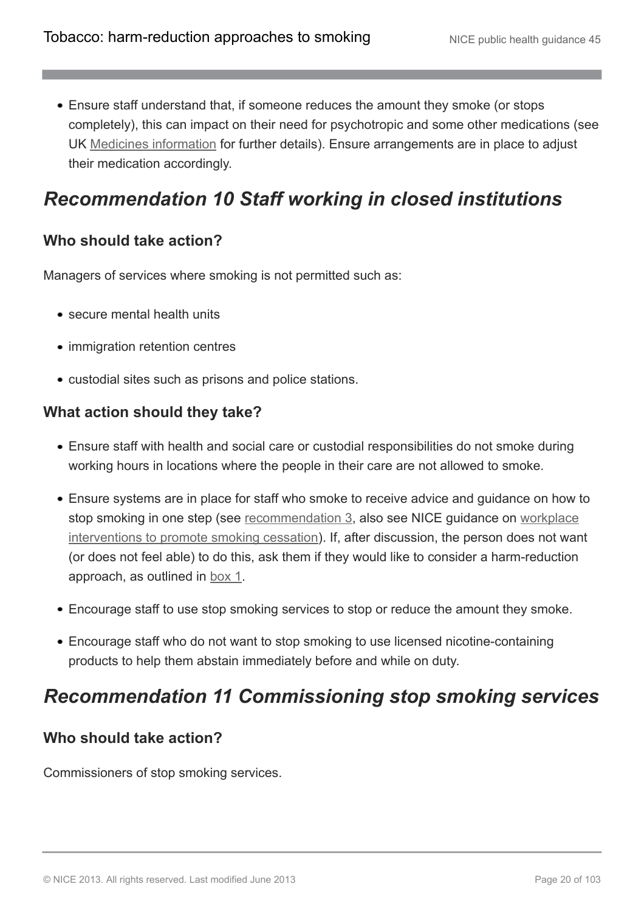Ensure staff understand that, if someone reduces the amount they smoke (or stops completely), this can impact on their need for psychotropic and some other medications (see UK [Medicines information](http://www.medicinesresources.nhs.uk/upload/documents/Evidence/Medicines%20Q%20&%20A/NW%20QA136.4%20Smoking%20and%20drug%20interactions.doc) for further details). Ensure arrangements are in place to adjust their medication accordingly.

### <span id="page-19-0"></span>*Recommendation 10 Staff working in closed institutions*

#### **Who should take action?**

Managers of services where smoking is not permitted such as:

- secure mental health units
- immigration retention centres
- custodial sites such as prisons and police stations.

#### **What action should they take?**

- Ensure staff with health and social care or custodial responsibilities do not smoke during working hours in locations where the people in their care are not allowed to smoke.
- Ensure systems are in place for staff who smoke to receive advice and guidance on how to stop smoking in one step (see [recommendation 3](http://publications.nice.org.uk/tobacco-harm-reduction-approaches-to-smoking-ph45/recommendations#recommendation-3-choosing-a-harm-reduction-approach), also see NICE guidance on [workplace](http://guidance.nice.org.uk/ph5) [interventions to promote smoking cessation](http://guidance.nice.org.uk/ph5)). If, after discussion, the person does not want (or does not feel able) to do this, ask them if they would like to consider a harm-reduction approach, as outlined in [box 1](http://publications.nice.org.uk/tobacco-harm-reduction-approaches-to-smoking-ph45/recommendations#definitions).
- Encourage staff to use stop smoking services to stop or reduce the amount they smoke.
- Encourage staff who do not want to stop smoking to use licensed nicotine-containing products to help them abstain immediately before and while on duty.

### <span id="page-19-1"></span>*Recommendation 11 Commissioning stop smoking services*

#### **Who should take action?**

Commissioners of stop smoking services.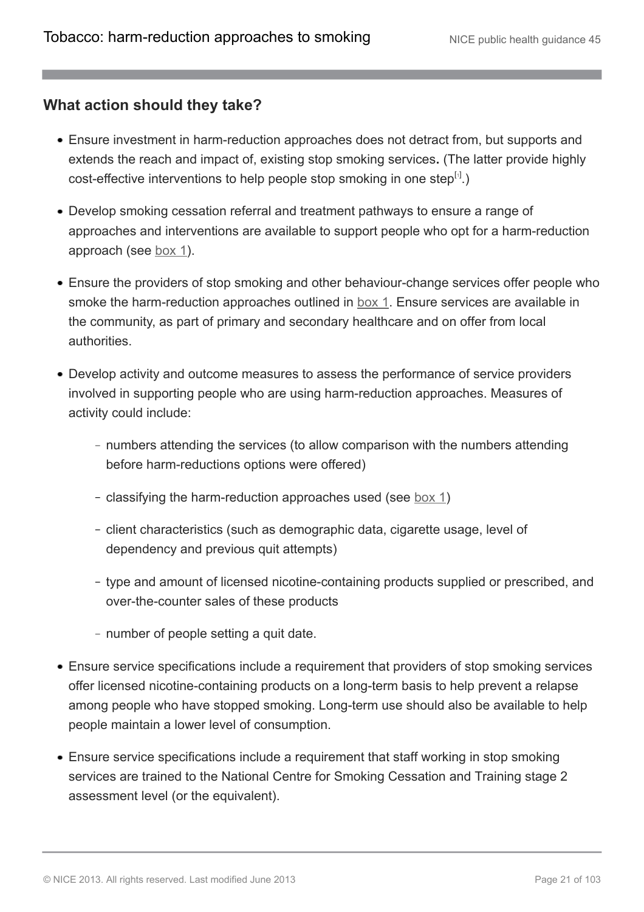#### **What action should they take?**

- Ensure investment in harm-reduction approaches does not detract from, but supports and extends the reach and impact of, existing stop smoking services**.** (The latter provide highly cost-effective interventions to help people stop smoking in one step $^{[i]}$ .)
- Develop smoking cessation referral and treatment pathways to ensure a range of approaches and interventions are available to support people who opt for a harm-reduction approach (see [box 1\)](http://publications.nice.org.uk/tobacco-harm-reduction-approaches-to-smoking-ph45/recommendations#definitions).
- Ensure the providers of stop smoking and other behaviour-change services offer people who smoke the harm-reduction approaches outlined in [box 1.](http://publications.nice.org.uk/tobacco-harm-reduction-approaches-to-smoking-ph45/recommendations#definitions) Ensure services are available in the community, as part of primary and secondary healthcare and on offer from local authorities.
- Develop activity and outcome measures to assess the performance of service providers involved in supporting people who are using harm-reduction approaches. Measures of activity could include:
	- numbers attending the services (to allow comparison with the numbers attending before harm-reductions options were offered)
	- classifying the harm-reduction approaches used (see <u>[box 1](http://publications.nice.org.uk/tobacco-harm-reduction-approaches-to-smoking-ph45/recommendations#definitions)</u>)
	- client characteristics (such as demographic data, cigarette usage, level of dependency and previous quit attempts)
	- type and amount of licensed nicotine-containing products supplied or prescribed, and over-the-counter sales of these products
	- number of people setting a quit date.
- Ensure service specifications include a requirement that providers of stop smoking services offer licensed nicotine-containing products on a long-term basis to help prevent a relapse among people who have stopped smoking. Long-term use should also be available to help people maintain a lower level of consumption.
- Ensure service specifications include a requirement that staff working in stop smoking services are trained to the National Centre for Smoking Cessation and Training stage 2 assessment level (or the equivalent).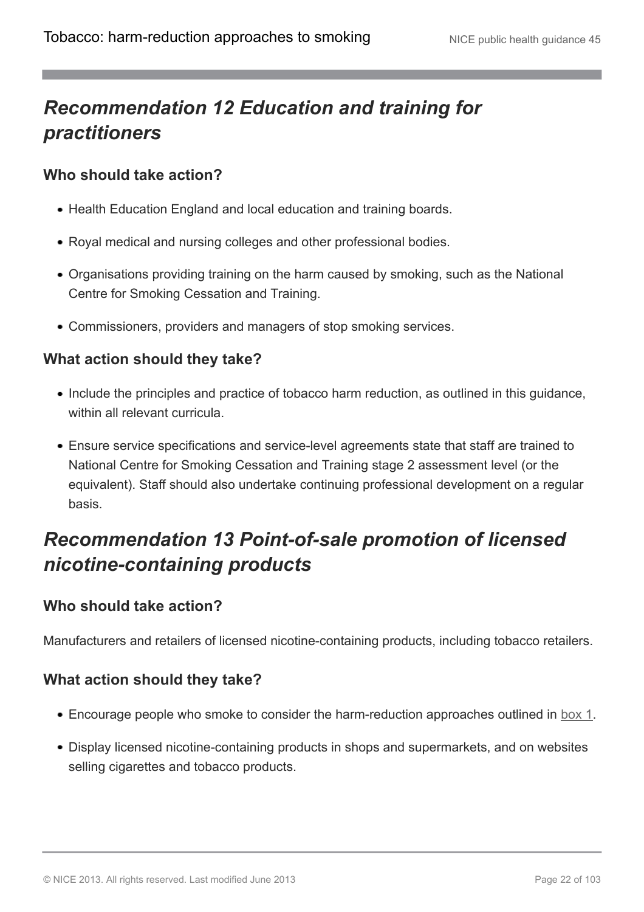## <span id="page-21-0"></span>*Recommendation 12 Education and training for practitioners*

#### **Who should take action?**

- Health Education England and local education and training boards.
- Royal medical and nursing colleges and other professional bodies.
- Organisations providing training on the harm caused by smoking, such as the National Centre for Smoking Cessation and Training.
- Commissioners, providers and managers of stop smoking services.

#### **What action should they take?**

- Include the principles and practice of tobacco harm reduction, as outlined in this guidance, within all relevant curricula
- Ensure service specifications and service-level agreements state that staff are trained to National Centre for Smoking Cessation and Training stage 2 assessment level (or the equivalent). Staff should also undertake continuing professional development on a regular basis.

## <span id="page-21-1"></span>*Recommendation 13 Point-of-sale promotion of licensed nicotine-containing products*

#### **Who should take action?**

Manufacturers and retailers of licensed nicotine-containing products, including tobacco retailers.

#### **What action should they take?**

- Encourage people who smoke to consider the harm-reduction approaches outlined in [box 1.](http://publications.nice.org.uk/tobacco-harm-reduction-approaches-to-smoking-ph45/recommendations#definitions)
- Display licensed nicotine-containing products in shops and supermarkets, and on websites selling cigarettes and tobacco products.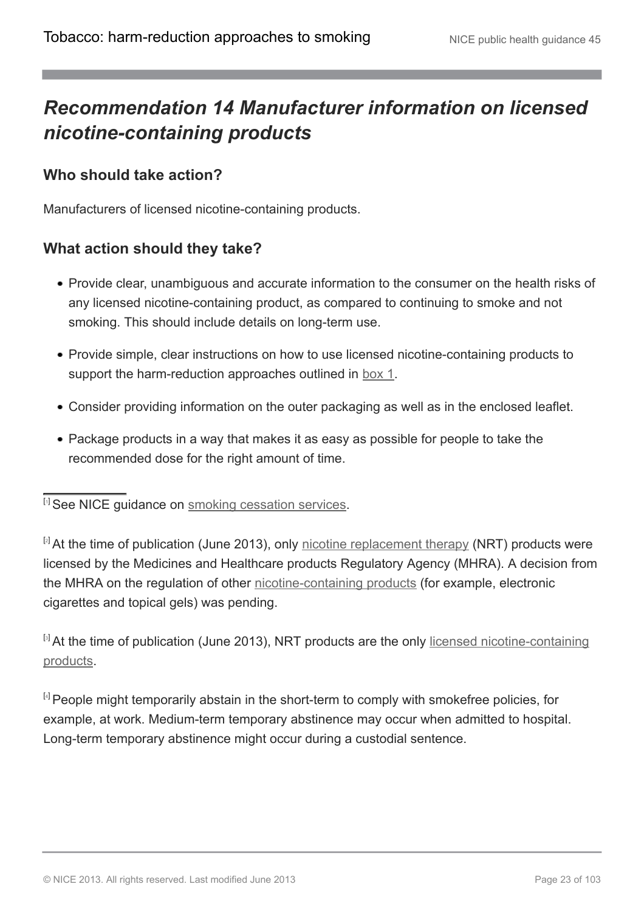## <span id="page-22-0"></span>*Recommendation 14 Manufacturer information on licensed nicotine-containing products*

#### **Who should take action?**

Manufacturers of licensed nicotine-containing products.

#### **What action should they take?**

- Provide clear, unambiguous and accurate information to the consumer on the health risks of any licensed nicotine-containing product, as compared to continuing to smoke and not smoking. This should include details on long-term use.
- Provide simple, clear instructions on how to use licensed nicotine-containing products to support the harm-reduction approaches outlined in [box 1](http://publications.nice.org.uk/tobacco-harm-reduction-approaches-to-smoking-ph45/recommendations#definitions).
- Consider providing information on the outer packaging as well as in the enclosed leaflet.
- Package products in a way that makes it as easy as possible for people to take the recommended dose for the right amount of time.

<span id="page-22-1"></span>[[1](#page-7-3)] See NICE guidance on [smoking cessation services.](http://guidance.nice.org.uk/PH10)

<span id="page-22-2"></span> $[2]$  $[2]$  $[2]$  At the time of publication (June 2013), only [nicotine replacement therapy](http://publications.nice.org.uk/tobacco-harm-reduction-approaches-to-smoking-ph45/glossary) (NRT) products were licensed by the Medicines and Healthcare products Regulatory Agency (MHRA). A decision from the MHRA on the regulation of other [nicotine-containing products](http://publications.nice.org.uk/tobacco-harm-reduction-approaches-to-smoking-ph45/glossary) (for example, electronic cigarettes and topical gels) was pending.

<span id="page-22-3"></span><sup>[[3](#page-10-1)]</sup> At the time of publication (June 2013), NRT products are the only [licensed nicotine-containing](http://publications.nice.org.uk/tobacco-harm-reduction-approaches-to-smoking-ph45/glossary) [products](http://publications.nice.org.uk/tobacco-harm-reduction-approaches-to-smoking-ph45/glossary).

<span id="page-22-4"></span><sup>[[4](#page-17-1)]</sup> People might temporarily abstain in the short-term to comply with smokefree policies, for example, at work. Medium-term temporary abstinence may occur when admitted to hospital. Long-term temporary abstinence might occur during a custodial sentence.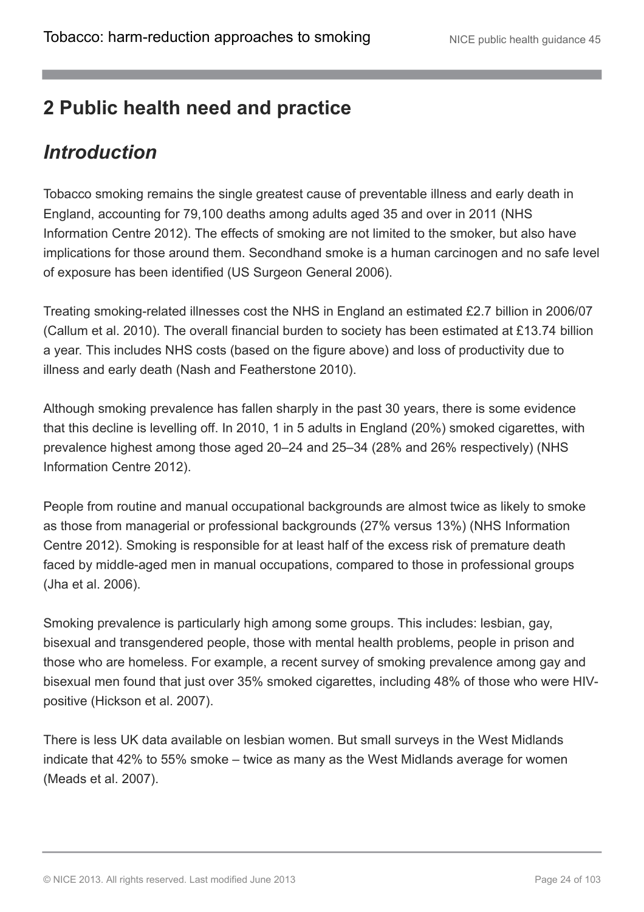## <span id="page-23-0"></span>**2 Public health need and practice**

### <span id="page-23-1"></span>*Introduction*

Tobacco smoking remains the single greatest cause of preventable illness and early death in England, accounting for 79,100 deaths among adults aged 35 and over in 2011 (NHS Information Centre 2012). The effects of smoking are not limited to the smoker, but also have implications for those around them. Secondhand smoke is a human carcinogen and no safe level of exposure has been identified (US Surgeon General 2006).

Treating smoking-related illnesses cost the NHS in England an estimated £2.7 billion in 2006/07 (Callum et al. 2010). The overall financial burden to society has been estimated at £13.74 billion a year. This includes NHS costs (based on the figure above) and loss of productivity due to illness and early death (Nash and Featherstone 2010).

Although smoking prevalence has fallen sharply in the past 30 years, there is some evidence that this decline is levelling off. In 2010, 1 in 5 adults in England (20%) smoked cigarettes, with prevalence highest among those aged 20–24 and 25–34 (28% and 26% respectively) (NHS Information Centre 2012).

People from routine and manual occupational backgrounds are almost twice as likely to smoke as those from managerial or professional backgrounds (27% versus 13%) (NHS Information Centre 2012). Smoking is responsible for at least half of the excess risk of premature death faced by middle-aged men in manual occupations, compared to those in professional groups (Jha et al. 2006).

Smoking prevalence is particularly high among some groups. This includes: lesbian, gay, bisexual and transgendered people, those with mental health problems, people in prison and those who are homeless. For example, a recent survey of smoking prevalence among gay and bisexual men found that just over 35% smoked cigarettes, including 48% of those who were HIVpositive (Hickson et al. 2007).

There is less UK data available on lesbian women. But small surveys in the West Midlands indicate that 42% to 55% smoke – twice as many as the West Midlands average for women (Meads et al. 2007).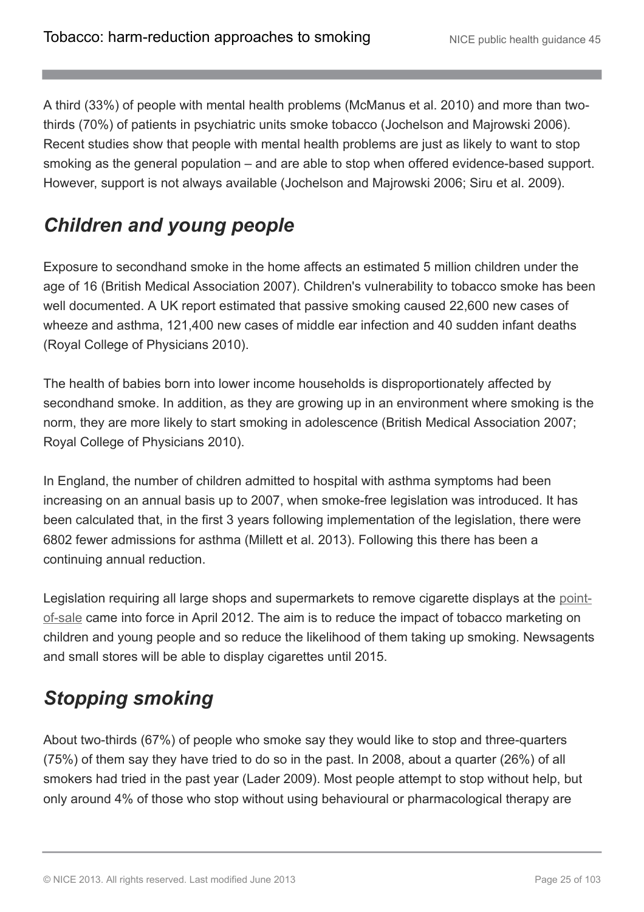A third (33%) of people with mental health problems (McManus et al. 2010) and more than twothirds (70%) of patients in psychiatric units smoke tobacco (Jochelson and Majrowski 2006). Recent studies show that people with mental health problems are just as likely to want to stop smoking as the general population – and are able to stop when offered evidence-based support. However, support is not always available (Jochelson and Majrowski 2006; Siru et al. 2009).

## <span id="page-24-0"></span>*Children and young people*

Exposure to secondhand smoke in the home affects an estimated 5 million children under the age of 16 (British Medical Association 2007). Children's vulnerability to tobacco smoke has been well documented. A UK report estimated that passive smoking caused 22,600 new cases of wheeze and asthma, 121,400 new cases of middle ear infection and 40 sudden infant deaths (Royal College of Physicians 2010).

The health of babies born into lower income households is disproportionately affected by secondhand smoke. In addition, as they are growing up in an environment where smoking is the norm, they are more likely to start smoking in adolescence (British Medical Association 2007; Royal College of Physicians 2010).

In England, the number of children admitted to hospital with asthma symptoms had been increasing on an annual basis up to 2007, when smoke-free legislation was introduced. It has been calculated that, in the first 3 years following implementation of the legislation, there were 6802 fewer admissions for asthma (Millett et al. 2013). Following this there has been a continuing annual reduction.

Legislation requiring all large shops and supermarkets to remove cigarette displays at the [point](http://publications.nice.org.uk/tobacco-harm-reduction-approaches-to-smoking-ph45/glossary#point-of-sale)[of-sale](http://publications.nice.org.uk/tobacco-harm-reduction-approaches-to-smoking-ph45/glossary#point-of-sale) came into force in April 2012. The aim is to reduce the impact of tobacco marketing on children and young people and so reduce the likelihood of them taking up smoking. Newsagents and small stores will be able to display cigarettes until 2015.

## <span id="page-24-1"></span>*Stopping smoking*

About two-thirds (67%) of people who smoke say they would like to stop and three-quarters (75%) of them say they have tried to do so in the past. In 2008, about a quarter (26%) of all smokers had tried in the past year (Lader 2009). Most people attempt to stop without help, but only around 4% of those who stop without using behavioural or pharmacological therapy are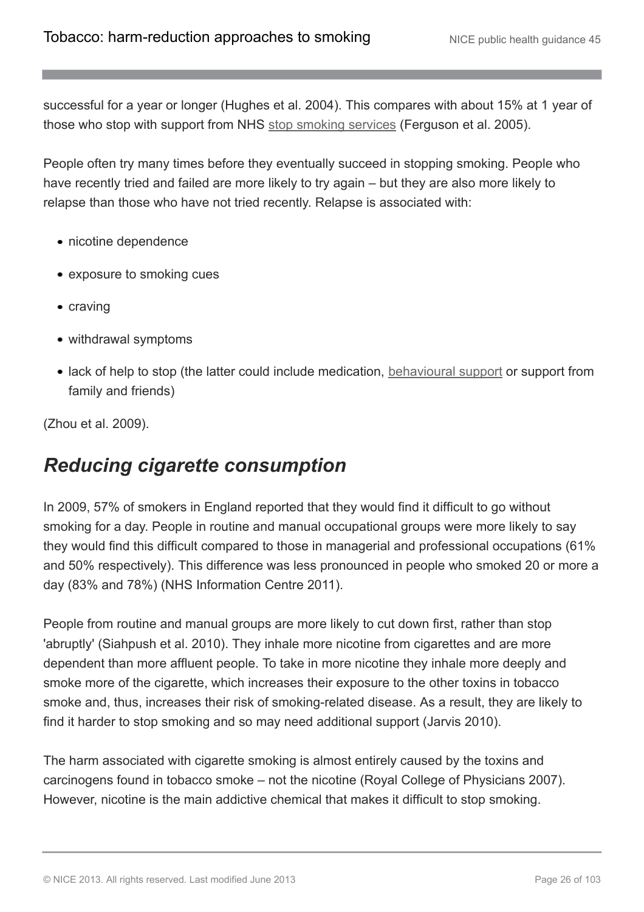successful for a year or longer (Hughes et al. 2004). This compares with about 15% at 1 year of those who stop with support from NHS [stop smoking services](http://publications.nice.org.uk/tobacco-harm-reduction-approaches-to-smoking-ph45/glossary#stop-smoking-services-2) (Ferguson et al. 2005).

People often try many times before they eventually succeed in stopping smoking. People who have recently tried and failed are more likely to try again – but they are also more likely to relapse than those who have not tried recently. Relapse is associated with:

- nicotine dependence
- exposure to smoking cues
- craving
- withdrawal symptoms
- lack of help to stop (the latter could include medication, [behavioural support](http://publications.nice.org.uk/tobacco-harm-reduction-approaches-to-smoking-ph45/glossary#behavioural-support-for-tobacco-harm-reduction) or support from family and friends)

(Zhou et al. 2009).

### <span id="page-25-0"></span>*Reducing cigarette consumption*

In 2009, 57% of smokers in England reported that they would find it difficult to go without smoking for a day. People in routine and manual occupational groups were more likely to say they would find this difficult compared to those in managerial and professional occupations (61% and 50% respectively). This difference was less pronounced in people who smoked 20 or more a day (83% and 78%) (NHS Information Centre 2011).

People from routine and manual groups are more likely to cut down first, rather than stop 'abruptly' (Siahpush et al. 2010). They inhale more nicotine from cigarettes and are more dependent than more affluent people. To take in more nicotine they inhale more deeply and smoke more of the cigarette, which increases their exposure to the other toxins in tobacco smoke and, thus, increases their risk of smoking-related disease. As a result, they are likely to find it harder to stop smoking and so may need additional support (Jarvis 2010).

The harm associated with cigarette smoking is almost entirely caused by the toxins and carcinogens found in tobacco smoke – not the nicotine (Royal College of Physicians 2007). However, nicotine is the main addictive chemical that makes it difficult to stop smoking.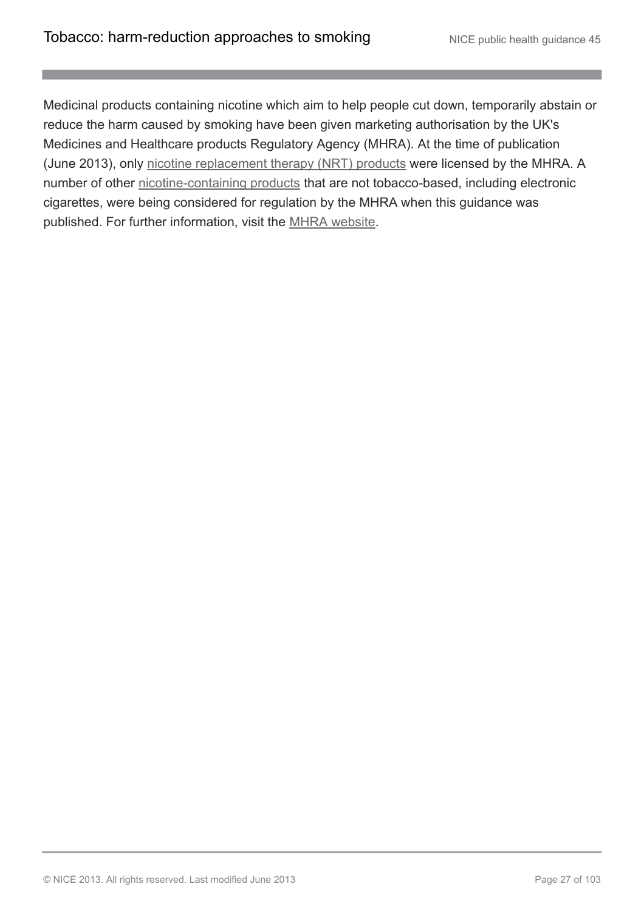Medicinal products containing nicotine which aim to help people cut down, temporarily abstain or reduce the harm caused by smoking have been given marketing authorisation by the UK's Medicines and Healthcare products Regulatory Agency (MHRA). At the time of publication (June 2013), only [nicotine replacement therapy \(NRT\) products](http://publications.nice.org.uk/tobacco-harm-reduction-approaches-to-smoking-ph45/glossary#nicotine-replacement-therapy-nrt-products) were licensed by the MHRA. A number of other [nicotine-containing products](http://publications.nice.org.uk/tobacco-harm-reduction-approaches-to-smoking-ph45/glossary#nicotine-containing-products-2) that are not tobacco-based, including electronic cigarettes, were being considered for regulation by the MHRA when this guidance was published. For further information, visit the [MHRA website.](http://www.mhra.gov.uk/Publications/Consultations/Medicinesconsultations/MLXs/CON065617)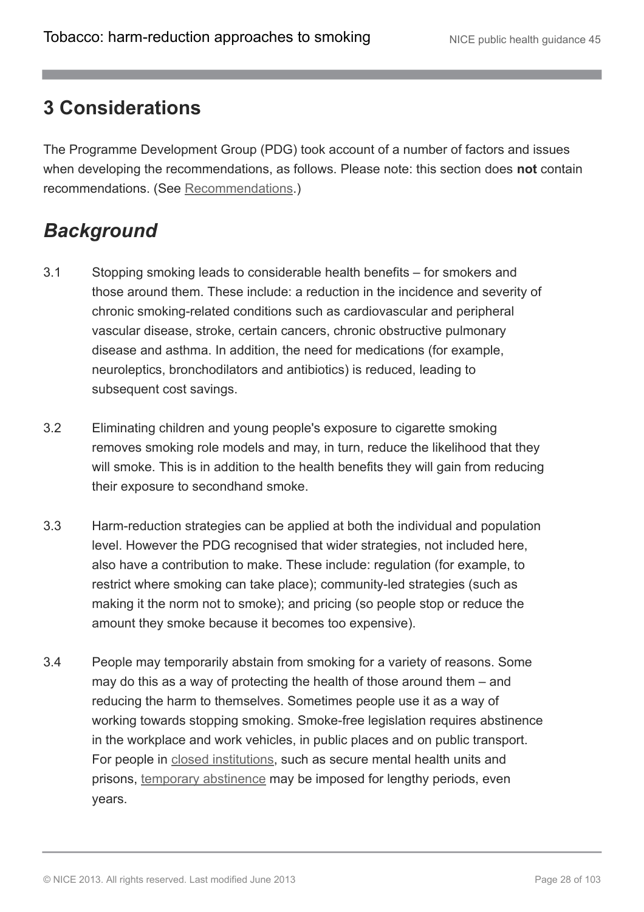### <span id="page-27-0"></span>**3 Considerations**

The Programme Development Group (PDG) took account of a number of factors and issues when developing the recommendations, as follows. Please note: this section does **not** contain recommendations. (See [Recommendations.](http://publications.nice.org.uk/tobacco-harm-reduction-approaches-to-smoking-ph45/recommendations))

## <span id="page-27-1"></span>*Background*

- 3.1 Stopping smoking leads to considerable health benefits for smokers and those around them. These include: a reduction in the incidence and severity of chronic smoking-related conditions such as cardiovascular and peripheral vascular disease, stroke, certain cancers, chronic obstructive pulmonary disease and asthma. In addition, the need for medications (for example, neuroleptics, bronchodilators and antibiotics) is reduced, leading to subsequent cost savings.
- 3.2 Eliminating children and young people's exposure to cigarette smoking removes smoking role models and may, in turn, reduce the likelihood that they will smoke. This is in addition to the health benefits they will gain from reducing their exposure to secondhand smoke.
- 3.3 Harm-reduction strategies can be applied at both the individual and population level. However the PDG recognised that wider strategies, not included here, also have a contribution to make. These include: regulation (for example, to restrict where smoking can take place); community-led strategies (such as making it the norm not to smoke); and pricing (so people stop or reduce the amount they smoke because it becomes too expensive).
- 3.4 People may temporarily abstain from smoking for a variety of reasons. Some may do this as a way of protecting the health of those around them – and reducing the harm to themselves. Sometimes people use it as a way of working towards stopping smoking. Smoke-free legislation requires abstinence in the workplace and work vehicles, in public places and on public transport. For people in [closed institutions](http://publications.nice.org.uk/tobacco-harm-reduction-approaches-to-smoking-ph45/glossary#closed-institution), such as secure mental health units and prisons, [temporary abstinence](http://publications.nice.org.uk/tobacco-harm-reduction-approaches-to-smoking-ph45/glossary#temporary-abstinence) may be imposed for lengthy periods, even years.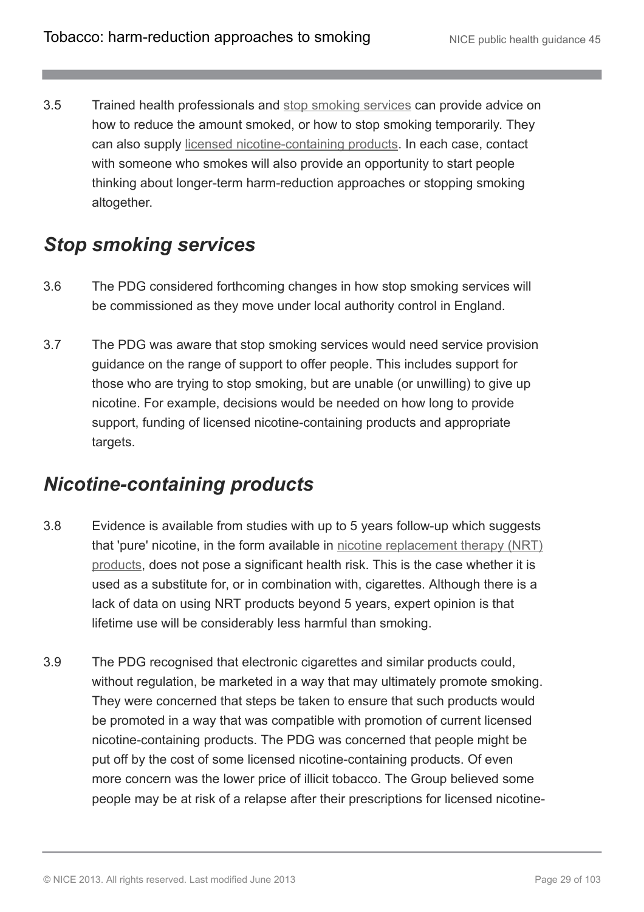3.5 Trained health professionals and [stop smoking services](http://publications.nice.org.uk/tobacco-harm-reduction-approaches-to-smoking-ph45/glossary#stop-smoking-services-2) can provide advice on how to reduce the amount smoked, or how to stop smoking temporarily. They can also supply [licensed nicotine-containing products.](http://publications.nice.org.uk/tobacco-harm-reduction-approaches-to-smoking-ph45/glossary#licensed-nicotine-containing-products) In each case, contact with someone who smokes will also provide an opportunity to start people thinking about longer-term harm-reduction approaches or stopping smoking altogether.

### <span id="page-28-0"></span>*Stop smoking services*

- 3.6 The PDG considered forthcoming changes in how stop smoking services will be commissioned as they move under local authority control in England.
- 3.7 The PDG was aware that stop smoking services would need service provision guidance on the range of support to offer people. This includes support for those who are trying to stop smoking, but are unable (or unwilling) to give up nicotine. For example, decisions would be needed on how long to provide support, funding of licensed nicotine-containing products and appropriate targets.

### <span id="page-28-1"></span>*Nicotine-containing products*

- 3.8 Evidence is available from studies with up to 5 years follow-up which suggests that 'pure' nicotine, in the form available in [nicotine replacement therapy \(NRT\)](http://publications.nice.org.uk/tobacco-harm-reduction-approaches-to-smoking-ph45/glossary#nicotine-replacement-therapy-nrt-products) [products](http://publications.nice.org.uk/tobacco-harm-reduction-approaches-to-smoking-ph45/glossary#nicotine-replacement-therapy-nrt-products), does not pose a significant health risk. This is the case whether it is used as a substitute for, or in combination with, cigarettes. Although there is a lack of data on using NRT products beyond 5 years, expert opinion is that lifetime use will be considerably less harmful than smoking.
- 3.9 The PDG recognised that electronic cigarettes and similar products could, without regulation, be marketed in a way that may ultimately promote smoking. They were concerned that steps be taken to ensure that such products would be promoted in a way that was compatible with promotion of current licensed nicotine-containing products. The PDG was concerned that people might be put off by the cost of some licensed nicotine-containing products. Of even more concern was the lower price of illicit tobacco. The Group believed some people may be at risk of a relapse after their prescriptions for licensed nicotine-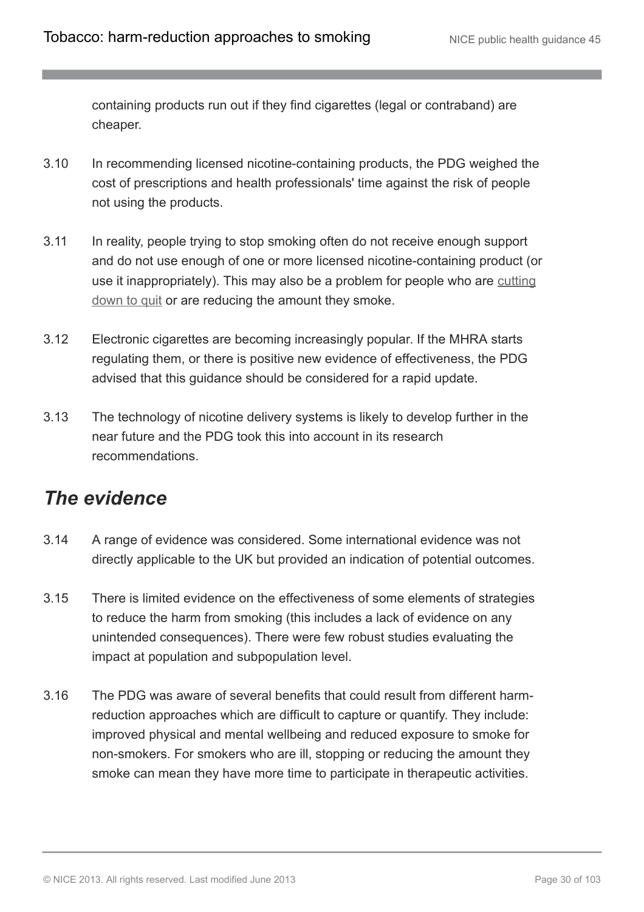containing products run out if they find cigarettes (legal or contraband) are cheaper.

- 3.10 In recommending licensed nicotine-containing products, the PDG weighed the cost of prescriptions and health professionals' time against the risk of people not using the products.
- 3.11 In reality, people trying to stop smoking often do not receive enough support and do not use enough of one or more licensed nicotine-containing product (or use it inappropriately). This may also be a problem for people who are [cutting](http://publications.nice.org.uk/tobacco-harm-reduction-approaches-to-smoking-ph45/glossary#cutting-down-prior-to-stopping-cut-down-to-quit) [down to quit](http://publications.nice.org.uk/tobacco-harm-reduction-approaches-to-smoking-ph45/glossary#cutting-down-prior-to-stopping-cut-down-to-quit) or are reducing the amount they smoke.
- 3.12 Electronic cigarettes are becoming increasingly popular. If the MHRA starts regulating them, or there is positive new evidence of effectiveness, the PDG advised that this guidance should be considered for a rapid update.
- 3.13 The technology of nicotine delivery systems is likely to develop further in the near future and the PDG took this into account in its research recommendations.

### <span id="page-29-0"></span>*The evidence*

- 3.14 A range of evidence was considered. Some international evidence was not directly applicable to the UK but provided an indication of potential outcomes.
- 3.15 There is limited evidence on the effectiveness of some elements of strategies to reduce the harm from smoking (this includes a lack of evidence on any unintended consequences). There were few robust studies evaluating the impact at population and subpopulation level.
- 3.16 The PDG was aware of several benefits that could result from different harmreduction approaches which are difficult to capture or quantify. They include: improved physical and mental wellbeing and reduced exposure to smoke for non-smokers. For smokers who are ill, stopping or reducing the amount they smoke can mean they have more time to participate in therapeutic activities.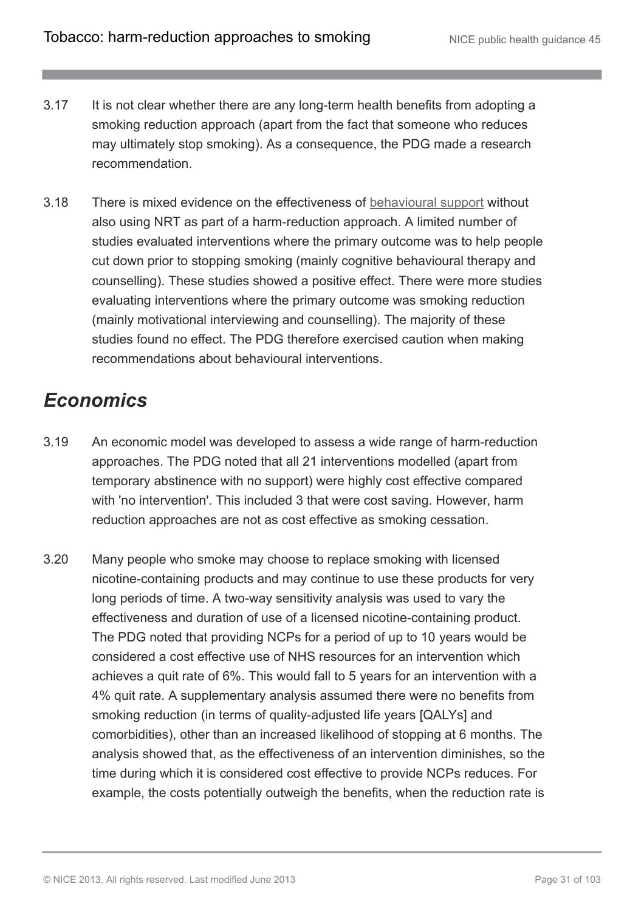- 3.17 It is not clear whether there are any long-term health benefits from adopting a smoking reduction approach (apart from the fact that someone who reduces may ultimately stop smoking). As a consequence, the PDG made a research recommendation.
- 3.18 There is mixed evidence on the effectiveness of [behavioural support](http://publications.nice.org.uk/tobacco-harm-reduction-approaches-to-smoking-ph45/glossary#behavioural-support-for-tobacco-harm-reduction) without also using NRT as part of a harm-reduction approach. A limited number of studies evaluated interventions where the primary outcome was to help people cut down prior to stopping smoking (mainly cognitive behavioural therapy and counselling). These studies showed a positive effect. There were more studies evaluating interventions where the primary outcome was smoking reduction (mainly motivational interviewing and counselling). The majority of these studies found no effect. The PDG therefore exercised caution when making recommendations about behavioural interventions.

## <span id="page-30-0"></span>*Economics*

- 3.19 An economic model was developed to assess a wide range of harm-reduction approaches. The PDG noted that all 21 interventions modelled (apart from temporary abstinence with no support) were highly cost effective compared with 'no intervention'. This included 3 that were cost saving. However, harm reduction approaches are not as cost effective as smoking cessation.
- 3.20 Many people who smoke may choose to replace smoking with licensed nicotine-containing products and may continue to use these products for very long periods of time. A two-way sensitivity analysis was used to vary the effectiveness and duration of use of a licensed nicotine-containing product. The PDG noted that providing NCPs for a period of up to 10 years would be considered a cost effective use of NHS resources for an intervention which achieves a quit rate of 6%. This would fall to 5 years for an intervention with a 4% quit rate. A supplementary analysis assumed there were no benefits from smoking reduction (in terms of quality-adjusted life years [QALYs] and comorbidities), other than an increased likelihood of stopping at 6 months. The analysis showed that, as the effectiveness of an intervention diminishes, so the time during which it is considered cost effective to provide NCPs reduces. For example, the costs potentially outweigh the benefits, when the reduction rate is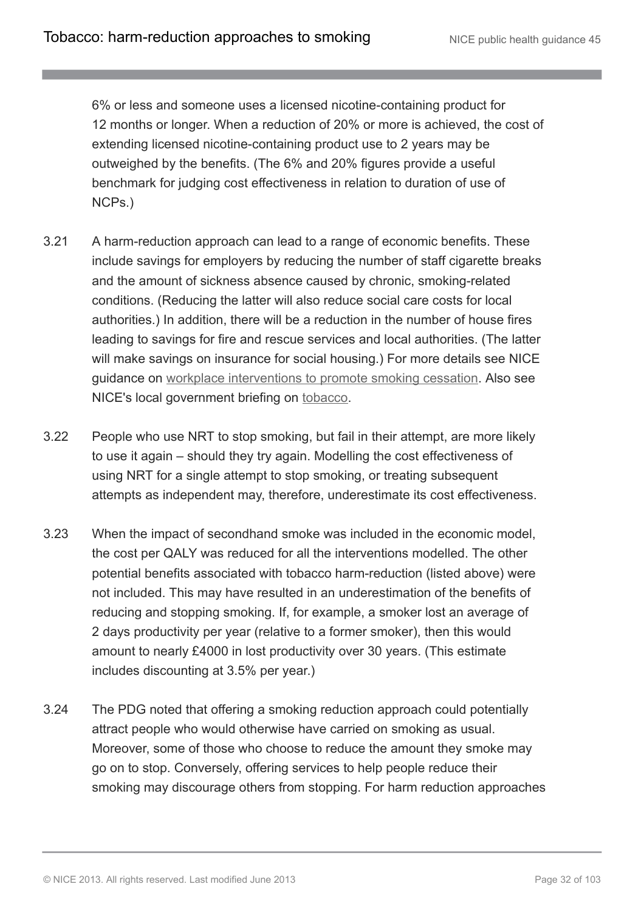6% or less and someone uses a licensed nicotine-containing product for 12 months or longer. When a reduction of 20% or more is achieved, the cost of extending licensed nicotine-containing product use to 2 years may be outweighed by the benefits. (The 6% and 20% figures provide a useful benchmark for judging cost effectiveness in relation to duration of use of NCPs.)

- 3.21 A harm-reduction approach can lead to a range of economic benefits. These include savings for employers by reducing the number of staff cigarette breaks and the amount of sickness absence caused by chronic, smoking-related conditions. (Reducing the latter will also reduce social care costs for local authorities.) In addition, there will be a reduction in the number of house fires leading to savings for fire and rescue services and local authorities. (The latter will make savings on insurance for social housing.) For more details see NICE guidance on [workplace interventions to promote smoking cessation.](http://guidance.nice.org.uk/ph5) Also see NICE's local government briefing on [tobacco](http://publications.nice.org.uk/tobacco-phb1).
- 3.22 People who use NRT to stop smoking, but fail in their attempt, are more likely to use it again – should they try again. Modelling the cost effectiveness of using NRT for a single attempt to stop smoking, or treating subsequent attempts as independent may, therefore, underestimate its cost effectiveness.
- 3.23 When the impact of secondhand smoke was included in the economic model, the cost per QALY was reduced for all the interventions modelled. The other potential benefits associated with tobacco harm-reduction (listed above) were not included. This may have resulted in an underestimation of the benefits of reducing and stopping smoking. If, for example, a smoker lost an average of 2 days productivity per year (relative to a former smoker), then this would amount to nearly £4000 in lost productivity over 30 years. (This estimate includes discounting at 3.5% per year.)
- 3.24 The PDG noted that offering a smoking reduction approach could potentially attract people who would otherwise have carried on smoking as usual. Moreover, some of those who choose to reduce the amount they smoke may go on to stop. Conversely, offering services to help people reduce their smoking may discourage others from stopping. For harm reduction approaches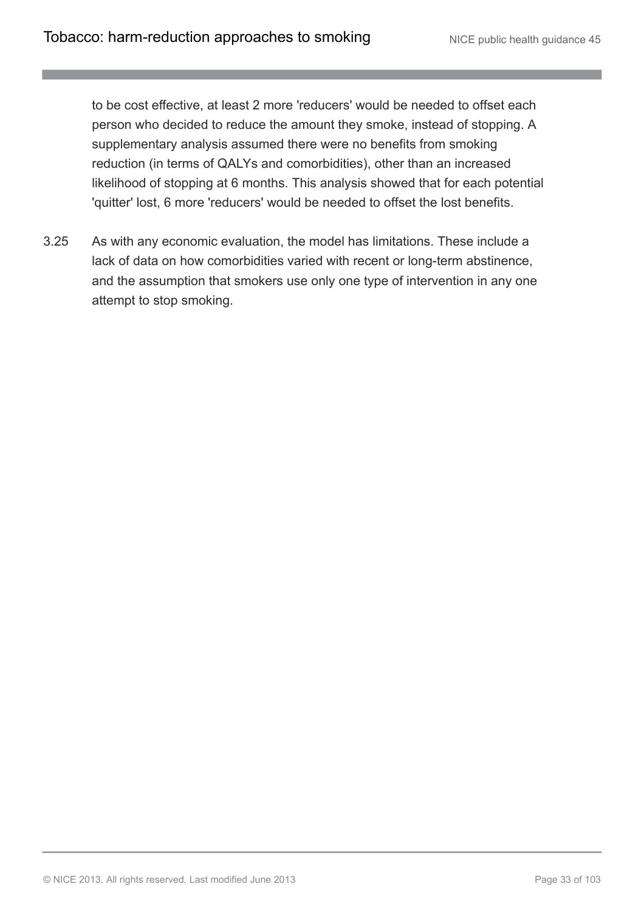to be cost effective, at least 2 more 'reducers' would be needed to offset each person who decided to reduce the amount they smoke, instead of stopping. A supplementary analysis assumed there were no benefits from smoking reduction (in terms of QALYs and comorbidities), other than an increased likelihood of stopping at 6 months. This analysis showed that for each potential 'quitter' lost, 6 more 'reducers' would be needed to offset the lost benefits.

3.25 As with any economic evaluation, the model has limitations. These include a lack of data on how comorbidities varied with recent or long-term abstinence, and the assumption that smokers use only one type of intervention in any one attempt to stop smoking.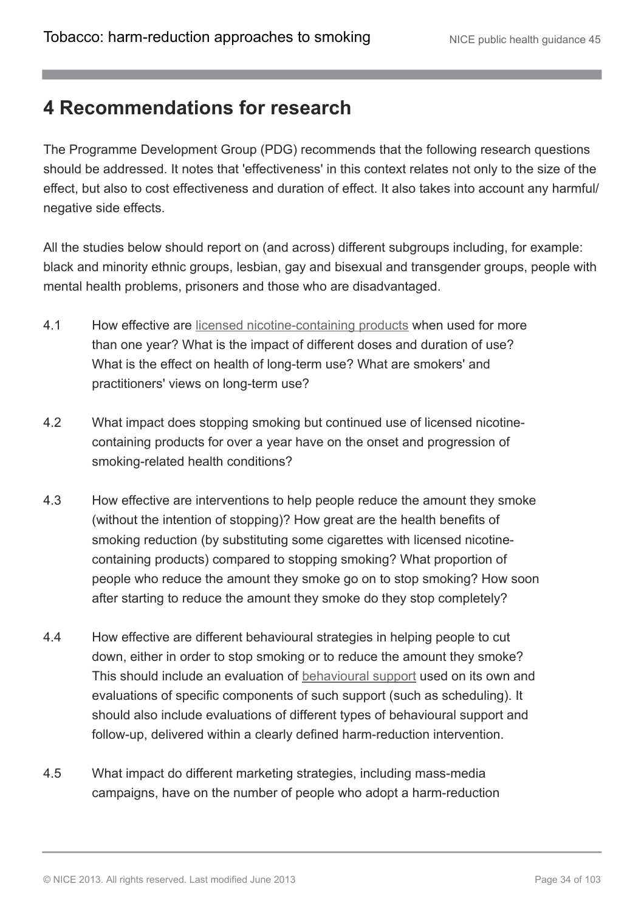### <span id="page-33-0"></span>**4 Recommendations for research**

The Programme Development Group (PDG) recommends that the following research questions should be addressed. It notes that 'effectiveness' in this context relates not only to the size of the effect, but also to cost effectiveness and duration of effect. It also takes into account any harmful/ negative side effects.

All the studies below should report on (and across) different subgroups including, for example: black and minority ethnic groups, lesbian, gay and bisexual and transgender groups, people with mental health problems, prisoners and those who are disadvantaged.

- 4.1 How effective are [licensed nicotine-containing products](http://publications.nice.org.uk/tobacco-harm-reduction-approaches-to-smoking-ph45/glossary#licensed-nicotine-containing-products) when used for more than one year? What is the impact of different doses and duration of use? What is the effect on health of long-term use? What are smokers' and practitioners' views on long-term use?
- 4.2 What impact does stopping smoking but continued use of licensed nicotinecontaining products for over a year have on the onset and progression of smoking-related health conditions?
- 4.3 How effective are interventions to help people reduce the amount they smoke (without the intention of stopping)? How great are the health benefits of smoking reduction (by substituting some cigarettes with licensed nicotinecontaining products) compared to stopping smoking? What proportion of people who reduce the amount they smoke go on to stop smoking? How soon after starting to reduce the amount they smoke do they stop completely?
- 4.4 How effective are different behavioural strategies in helping people to cut down, either in order to stop smoking or to reduce the amount they smoke? This should include an evaluation of [behavioural support](http://publications.nice.org.uk/tobacco-harm-reduction-approaches-to-smoking-ph45/glossary#behavioural-support-for-tobacco-harm-reduction) used on its own and evaluations of specific components of such support (such as scheduling). It should also include evaluations of different types of behavioural support and follow-up, delivered within a clearly defined harm-reduction intervention.
- 4.5 What impact do different marketing strategies, including mass-media campaigns, have on the number of people who adopt a harm-reduction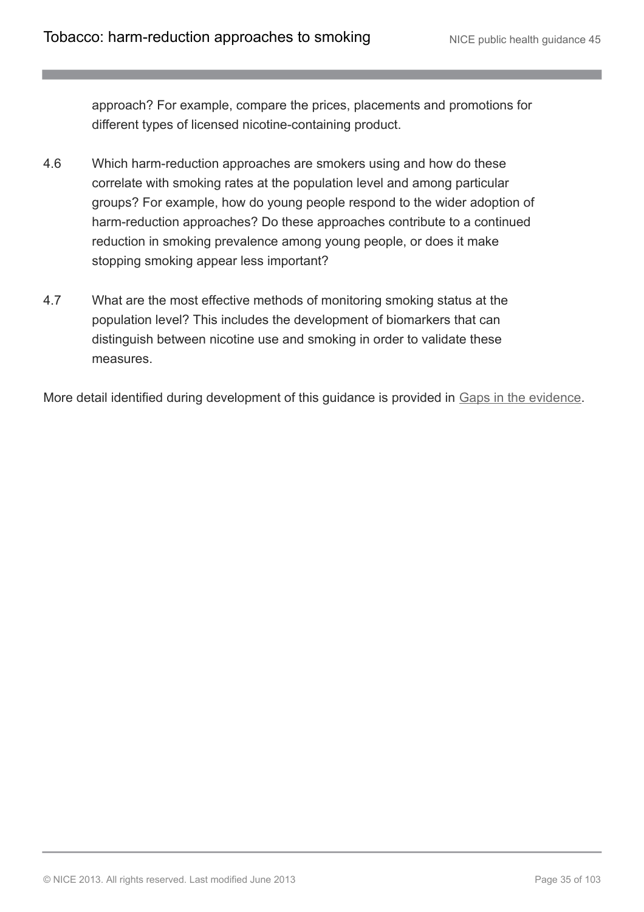approach? For example, compare the prices, placements and promotions for different types of licensed nicotine-containing product.

- 4.6 Which harm-reduction approaches are smokers using and how do these correlate with smoking rates at the population level and among particular groups? For example, how do young people respond to the wider adoption of harm-reduction approaches? Do these approaches contribute to a continued reduction in smoking prevalence among young people, or does it make stopping smoking appear less important?
- 4.7 What are the most effective methods of monitoring smoking status at the population level? This includes the development of biomarkers that can distinguish between nicotine use and smoking in order to validate these measures.

More detail identified during development of this guidance is provided in [Gaps in the evidence.](http://publications.nice.org.uk/tobacco-harm-reduction-approaches-to-smoking-ph45/gaps-in-the-evidence)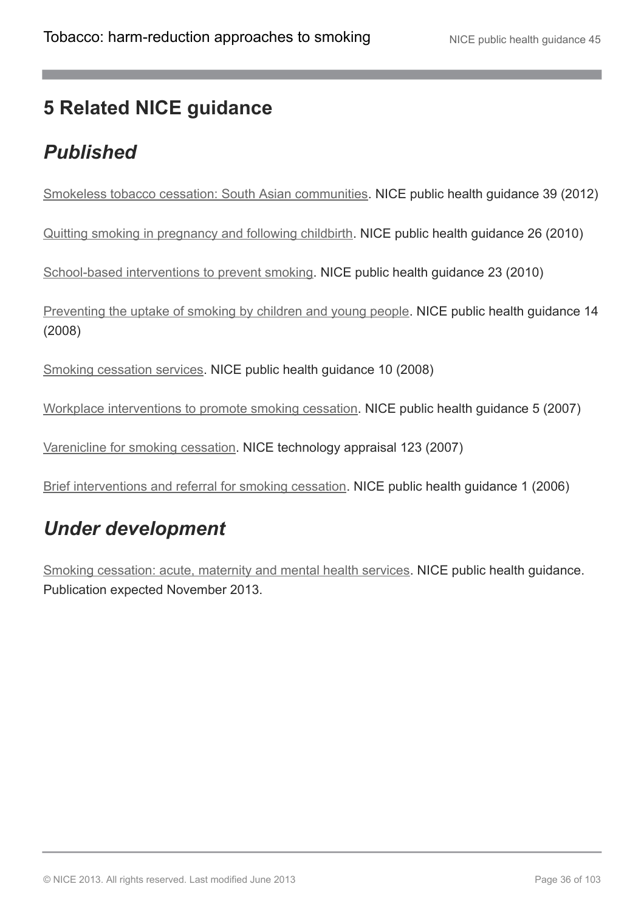## <span id="page-35-0"></span>**5 Related NICE guidance**

## <span id="page-35-1"></span>*Published*

[Smokeless tobacco cessation: South Asian communities](http://guidance.nice.org.uk/PH39). NICE public health guidance 39 (2012)

[Quitting smoking in pregnancy and following childbirth](http://www.nice.org.uk/guidance/PH26). NICE public health guidance 26 (2010)

[School-based interventions to prevent smoking](http://www.nice.org.uk/guidance/PH23). NICE public health guidance 23 (2010)

[Preventing the uptake of smoking by children and young people](http://www.nice.org.uk/guidance/PH14). NICE public health guidance 14 (2008)

[Smoking cessation services](http://www.nice.org.uk/guidance/PH10). NICE public health guidance 10 (2008)

[Workplace interventions to promote smoking cessation.](http://www.nice.org.uk/guidance/PH5) NICE public health guidance 5 (2007)

[Varenicline for smoking cessation.](http://www.nice.org.uk/guidance/TA123) NICE technology appraisal 123 (2007)

[Brief interventions and referral for smoking cessation](http://www.nice.org.uk/guidance/PH1). NICE public health guidance 1 (2006)

## <span id="page-35-2"></span>*Under development*

[Smoking cessation: acute, maternity and mental health services.](http://guidance.nice.org.uk/PHG/51) NICE public health guidance. Publication expected November 2013.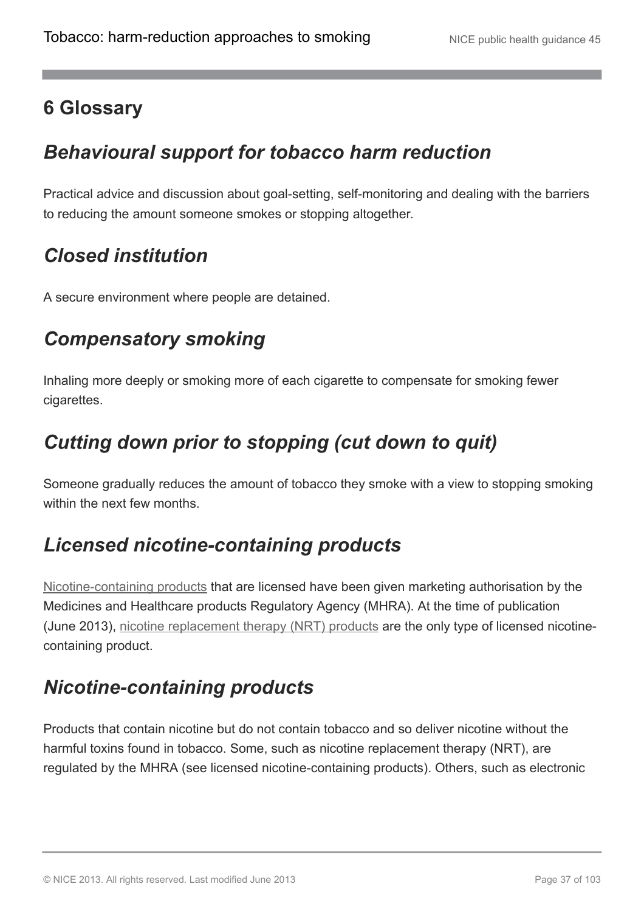## **6 Glossary**

## *Behavioural support for tobacco harm reduction*

Practical advice and discussion about goal-setting, self-monitoring and dealing with the barriers to reducing the amount someone smokes or stopping altogether.

## *Closed institution*

A secure environment where people are detained.

## *Compensatory smoking*

Inhaling more deeply or smoking more of each cigarette to compensate for smoking fewer cigarettes.

# *Cutting down prior to stopping (cut down to quit)*

Someone gradually reduces the amount of tobacco they smoke with a view to stopping smoking within the next few months.

# *Licensed nicotine-containing products*

[Nicotine-containing products](http://publications.nice.org.uk/tobacco-harm-reduction-approaches-to-smoking-ph45/glossary#nicotine-containing-products-2) that are licensed have been given marketing authorisation by the Medicines and Healthcare products Regulatory Agency (MHRA). At the time of publication (June 2013), [nicotine replacement therapy \(NRT\) products](http://publications.nice.org.uk/tobacco-harm-reduction-approaches-to-smoking-ph45/glossary#nicotine-replacement-therapy-nrt-products) are the only type of licensed nicotinecontaining product.

# *Nicotine-containing products*

Products that contain nicotine but do not contain tobacco and so deliver nicotine without the harmful toxins found in tobacco. Some, such as nicotine replacement therapy (NRT), are regulated by the MHRA (see licensed nicotine-containing products). Others, such as electronic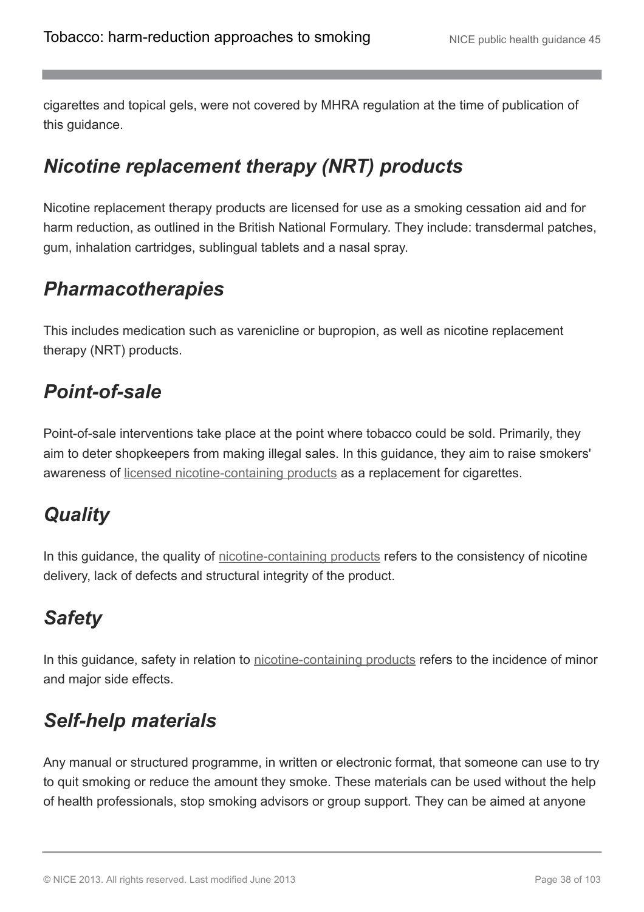cigarettes and topical gels, were not covered by MHRA regulation at the time of publication of this guidance.

# *Nicotine replacement therapy (NRT) products*

Nicotine replacement therapy products are licensed for use as a smoking cessation aid and for harm reduction, as outlined in the British National Formulary. They include: transdermal patches, gum, inhalation cartridges, sublingual tablets and a nasal spray.

# *Pharmacotherapies*

This includes medication such as varenicline or bupropion, as well as nicotine replacement therapy (NRT) products.

# *Point-of-sale*

Point-of-sale interventions take place at the point where tobacco could be sold. Primarily, they aim to deter shopkeepers from making illegal sales. In this guidance, they aim to raise smokers' awareness of [licensed nicotine-containing products](http://publications.nice.org.uk/tobacco-harm-reduction-approaches-to-smoking-ph45/glossary#licensed-nicotine-containing-products) as a replacement for cigarettes.

# *Quality*

In this guidance, the quality of [nicotine-containing products](http://publications.nice.org.uk/tobacco-harm-reduction-approaches-to-smoking-ph45/glossary#nicotine-containing-products-2) refers to the consistency of nicotine delivery, lack of defects and structural integrity of the product.

# *Safety*

In this guidance, safety in relation to [nicotine-containing products](http://publications.nice.org.uk/tobacco-harm-reduction-approaches-to-smoking-ph45/glossary#nicotine-containing-products-2) refers to the incidence of minor and major side effects.

# *Self-help materials*

Any manual or structured programme, in written or electronic format, that someone can use to try to quit smoking or reduce the amount they smoke. These materials can be used without the help of health professionals, stop smoking advisors or group support. They can be aimed at anyone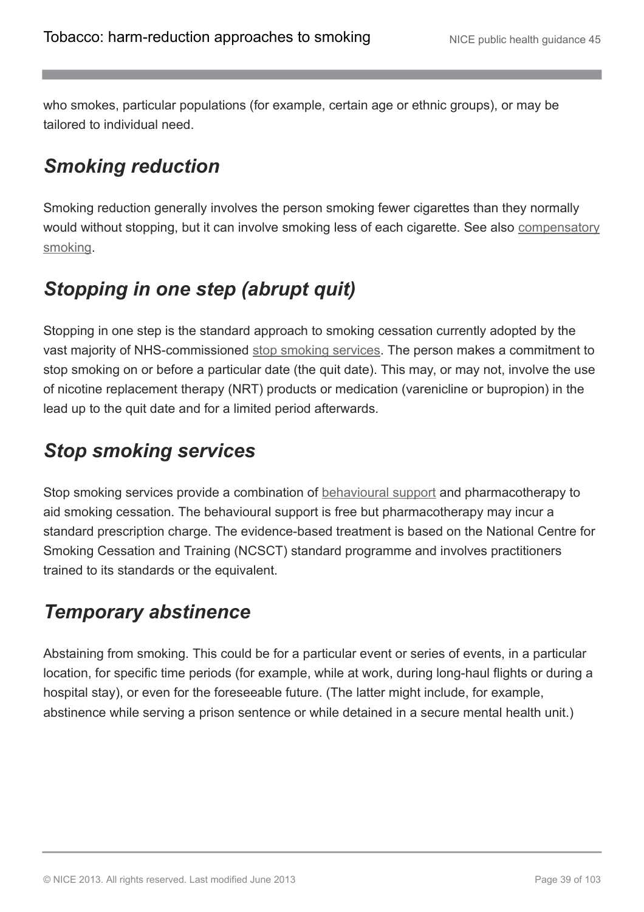who smokes, particular populations (for example, certain age or ethnic groups), or may be tailored to individual need.

# *Smoking reduction*

Smoking reduction generally involves the person smoking fewer cigarettes than they normally would without stopping, but it can involve smoking less of each cigarette. See also [compensatory](http://publications.nice.org.uk/tobacco-harm-reduction-approaches-to-smoking-ph45/glossary#compensatory-smoking) [smoking.](http://publications.nice.org.uk/tobacco-harm-reduction-approaches-to-smoking-ph45/glossary#compensatory-smoking)

# *Stopping in one step (abrupt quit)*

Stopping in one step is the standard approach to smoking cessation currently adopted by the vast majority of NHS-commissioned [stop smoking services](http://publications.nice.org.uk/tobacco-harm-reduction-approaches-to-smoking-ph45/glossary#stop-smoking-services-2). The person makes a commitment to stop smoking on or before a particular date (the quit date). This may, or may not, involve the use of nicotine replacement therapy (NRT) products or medication (varenicline or bupropion) in the lead up to the quit date and for a limited period afterwards.

# *Stop smoking services*

Stop smoking services provide a combination of [behavioural support](http://publications.nice.org.uk/tobacco-harm-reduction-approaches-to-smoking-ph45/glossary#behavioural-support-for-tobacco-harm-reduction) and pharmacotherapy to aid smoking cessation. The behavioural support is free but pharmacotherapy may incur a standard prescription charge. The evidence-based treatment is based on the National Centre for Smoking Cessation and Training (NCSCT) standard programme and involves practitioners trained to its standards or the equivalent.

# *Temporary abstinence*

Abstaining from smoking. This could be for a particular event or series of events, in a particular location, for specific time periods (for example, while at work, during long-haul flights or during a hospital stay), or even for the foreseeable future. (The latter might include, for example, abstinence while serving a prison sentence or while detained in a secure mental health unit.)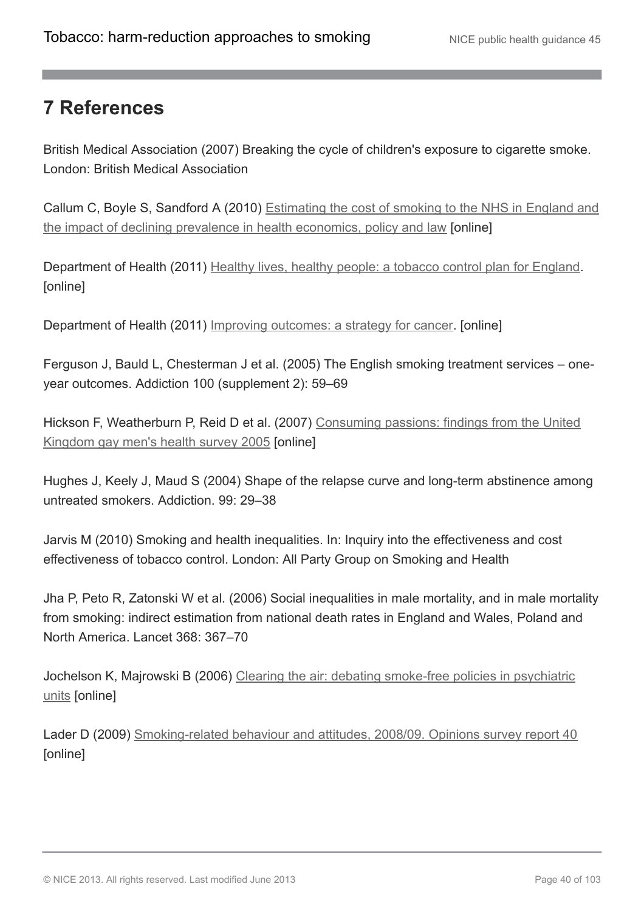## **7 References**

British Medical Association (2007) Breaking the cycle of children's exposure to cigarette smoke. London: British Medical Association

Callum C, Boyle S, Sandford A (2010) [Estimating the cost of smoking to the NHS in England and](http://journals.cambridge.org/action/displayJournal?jid=HEP) [the impact of declining prevalence in health economics, policy and law](http://journals.cambridge.org/action/displayJournal?jid=HEP) [online]

Department of Health (2011) [Healthy lives, healthy people: a tobacco control plan for England](https://www.gov.uk/government/publications/the-tobacco-control-plan-for-england). [online]

Department of Health (2011) [Improving outcomes: a strategy for cancer.](https://www.gov.uk/government/publications/the-national-cancer-strategy) [online]

Ferguson J, Bauld L, Chesterman J et al. (2005) The English smoking treatment services – oneyear outcomes. Addiction 100 (supplement 2): 59–69

Hickson F, Weatherburn P, Reid D et al. (2007) [Consuming passions: findings from the United](http://www.sigmaresearch.org.uk/downloads/report07c.pdf) [Kingdom gay men's health survey 2005](http://www.sigmaresearch.org.uk/downloads/report07c.pdf) [online]

Hughes J, Keely J, Maud S (2004) Shape of the relapse curve and long-term abstinence among untreated smokers. Addiction. 99: 29–38

Jarvis M (2010) Smoking and health inequalities. In: Inquiry into the effectiveness and cost effectiveness of tobacco control. London: All Party Group on Smoking and Health

Jha P, Peto R, Zatonski W et al. (2006) Social inequalities in male mortality, and in male mortality from smoking: indirect estimation from national death rates in England and Wales, Poland and North America. Lancet 368: 367–70

Jochelson K, Majrowski B (2006) [Clearing the air: debating smoke-free policies in psychiatric](http://www.spacetobreathe.org.uk/uploads/ClearingtheAir.pdf) [units](http://www.spacetobreathe.org.uk/uploads/ClearingtheAir.pdf) [online]

Lader D (2009) [Smoking-related behaviour and attitudes, 2008/09. Opinions survey report 40](http://www.ons.gov.uk/ons/rel/lifestyles/smoking-related-behaviour-and-attitudes/2008-09/index.html) [online]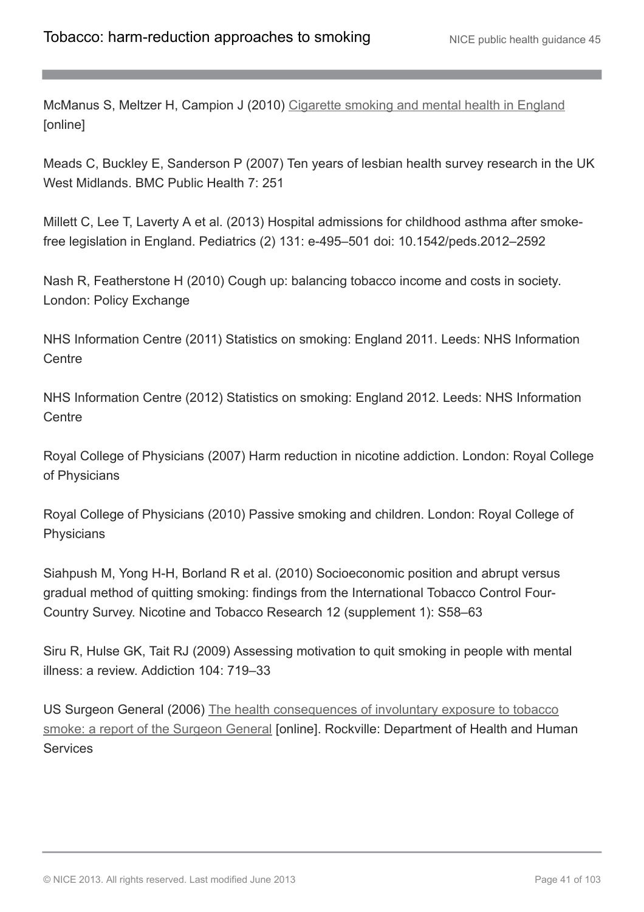McManus S, Meltzer H, Campion J (2010) [Cigarette smoking and mental health in England](http://www.natcen.ac.uk/media/660073/smoking_and_mental_health_-_final_report_revised%20and%20final.pdf) [online]

Meads C, Buckley E, Sanderson P (2007) Ten years of lesbian health survey research in the UK West Midlands. BMC Public Health 7: 251

Millett C, Lee T, Laverty A et al. (2013) Hospital admissions for childhood asthma after smokefree legislation in England. Pediatrics (2) 131: e-495–501 doi: 10.1542/peds.2012–2592

Nash R, Featherstone H (2010) Cough up: balancing tobacco income and costs in society. London: Policy Exchange

NHS Information Centre (2011) Statistics on smoking: England 2011. Leeds: NHS Information **Centre** 

NHS Information Centre (2012) Statistics on smoking: England 2012. Leeds: NHS Information **Centre** 

Royal College of Physicians (2007) Harm reduction in nicotine addiction. London: Royal College of Physicians

Royal College of Physicians (2010) Passive smoking and children. London: Royal College of **Physicians** 

Siahpush M, Yong H-H, Borland R et al. (2010) Socioeconomic position and abrupt versus gradual method of quitting smoking: findings from the International Tobacco Control Four-Country Survey. Nicotine and Tobacco Research 12 (supplement 1): S58–63

Siru R, Hulse GK, Tait RJ (2009) Assessing motivation to quit smoking in people with mental illness: a review. Addiction 104: 719–33

US Surgeon General (2006) [The health consequences of involuntary exposure to tobacco](http://www.surgeongeneral.gov/library/reports/secondhandsmoke/index.html) [smoke: a report of the Surgeon General](http://www.surgeongeneral.gov/library/reports/secondhandsmoke/index.html) *[online]*. Rockville: Department of Health and Human **Services**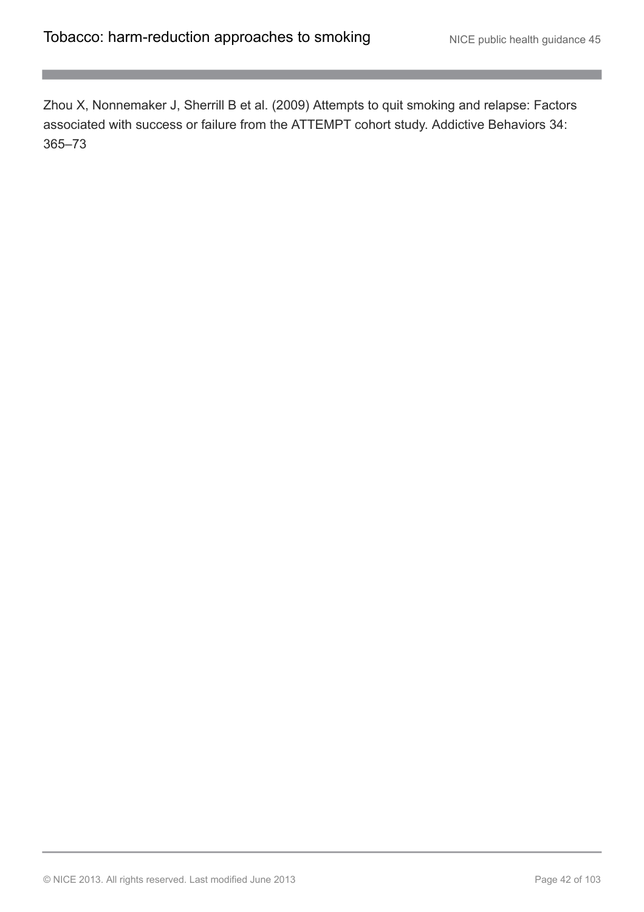Zhou X, Nonnemaker J, Sherrill B et al. (2009) Attempts to quit smoking and relapse: Factors associated with success or failure from the ATTEMPT cohort study. Addictive Behaviors 34: 365–73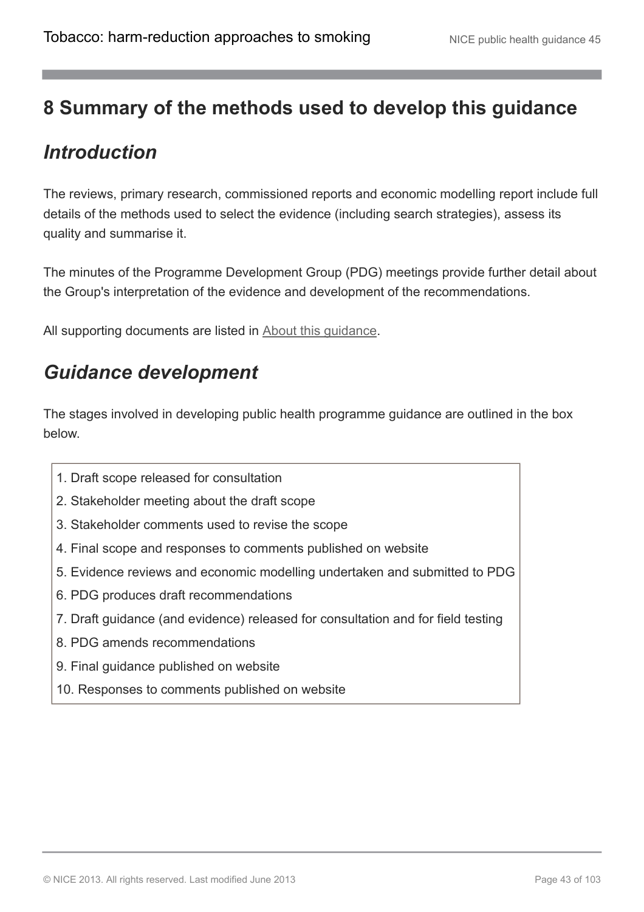## **8 Summary of the methods used to develop this guidance**

## *Introduction*

The reviews, primary research, commissioned reports and economic modelling report include full details of the methods used to select the evidence (including search strategies), assess its quality and summarise it.

The minutes of the Programme Development Group (PDG) meetings provide further detail about the Group's interpretation of the evidence and development of the recommendations.

All supporting documents are listed in **About this quidance**.

## *Guidance development*

The stages involved in developing public health programme guidance are outlined in the box below.

- 1. Draft scope released for consultation
- 2. Stakeholder meeting about the draft scope
- 3. Stakeholder comments used to revise the scope
- 4. Final scope and responses to comments published on website
- 5. Evidence reviews and economic modelling undertaken and submitted to PDG
- 6. PDG produces draft recommendations
- 7. Draft guidance (and evidence) released for consultation and for field testing
- 8. PDG amends recommendations
- 9. Final guidance published on website
- 10. Responses to comments published on website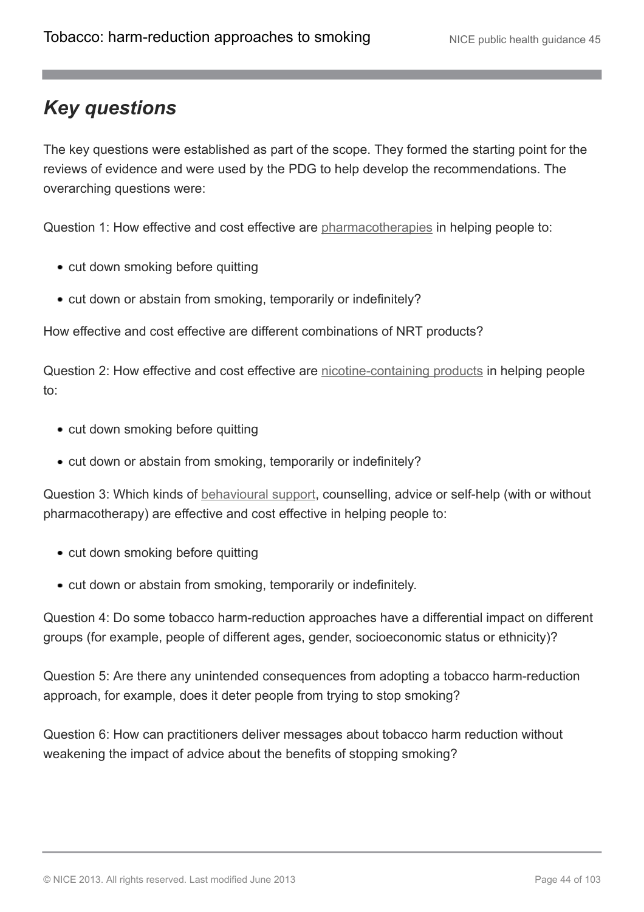# *Key questions*

The key questions were established as part of the scope. They formed the starting point for the reviews of evidence and were used by the PDG to help develop the recommendations. The overarching questions were:

Question 1: How effective and cost effective are [pharmacotherapies](http://publications.nice.org.uk/tobacco-harm-reduction-approaches-to-smoking-ph45/glossary#pharmacotherapies) in helping people to:

- cut down smoking before quitting
- cut down or abstain from smoking, temporarily or indefinitely?

How effective and cost effective are different combinations of NRT products?

Question 2: How effective and cost effective are [nicotine-containing products](http://publications.nice.org.uk/tobacco-harm-reduction-approaches-to-smoking-ph45/glossary#nicotine-containing-products-2) in helping people to:

- cut down smoking before quitting
- cut down or abstain from smoking, temporarily or indefinitely?

Question 3: Which kinds of [behavioural support](http://publications.nice.org.uk/tobacco-harm-reduction-approaches-to-smoking-ph45/glossary#behavioural-support-for-tobacco-harm-reduction), counselling, advice or self-help (with or without pharmacotherapy) are effective and cost effective in helping people to:

- cut down smoking before quitting
- cut down or abstain from smoking, temporarily or indefinitely.

Question 4: Do some tobacco harm-reduction approaches have a differential impact on different groups (for example, people of different ages, gender, socioeconomic status or ethnicity)?

Question 5: Are there any unintended consequences from adopting a tobacco harm-reduction approach, for example, does it deter people from trying to stop smoking?

Question 6: How can practitioners deliver messages about tobacco harm reduction without weakening the impact of advice about the benefits of stopping smoking?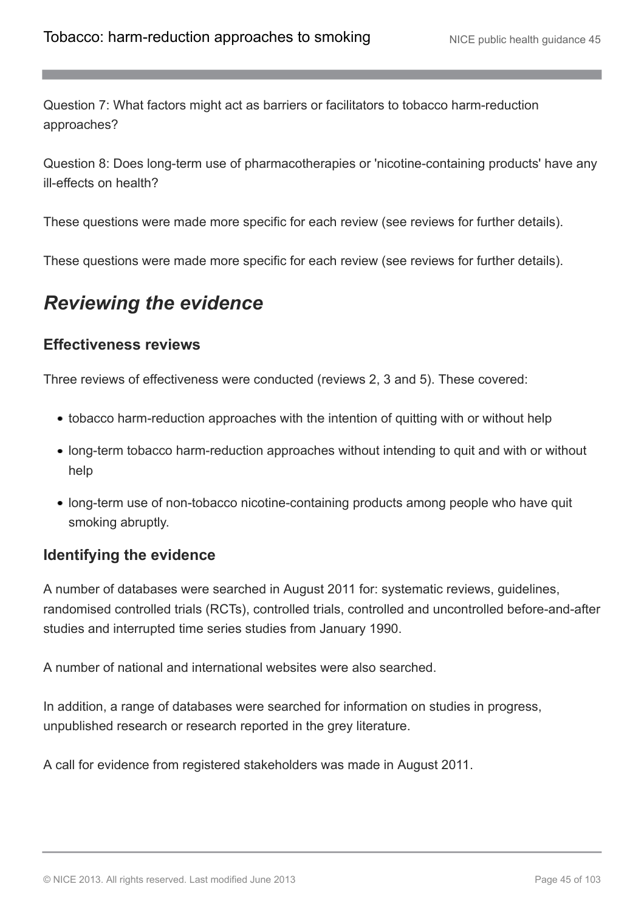Question 7: What factors might act as barriers or facilitators to tobacco harm-reduction approaches?

Question 8: Does long-term use of pharmacotherapies or 'nicotine-containing products' have any ill-effects on health?

These questions were made more specific for each review (see reviews for further details).

These questions were made more specific for each review (see reviews for further details).

## *Reviewing the evidence*

#### **Effectiveness reviews**

Three reviews of effectiveness were conducted (reviews 2, 3 and 5). These covered:

- tobacco harm-reduction approaches with the intention of quitting with or without help
- long-term tobacco harm-reduction approaches without intending to quit and with or without help
- long-term use of non-tobacco nicotine-containing products among people who have quit smoking abruptly.

#### **Identifying the evidence**

A number of databases were searched in August 2011 for: systematic reviews, guidelines, randomised controlled trials (RCTs), controlled trials, controlled and uncontrolled before-and-after studies and interrupted time series studies from January 1990.

A number of national and international websites were also searched.

In addition, a range of databases were searched for information on studies in progress, unpublished research or research reported in the grey literature.

A call for evidence from registered stakeholders was made in August 2011.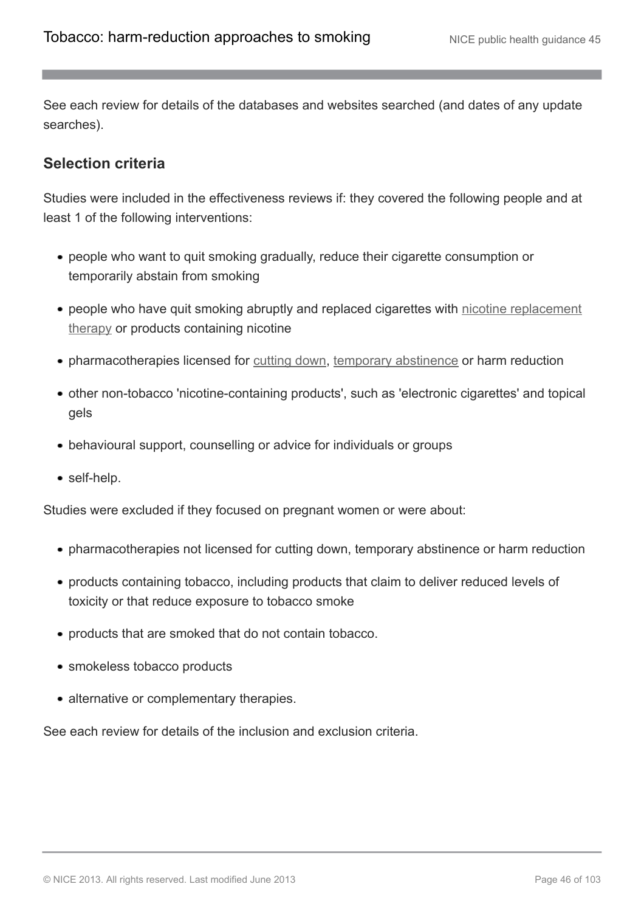See each review for details of the databases and websites searched (and dates of any update searches).

#### **Selection criteria**

Studies were included in the effectiveness reviews if: they covered the following people and at least 1 of the following interventions:

- people who want to quit smoking gradually, reduce their cigarette consumption or temporarily abstain from smoking
- people who have quit smoking abruptly and replaced cigarettes with [nicotine replacement](http://publications.nice.org.uk/tobacco-harm-reduction-approaches-to-smoking-ph45/glossary#nicotine-replacement-therapy-nrt-products) [therapy](http://publications.nice.org.uk/tobacco-harm-reduction-approaches-to-smoking-ph45/glossary#nicotine-replacement-therapy-nrt-products) or products containing nicotine
- pharmacotherapies licensed for [cutting down](http://publications.nice.org.uk/tobacco-harm-reduction-approaches-to-smoking-ph45/glossary#cutting-down-prior-to-stopping-cut-down-to-quit), [temporary abstinence](http://publications.nice.org.uk/tobacco-harm-reduction-approaches-to-smoking-ph45/glossary#temporary-abstinence) or harm reduction
- other non-tobacco 'nicotine-containing products', such as 'electronic cigarettes' and topical gels
- behavioural support, counselling or advice for individuals or groups
- self-help.

Studies were excluded if they focused on pregnant women or were about:

- pharmacotherapies not licensed for cutting down, temporary abstinence or harm reduction
- products containing tobacco, including products that claim to deliver reduced levels of toxicity or that reduce exposure to tobacco smoke
- products that are smoked that do not contain tobacco.
- smokeless tobacco products
- alternative or complementary therapies.

See each review for details of the inclusion and exclusion criteria.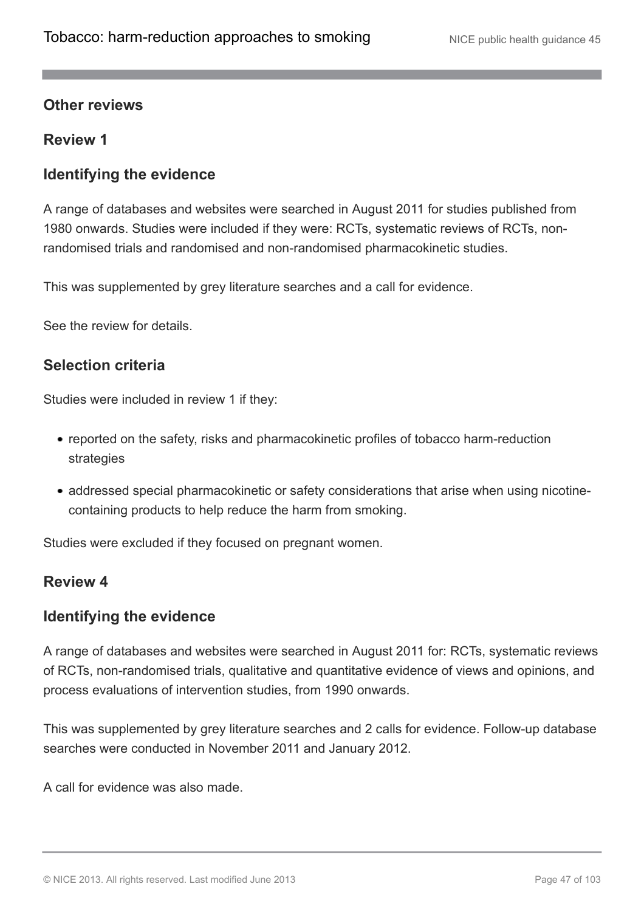#### **Other reviews**

#### **Review 1**

#### **Identifying the evidence**

A range of databases and websites were searched in August 2011 for studies published from 1980 onwards. Studies were included if they were: RCTs, systematic reviews of RCTs, nonrandomised trials and randomised and non-randomised pharmacokinetic studies.

This was supplemented by grey literature searches and a call for evidence.

See the review for details.

#### **Selection criteria**

Studies were included in review 1 if they:

- reported on the safety, risks and pharmacokinetic profiles of tobacco harm-reduction strategies
- addressed special pharmacokinetic or safety considerations that arise when using nicotinecontaining products to help reduce the harm from smoking.

Studies were excluded if they focused on pregnant women.

#### **Review 4**

#### **Identifying the evidence**

A range of databases and websites were searched in August 2011 for: RCTs, systematic reviews of RCTs, non-randomised trials, qualitative and quantitative evidence of views and opinions, and process evaluations of intervention studies, from 1990 onwards.

This was supplemented by grey literature searches and 2 calls for evidence. Follow-up database searches were conducted in November 2011 and January 2012.

A call for evidence was also made.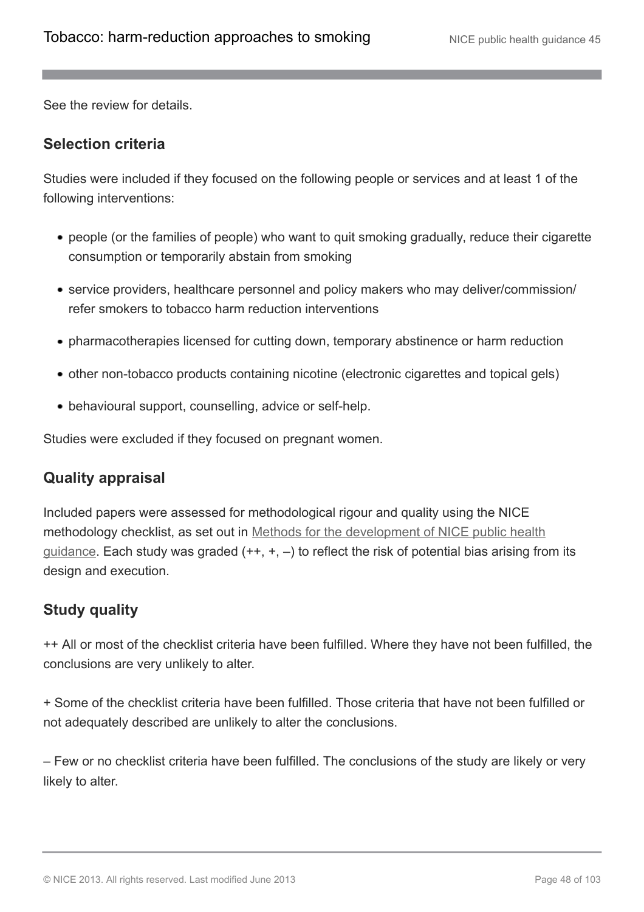See the review for details.

#### **Selection criteria**

Studies were included if they focused on the following people or services and at least 1 of the following interventions:

- people (or the families of people) who want to quit smoking gradually, reduce their cigarette consumption or temporarily abstain from smoking
- service providers, healthcare personnel and policy makers who may deliver/commission/ refer smokers to tobacco harm reduction interventions
- pharmacotherapies licensed for cutting down, temporary abstinence or harm reduction
- other non-tobacco products containing nicotine (electronic cigarettes and topical gels)
- behavioural support, counselling, advice or self-help.

Studies were excluded if they focused on pregnant women.

#### **Quality appraisal**

Included papers were assessed for methodological rigour and quality using the NICE methodology checklist, as set out in [Methods for the development of NICE public health](http://www.nice.org.uk/aboutnice/howwework/developingnicepublichealthguidance/publichealthguidanceprocessandmethodguides/public_health_guidance_process_and_method_guides.jsp) [guidance.](http://www.nice.org.uk/aboutnice/howwework/developingnicepublichealthguidance/publichealthguidanceprocessandmethodguides/public_health_guidance_process_and_method_guides.jsp) Each study was graded  $(++, +, -)$  to reflect the risk of potential bias arising from its design and execution.

### **Study quality**

++ All or most of the checklist criteria have been fulfilled. Where they have not been fulfilled, the conclusions are very unlikely to alter.

+ Some of the checklist criteria have been fulfilled. Those criteria that have not been fulfilled or not adequately described are unlikely to alter the conclusions.

– Few or no checklist criteria have been fulfilled. The conclusions of the study are likely or very likely to alter.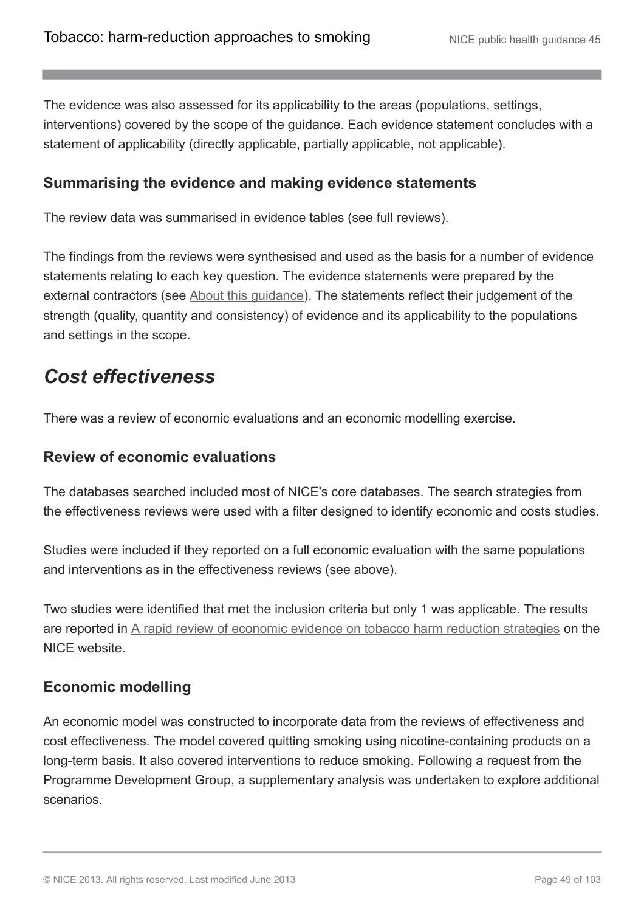The evidence was also assessed for its applicability to the areas (populations, settings, interventions) covered by the scope of the guidance. Each evidence statement concludes with a statement of applicability (directly applicable, partially applicable, not applicable).

### **Summarising the evidence and making evidence statements**

The review data was summarised in evidence tables (see full reviews).

The findings from the reviews were synthesised and used as the basis for a number of evidence statements relating to each key question. The evidence statements were prepared by the external contractors (see [About this guidance\)](http://publications.nice.org.uk/tobacco-harm-reduction-approaches-to-smoking-ph45/about-this-guidance). The statements reflect their judgement of the strength (quality, quantity and consistency) of evidence and its applicability to the populations and settings in the scope.

## *Cost effectiveness*

There was a review of economic evaluations and an economic modelling exercise.

#### **Review of economic evaluations**

The databases searched included most of NICE's core databases. The search strategies from the effectiveness reviews were used with a filter designed to identify economic and costs studies.

Studies were included if they reported on a full economic evaluation with the same populations and interventions as in the effectiveness reviews (see above).

Two studies were identified that met the inclusion criteria but only 1 was applicable. The results are reported in [A rapid review of economic evidence on tobacco harm reduction strategies](http://guidance.nice.org.uk/PH45/supportingevidence) on the NICE website.

#### **Economic modelling**

An economic model was constructed to incorporate data from the reviews of effectiveness and cost effectiveness. The model covered quitting smoking using nicotine-containing products on a long-term basis. It also covered interventions to reduce smoking. Following a request from the Programme Development Group, a supplementary analysis was undertaken to explore additional scenarios.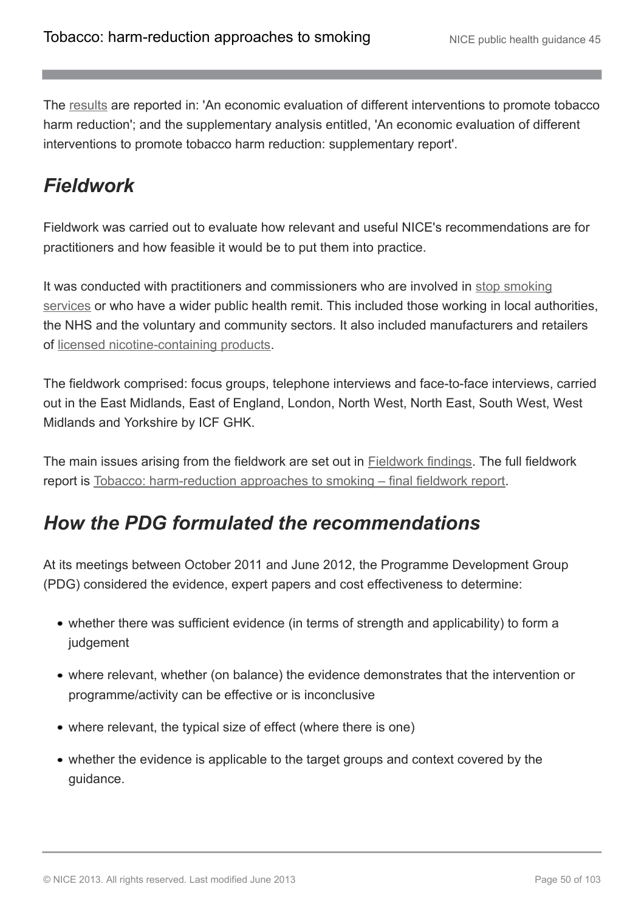The [results](http://guidance.nice.org.uk/PH45/supportingevidence) are reported in: 'An economic evaluation of different interventions to promote tobacco harm reduction'; and the supplementary analysis entitled, 'An economic evaluation of different interventions to promote tobacco harm reduction: supplementary report'.

# *Fieldwork*

Fieldwork was carried out to evaluate how relevant and useful NICE's recommendations are for practitioners and how feasible it would be to put them into practice.

It was conducted with practitioners and commissioners who are involved in [stop smoking](http://publications.nice.org.uk/tobacco-harm-reduction-approaches-to-smoking-ph45/glossary#stop-smoking-services-2) [services](http://publications.nice.org.uk/tobacco-harm-reduction-approaches-to-smoking-ph45/glossary#stop-smoking-services-2) or who have a wider public health remit. This included those working in local authorities, the NHS and the voluntary and community sectors. It also included manufacturers and retailers of [licensed nicotine-containing products](http://publications.nice.org.uk/tobacco-harm-reduction-approaches-to-smoking-ph45/glossary#licensed-nicotine-containing-products).

The fieldwork comprised: focus groups, telephone interviews and face-to-face interviews, carried out in the East Midlands, East of England, London, North West, North East, South West, West Midlands and Yorkshire by ICF GHK.

The main issues arising from the fieldwork are set out in **[Fieldwork findings](http://publications.nice.org.uk/tobacco-harm-reduction-approaches-to-smoking-ph45/the-evidence-2#fieldwork-findings)**. The full fieldwork report is [Tobacco: harm-reduction approaches to smoking – final fieldwork report.](http://guidance.nice.org.uk/PH45/supportingevidence)

# *How the PDG formulated the recommendations*

At its meetings between October 2011 and June 2012, the Programme Development Group (PDG) considered the evidence, expert papers and cost effectiveness to determine:

- whether there was sufficient evidence (in terms of strength and applicability) to form a judgement
- where relevant, whether (on balance) the evidence demonstrates that the intervention or programme/activity can be effective or is inconclusive
- where relevant, the typical size of effect (where there is one)
- whether the evidence is applicable to the target groups and context covered by the guidance.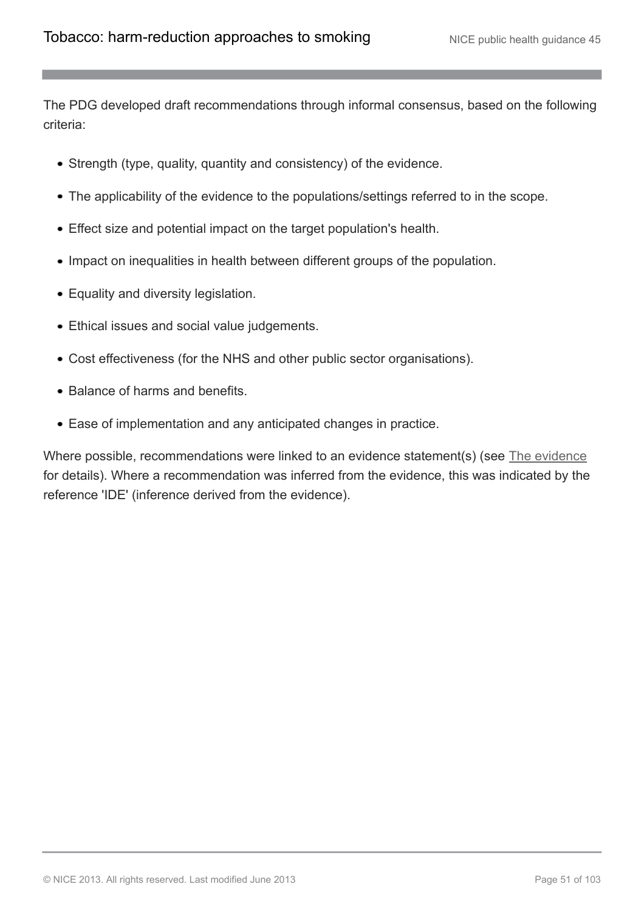The PDG developed draft recommendations through informal consensus, based on the following criteria:

- Strength (type, quality, quantity and consistency) of the evidence.
- The applicability of the evidence to the populations/settings referred to in the scope.
- Effect size and potential impact on the target population's health.
- Impact on inequalities in health between different groups of the population.
- Equality and diversity legislation.
- Ethical issues and social value judgements.
- Cost effectiveness (for the NHS and other public sector organisations).
- Balance of harms and benefits.
- Ease of implementation and any anticipated changes in practice.

Where possible, recommendations were linked to an evidence statement(s) (see [The evidence](http://publications.nice.org.uk/tobacco-harm-reduction-approaches-to-smoking-ph45/the-evidence-2) for details). Where a recommendation was inferred from the evidence, this was indicated by the reference 'IDE' (inference derived from the evidence).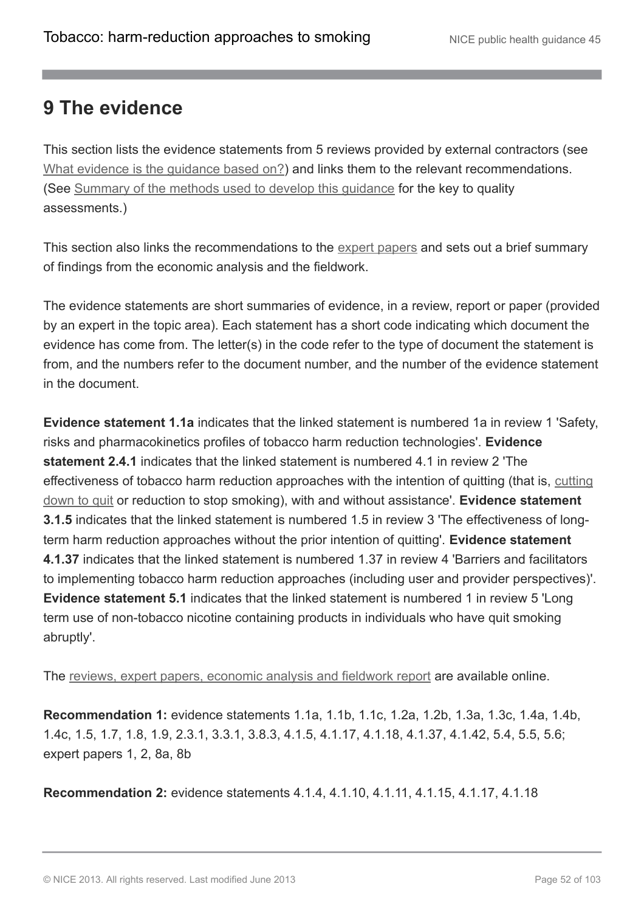## **9 The evidence**

This section lists the evidence statements from 5 reviews provided by external contractors (see [What evidence is the guidance based on?\)](http://publications.nice.org.uk/tobacco-harm-reduction-approaches-to-smoking-ph45/about-this-guidance#what-evidence-is-the-guidance-based-on) and links them to the relevant recommendations. (See [Summary of the methods used to develop this guidance](http://publications.nice.org.uk/tobacco-harm-reduction-approaches-to-smoking-ph45/summary-of-the-methods-used-to-develop-this-guidance) for the key to quality assessments.)

This section also links the recommendations to the [expert papers](http://publications.nice.org.uk/tobacco-harm-reduction-approaches-to-smoking-ph45/about-this-guidance#what-evidence-is-the-guidance-based-on) and sets out a brief summary of findings from the economic analysis and the fieldwork.

The evidence statements are short summaries of evidence, in a review, report or paper (provided by an expert in the topic area). Each statement has a short code indicating which document the evidence has come from. The letter(s) in the code refer to the type of document the statement is from, and the numbers refer to the document number, and the number of the evidence statement in the document.

**Evidence statement 1.1a** indicates that the linked statement is numbered 1a in review 1 'Safety, risks and pharmacokinetics profiles of tobacco harm reduction technologies'. **Evidence statement 2.4.1** indicates that the linked statement is numbered 4.1 in review 2 'The effectiveness of tobacco harm reduction approaches with the intention of quitting (that is, [cutting](http://publications.nice.org.uk/tobacco-harm-reduction-approaches-to-smoking-ph45/glossary#cutting-down-prior-to-stopping-cut-down-to-quit) [down to quit](http://publications.nice.org.uk/tobacco-harm-reduction-approaches-to-smoking-ph45/glossary#cutting-down-prior-to-stopping-cut-down-to-quit) or reduction to stop smoking), with and without assistance'. **Evidence statement 3.1.5** indicates that the linked statement is numbered 1.5 in review 3 'The effectiveness of longterm harm reduction approaches without the prior intention of quitting'. **Evidence statement 4.1.37** indicates that the linked statement is numbered 1.37 in review 4 'Barriers and facilitators to implementing tobacco harm reduction approaches (including user and provider perspectives)'. **Evidence statement 5.1** indicates that the linked statement is numbered 1 in review 5 'Long term use of non-tobacco nicotine containing products in individuals who have quit smoking abruptly'.

The [reviews, expert papers, economic analysis and fieldwork report](http://guidance.nice.org.uk/PH45/supportingevidence) are available online.

**Recommendation 1:** evidence statements 1.1a, 1.1b, 1.1c, 1.2a, 1.2b, 1.3a, 1.3c, 1.4a, 1.4b, 1.4c, 1.5, 1.7, 1.8, 1.9, 2.3.1, 3.3.1, 3.8.3, 4.1.5, 4.1.17, 4.1.18, 4.1.37, 4.1.42, 5.4, 5.5, 5.6; expert papers 1, 2, 8a, 8b

**Recommendation 2:** evidence statements 4.1.4, 4.1.10, 4.1.11, 4.1.15, 4.1.17, 4.1.18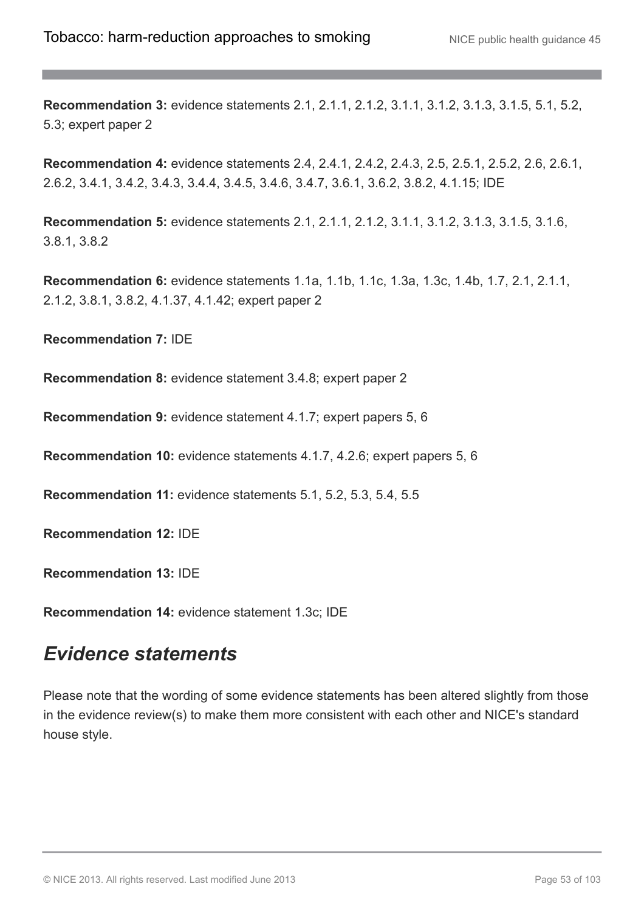**Recommendation 3:** evidence statements 2.1, 2.1.1, 2.1.2, 3.1.1, 3.1.2, 3.1.3, 3.1.5, 5.1, 5.2, 5.3; expert paper 2

**Recommendation 4:** evidence statements 2.4, 2.4.1, 2.4.2, 2.4.3, 2.5, 2.5.1, 2.5.2, 2.6, 2.6.1, 2.6.2, 3.4.1, 3.4.2, 3.4.3, 3.4.4, 3.4.5, 3.4.6, 3.4.7, 3.6.1, 3.6.2, 3.8.2, 4.1.15; IDE

**Recommendation 5:** evidence statements 2.1, 2.1.1, 2.1.2, 3.1.1, 3.1.2, 3.1.3, 3.1.5, 3.1.6, 3.8.1, 3.8.2

**Recommendation 6:** evidence statements 1.1a, 1.1b, 1.1c, 1.3a, 1.3c, 1.4b, 1.7, 2.1, 2.1.1, 2.1.2, 3.8.1, 3.8.2, 4.1.37, 4.1.42; expert paper 2

**Recommendation 7:** IDE

**Recommendation 8:** evidence statement 3.4.8; expert paper 2

**Recommendation 9:** evidence statement 4.1.7; expert papers 5, 6

**Recommendation 10:** evidence statements 4.1.7, 4.2.6; expert papers 5, 6

**Recommendation 11:** evidence statements 5.1, 5.2, 5.3, 5.4, 5.5

**Recommendation 12:** IDE

**Recommendation 13:** IDE

**Recommendation 14:** evidence statement 1.3c; IDE

### *Evidence statements*

Please note that the wording of some evidence statements has been altered slightly from those in the evidence review(s) to make them more consistent with each other and NICE's standard house style.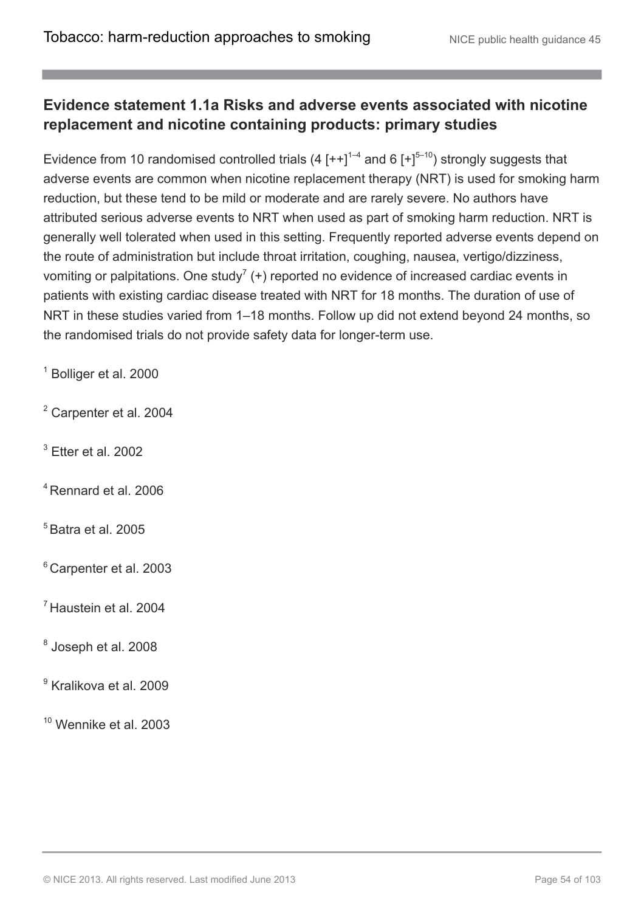### **Evidence statement 1.1a Risks and adverse events associated with nicotine replacement and nicotine containing products: primary studies**

Evidence from 10 randomised controlled trials (4  $[++]$ <sup>1-4</sup> and 6  $[+]$ <sup>5-10</sup>) strongly suggests that adverse events are common when nicotine replacement therapy (NRT) is used for smoking harm reduction, but these tend to be mild or moderate and are rarely severe. No authors have attributed serious adverse events to NRT when used as part of smoking harm reduction. NRT is generally well tolerated when used in this setting. Frequently reported adverse events depend on the route of administration but include throat irritation, coughing, nausea, vertigo/dizziness, vomiting or palpitations. One study<sup>7</sup> (+) reported no evidence of increased cardiac events in patients with existing cardiac disease treated with NRT for 18 months. The duration of use of NRT in these studies varied from 1–18 months. Follow up did not extend beyond 24 months, so the randomised trials do not provide safety data for longer-term use.

<sup>1</sup> Bolliger et al. 2000

<sup>2</sup> Carpenter et al. 2004

 $3$  Etter et al. 2002

<sup>4</sup> Rennard et al. 2006

 $<sup>5</sup>$  Batra et al. 2005</sup>

<sup>6</sup> Carpenter et al. 2003

 $<sup>7</sup>$  Haustein et al. 2004</sup>

8 Joseph et al. 2008

<sup>9</sup> Kralikova et al. 2009

 $10$  Wennike et al. 2003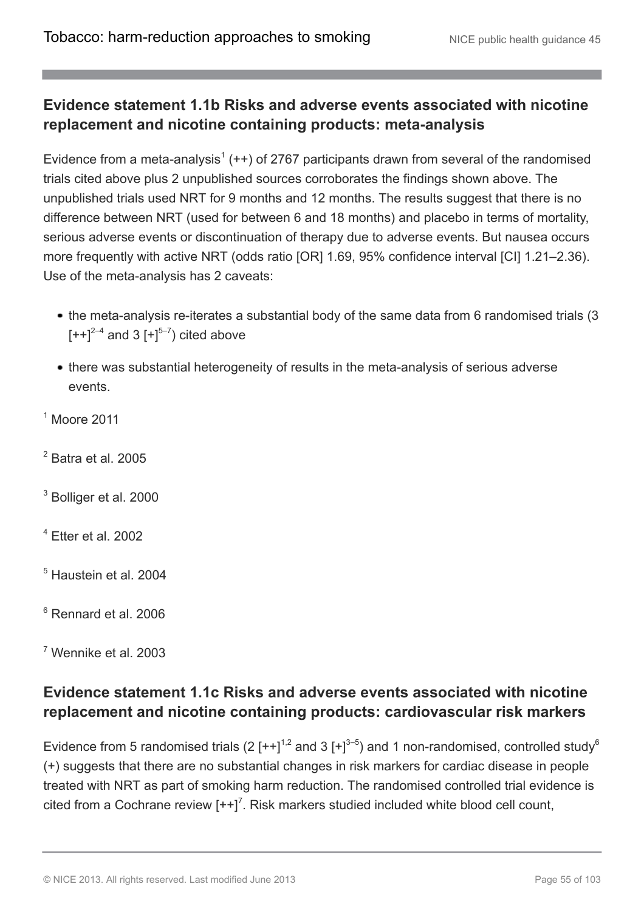### **Evidence statement 1.1b Risks and adverse events associated with nicotine replacement and nicotine containing products: meta-analysis**

Evidence from a meta-analysis<sup>1</sup> ( $++$ ) of 2767 participants drawn from several of the randomised trials cited above plus 2 unpublished sources corroborates the findings shown above. The unpublished trials used NRT for 9 months and 12 months. The results suggest that there is no difference between NRT (used for between 6 and 18 months) and placebo in terms of mortality, serious adverse events or discontinuation of therapy due to adverse events. But nausea occurs more frequently with active NRT (odds ratio [OR] 1.69, 95% confidence interval [CI] 1.21–2.36). Use of the meta-analysis has 2 caveats:

- the meta-analysis re-iterates a substantial body of the same data from 6 randomised trials (3)  $[++]^{2-4}$  and 3  $[+]^{5-7}$ ) cited above
- there was substantial heterogeneity of results in the meta-analysis of serious adverse events.

 $<sup>1</sup>$  Moore 2011</sup>

- $<sup>2</sup>$  Batra et al. 2005</sup>
- <sup>3</sup> Bolliger et al. 2000
- $4$  Etter et al. 2002
- <sup>5</sup> Haustein et al. 2004
- <sup>6</sup> Rennard et al. 2006
- <sup>7</sup> Wennike et al. 2003

### **Evidence statement 1.1c Risks and adverse events associated with nicotine replacement and nicotine containing products: cardiovascular risk markers**

Evidence from 5 randomised trials (2  $[++]^{1,2}$  and 3  $[+]^{3-5}$ ) and 1 non-randomised, controlled study<sup>6</sup> (+) suggests that there are no substantial changes in risk markers for cardiac disease in people treated with NRT as part of smoking harm reduction. The randomised controlled trial evidence is cited from a Cochrane review  $[++]^7$ . Risk markers studied included white blood cell count,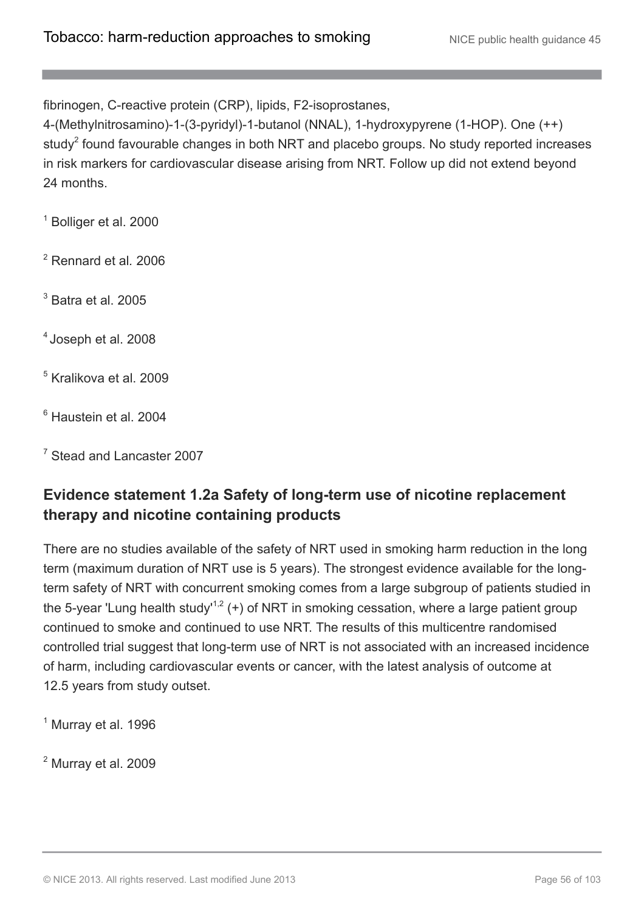fibrinogen, C-reactive protein (CRP), lipids, F2-isoprostanes,

4-(Methylnitrosamino)-1-(3-pyridyl)-1-butanol (NNAL), 1-hydroxypyrene (1-HOP). One (++) study<sup>2</sup> found favourable changes in both NRT and placebo groups. No study reported increases in risk markers for cardiovascular disease arising from NRT. Follow up did not extend beyond 24 months.

<sup>1</sup> Bolliger et al. 2000

<sup>2</sup> Rennard et al*.* 2006

 $3$  Batra et al. 2005

4 Joseph et al. 2008

<sup>5</sup> Kralikova et al. 2009

<sup>6</sup> Haustein et al. 2004

<sup>7</sup> Stead and Lancaster 2007

### **Evidence statement 1.2a Safety of long-term use of nicotine replacement therapy and nicotine containing products**

There are no studies available of the safety of NRT used in smoking harm reduction in the long term (maximum duration of NRT use is 5 years). The strongest evidence available for the longterm safety of NRT with concurrent smoking comes from a large subgroup of patients studied in the 5-year 'Lung health study'<sup>1,2</sup> (+) of NRT in smoking cessation, where a large patient group continued to smoke and continued to use NRT. The results of this multicentre randomised controlled trial suggest that long-term use of NRT is not associated with an increased incidence of harm, including cardiovascular events or cancer, with the latest analysis of outcome at 12.5 years from study outset.

 $<sup>1</sup>$  Murray et al. 1996</sup>

 $<sup>2</sup>$  Murray et al. 2009</sup>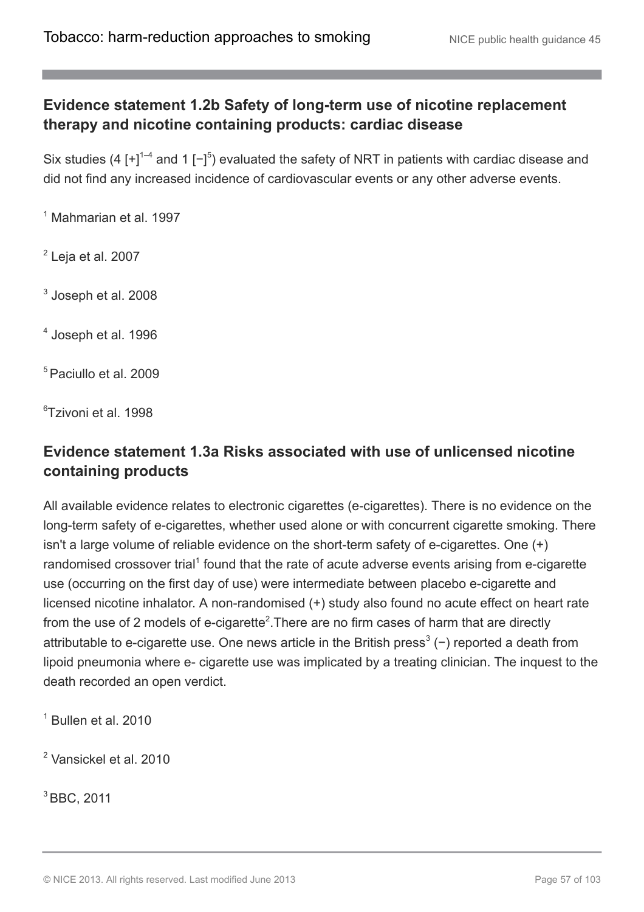### **Evidence statement 1.2b Safety of long-term use of nicotine replacement therapy and nicotine containing products: cardiac disease**

Six studies (4 [+]<sup>1-4</sup> and 1 [-]<sup>5</sup>) evaluated the safety of NRT in patients with cardiac disease and did not find any increased incidence of cardiovascular events or any other adverse events.

 $<sup>1</sup>$  Mahmarian et al. 1997</sup>

 $2$  Leja et al. 2007

 $^3$  Joseph et al. 2008

4 Joseph et al. 1996

<sup>5</sup> Paciullo et al. 2009

<sup>6</sup>Tzivoni et al. 1998

### **Evidence statement 1.3a Risks associated with use of unlicensed nicotine containing products**

All available evidence relates to electronic cigarettes (e-cigarettes). There is no evidence on the long-term safety of e-cigarettes, whether used alone or with concurrent cigarette smoking. There isn't a large volume of reliable evidence on the short-term safety of e-cigarettes. One (+) randomised crossover trial<sup>1</sup> found that the rate of acute adverse events arising from e-cigarette use (occurring on the first day of use) were intermediate between placebo e-cigarette and licensed nicotine inhalator. A non-randomised (+) study also found no acute effect on heart rate from the use of 2 models of e-cigarette<sup>2</sup>. There are no firm cases of harm that are directly attributable to e-cigarette use. One news article in the British press<sup>3</sup> (−) reported a death from lipoid pneumonia where e- cigarette use was implicated by a treating clinician. The inquest to the death recorded an open verdict.

 $<sup>1</sup>$  Bullen et al. 2010</sup>

<sup>2</sup> Vansickel et al. 2010

<sup>3</sup> BBC, 2011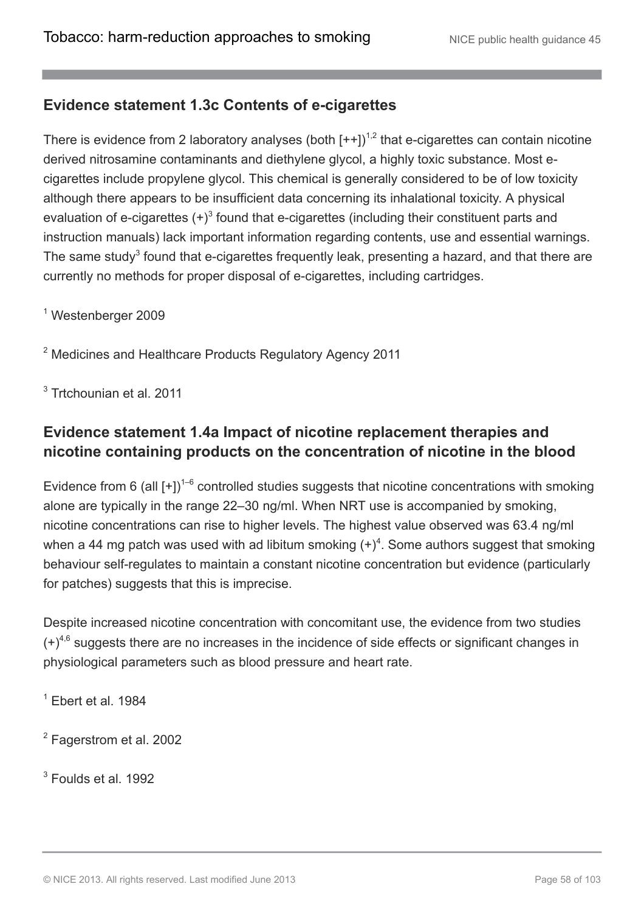### **Evidence statement 1.3c Contents of e-cigarettes**

There is evidence from 2 laboratory analyses (both  $[++]$ )<sup>1,2</sup> that e-cigarettes can contain nicotine derived nitrosamine contaminants and diethylene glycol, a highly toxic substance. Most ecigarettes include propylene glycol. This chemical is generally considered to be of low toxicity although there appears to be insufficient data concerning its inhalational toxicity. A physical evaluation of e-cigarettes  $(+)^3$  found that e-cigarettes (including their constituent parts and instruction manuals) lack important information regarding contents, use and essential warnings. The same study<sup>3</sup> found that e-cigarettes frequently leak, presenting a hazard, and that there are currently no methods for proper disposal of e-cigarettes, including cartridges.

<sup>1</sup> Westenberger 2009

<sup>2</sup> Medicines and Healthcare Products Regulatory Agency 2011

<sup>3</sup> Trtchounian et al. 2011

### **Evidence statement 1.4a Impact of nicotine replacement therapies and nicotine containing products on the concentration of nicotine in the blood**

Evidence from 6 (all  $[+]$ <sup>1-6</sup> controlled studies suggests that nicotine concentrations with smoking alone are typically in the range 22–30 ng/ml. When NRT use is accompanied by smoking, nicotine concentrations can rise to higher levels. The highest value observed was 63.4 ng/ml when a 44 mg patch was used with ad libitum smoking  $(+)$ <sup>4</sup>. Some authors suggest that smoking behaviour self-regulates to maintain a constant nicotine concentration but evidence (particularly for patches) suggests that this is imprecise.

Despite increased nicotine concentration with concomitant use, the evidence from two studies  $(+)^{4,6}$  suggests there are no increases in the incidence of side effects or significant changes in physiological parameters such as blood pressure and heart rate.

 $<sup>1</sup>$  Ebert et al. 1984</sup>

<sup>2</sup> Fagerstrom et al. 2002

<sup>3</sup> Foulds et al. 1992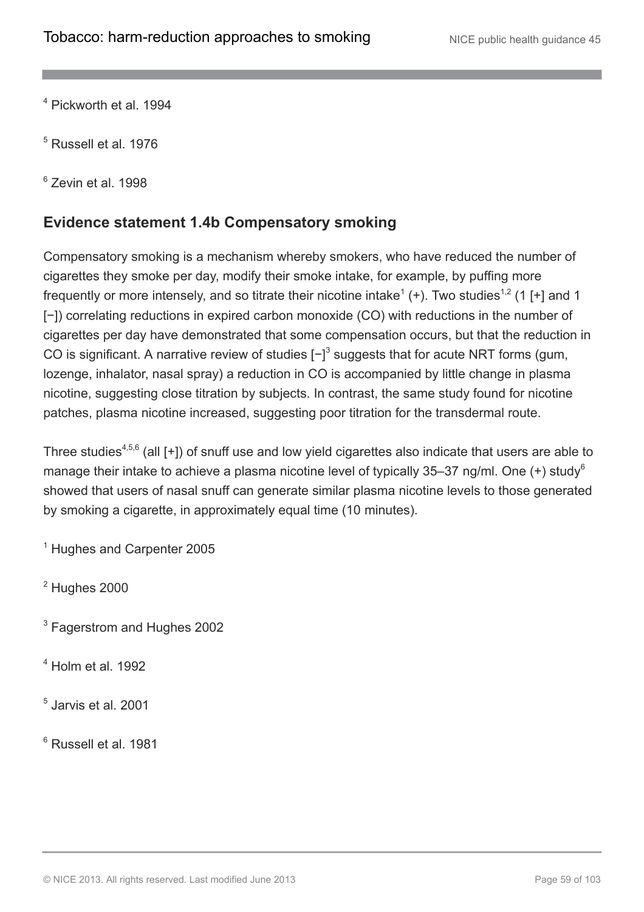<sup>4</sup> Pickworth et al. 1994

<sup>5</sup> Russell et al. 1976

<sup>6</sup> Zevin et al. 1998

### **Evidence statement 1.4b Compensatory smoking**

Compensatory smoking is a mechanism whereby smokers, who have reduced the number of cigarettes they smoke per day, modify their smoke intake, for example, by puffing more frequently or more intensely, and so titrate their nicotine intake<sup>1</sup> (+). Two studies<sup>1,2</sup> (1 [+] and 1 [-]) correlating reductions in expired carbon monoxide (CO) with reductions in the number of cigarettes per day have demonstrated that some compensation occurs, but that the reduction in CO is significant. A narrative review of studies  $\left[-\right]$ <sup>3</sup> suggests that for acute NRT forms (gum, lozenge, inhalator, nasal spray) a reduction in CO is accompanied by little change in plasma nicotine, suggesting close titration by subjects. In contrast, the same study found for nicotine patches, plasma nicotine increased, suggesting poor titration for the transdermal route.

Three studies<sup>4,5,6</sup> (all  $[+]$ ) of snuff use and low yield cigarettes also indicate that users are able to manage their intake to achieve a plasma nicotine level of typically 35–37 ng/ml. One  $(+)$  study<sup>6</sup> showed that users of nasal snuff can generate similar plasma nicotine levels to those generated by smoking a cigarette, in approximately equal time (10 minutes).

<sup>1</sup> Hughes and Carpenter 2005

 $2$  Hughes 2000

<sup>3</sup> Fagerstrom and Hughes 2002

 $<sup>4</sup>$  Holm et al. 1992</sup>

5 Jarvis et al. 2001

<sup>6</sup> Russell et al. 1981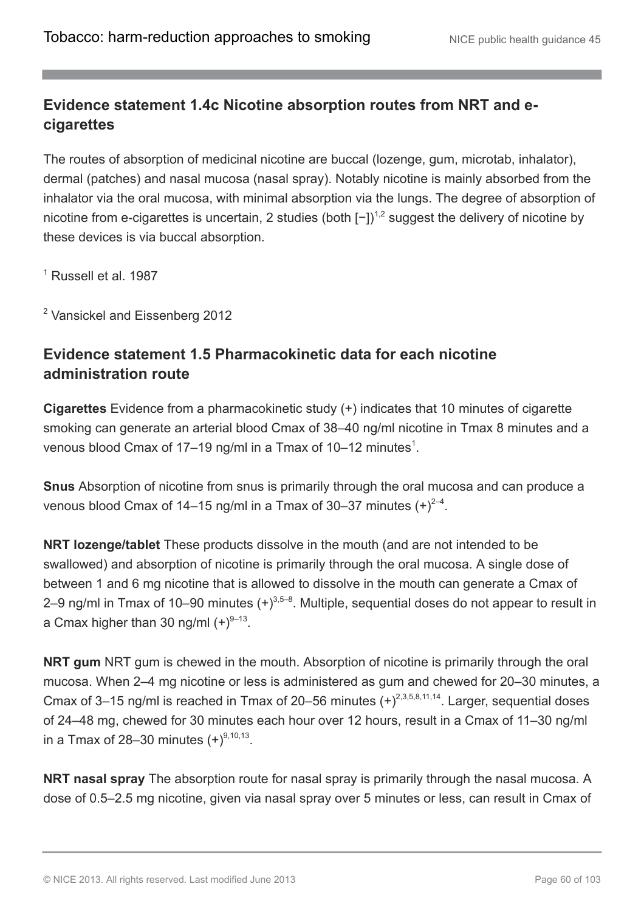### **Evidence statement 1.4c Nicotine absorption routes from NRT and ecigarettes**

The routes of absorption of medicinal nicotine are buccal (lozenge, gum, microtab, inhalator), dermal (patches) and nasal mucosa (nasal spray). Notably nicotine is mainly absorbed from the inhalator via the oral mucosa, with minimal absorption via the lungs. The degree of absorption of nicotine from e-cigarettes is uncertain, 2 studies (both  $[-1)^{1,2}$  suggest the delivery of nicotine by these devices is via buccal absorption.

 $<sup>1</sup>$  Russell et al. 1987</sup>

<sup>2</sup> Vansickel and Eissenberg 2012

### **Evidence statement 1.5 Pharmacokinetic data for each nicotine administration route**

**Cigarettes** Evidence from a pharmacokinetic study (+) indicates that 10 minutes of cigarette smoking can generate an arterial blood Cmax of 38–40 ng/ml nicotine in Tmax 8 minutes and a venous blood Cmax of 17–19 ng/ml in a Tmax of 10–12 minutes $^1$ .

**Snus** Absorption of nicotine from snus is primarily through the oral mucosa and can produce a venous blood Cmax of 14–15 ng/ml in a Tmax of 30–37 minutes  $(+)^{2-4}$ .

**NRT lozenge/tablet** These products dissolve in the mouth (and are not intended to be swallowed) and absorption of nicotine is primarily through the oral mucosa. A single dose of between 1 and 6 mg nicotine that is allowed to dissolve in the mouth can generate a Cmax of 2–9 ng/ml in Tmax of 10–90 minutes  $(+)^{3,5-8}$ . Multiple, sequential doses do not appear to result in a Cmax higher than 30 ng/ml  $(+)^{9-13}$ .

**NRT gum** NRT gum is chewed in the mouth. Absorption of nicotine is primarily through the oral mucosa. When 2–4 mg nicotine or less is administered as gum and chewed for 20–30 minutes, a Cmax of 3–15 ng/ml is reached in Tmax of 20–56 minutes  $(+)^{2,3,5,8,11,14}$ . Larger, sequential doses of 24–48 mg, chewed for 30 minutes each hour over 12 hours, result in a Cmax of 11–30 ng/ml in a Tmax of 28–30 minutes  $(+)^{9,10,13}$ .

**NRT nasal spray** The absorption route for nasal spray is primarily through the nasal mucosa. A dose of 0.5–2.5 mg nicotine, given via nasal spray over 5 minutes or less, can result in Cmax of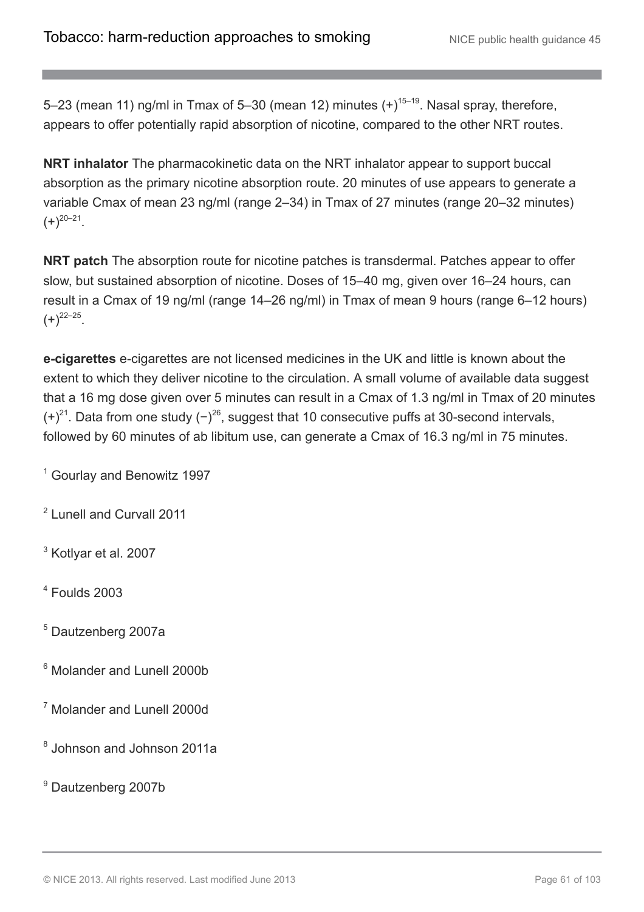5–23 (mean 11) ng/ml in Tmax of 5–30 (mean 12) minutes  $(+)^{15-19}$ . Nasal spray, therefore, appears to offer potentially rapid absorption of nicotine, compared to the other NRT routes.

**NRT inhalator** The pharmacokinetic data on the NRT inhalator appear to support buccal absorption as the primary nicotine absorption route. 20 minutes of use appears to generate a variable Cmax of mean 23 ng/ml (range 2–34) in Tmax of 27 minutes (range 20–32 minutes)  $(+)^{20-21}$ .

**NRT patch** The absorption route for nicotine patches is transdermal. Patches appear to offer slow, but sustained absorption of nicotine. Doses of 15–40 mg, given over 16–24 hours, can result in a Cmax of 19 ng/ml (range 14–26 ng/ml) in Tmax of mean 9 hours (range 6–12 hours)  $(+)^{22-25}$ .

**e-cigarettes** e-cigarettes are not licensed medicines in the UK and little is known about the extent to which they deliver nicotine to the circulation. A small volume of available data suggest that a 16 mg dose given over 5 minutes can result in a Cmax of 1.3 ng/ml in Tmax of 20 minutes  $(+)^{21}$ . Data from one study  $(-)^{26}$ , suggest that 10 consecutive puffs at 30-second intervals, followed by 60 minutes of ab libitum use, can generate a Cmax of 16.3 ng/ml in 75 minutes.

<sup>1</sup> Gourlay and Benowitz 1997

<sup>2</sup> Lunell and Curvall 2011

<sup>3</sup> Kotlyar et al. 2007

 $4$  Foulds 2003

<sup>5</sup> Dautzenberg 2007a

<sup>6</sup> Molander and Lunell 2000b

<sup>7</sup> Molander and Lunell 2000d

<sup>8</sup> Johnson and Johnson 2011a

<sup>9</sup> Dautzenberg 2007b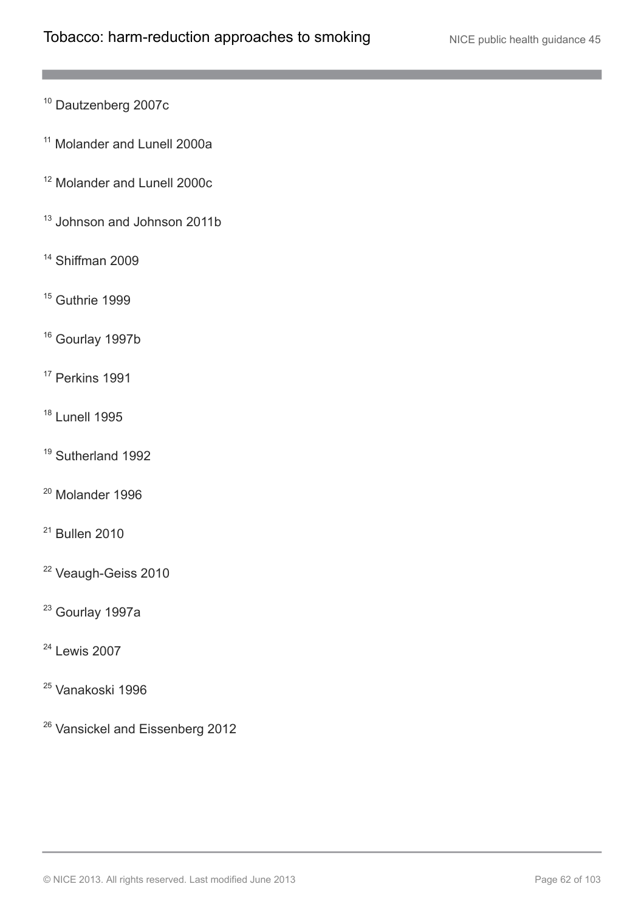- <sup>10</sup> Dautzenberg 2007c
- <sup>11</sup> Molander and Lunell 2000a
- <sup>12</sup> Molander and Lunell 2000c
- <sup>13</sup> Johnson and Johnson 2011b
- <sup>14</sup> Shiffman 2009
- <sup>15</sup> Guthrie 1999
- <sup>16</sup> Gourlay 1997b
- <sup>17</sup> Perkins 1991
- <sup>18</sup> Lunell 1995
- <sup>19</sup> Sutherland 1992
- <sup>20</sup> Molander 1996
- <sup>21</sup> Bullen 2010
- <sup>22</sup> Veaugh-Geiss 2010
- <sup>23</sup> Gourlay 1997a
- <sup>24</sup> Lewis 2007
- <sup>25</sup> Vanakoski 1996
- <sup>26</sup> Vansickel and Eissenberg 2012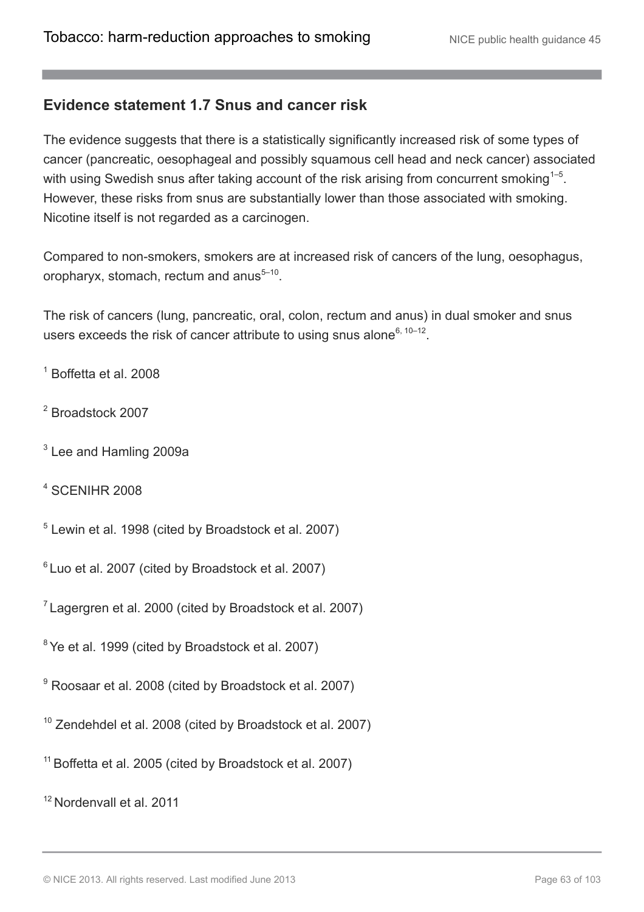#### **Evidence statement 1.7 Snus and cancer risk**

The evidence suggests that there is a statistically significantly increased risk of some types of cancer (pancreatic, oesophageal and possibly squamous cell head and neck cancer) associated with using Swedish snus after taking account of the risk arising from concurrent smoking<sup>1-5</sup>. However, these risks from snus are substantially lower than those associated with smoking. Nicotine itself is not regarded as a carcinogen.

Compared to non-smokers, smokers are at increased risk of cancers of the lung, oesophagus, oropharyx, stomach, rectum and anus $5-10$ .

The risk of cancers (lung, pancreatic, oral, colon, rectum and anus) in dual smoker and snus users exceeds the risk of cancer attribute to using snus alone $6, 10-12$ .

 $<sup>1</sup>$  Boffetta et al. 2008</sup>

- <sup>2</sup> Broadstock 2007
- $3$  Lee and Hamling 2009a
- <sup>4</sup> SCENIHR 2008
- <sup>5</sup> Lewin et al. 1998 (cited by Broadstock et al. 2007)

6 Luo et al. 2007 (cited by Broadstock et al. 2007)

 $7$  Lagergren et al. 2000 (cited by Broadstock et al. 2007)

<sup>8</sup> Ye et al. 1999 (cited by Broadstock et al. 2007)

<sup>9</sup> Roosaar et al. 2008 (cited by Broadstock et al. 2007)

- <sup>10</sup> Zendehdel et al. 2008 (cited by Broadstock et al. 2007)
- <sup>11</sup> Boffetta et al. 2005 (cited by Broadstock et al. 2007)

<sup>12</sup> Nordenvall et al. 2011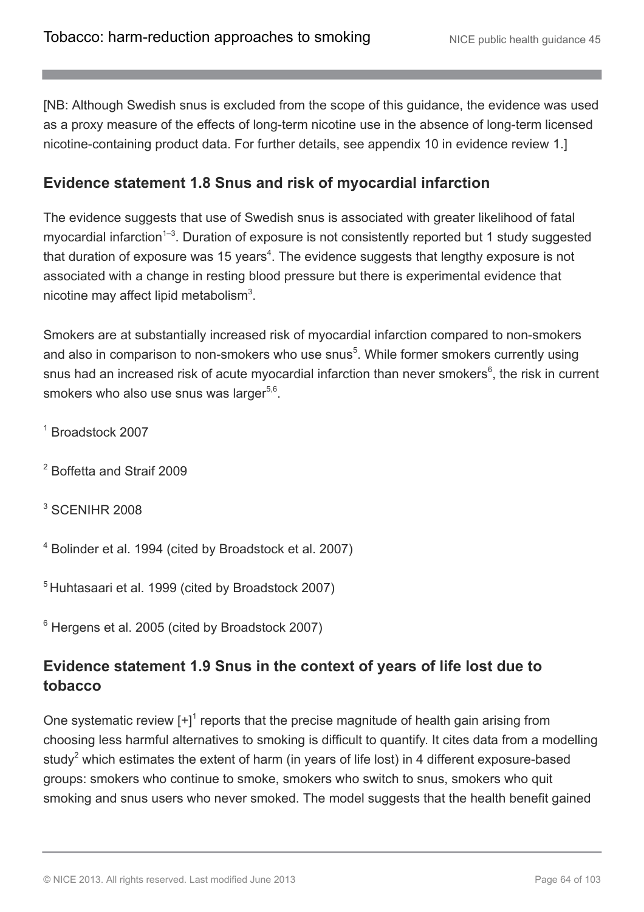[NB: Although Swedish snus is excluded from the scope of this guidance, the evidence was used as a proxy measure of the effects of long-term nicotine use in the absence of long-term licensed nicotine-containing product data. For further details, see appendix 10 in evidence review 1.]

### **Evidence statement 1.8 Snus and risk of myocardial infarction**

The evidence suggests that use of Swedish snus is associated with greater likelihood of fatal myocardial infarction<sup> $1-3$ </sup>. Duration of exposure is not consistently reported but 1 study suggested that duration of exposure was 15 years<sup>4</sup>. The evidence suggests that lengthy exposure is not associated with a change in resting blood pressure but there is experimental evidence that nicotine may affect lipid metabolism $3$ .

Smokers are at substantially increased risk of myocardial infarction compared to non-smokers and also in comparison to non-smokers who use snus<sup>5</sup>. While former smokers currently using snus had an increased risk of acute myocardial infarction than never smokers $6$ , the risk in current smokers who also use snus was larger<sup>5,6</sup>.

- <sup>1</sup> Broadstock 2007
- <sup>2</sup> Boffetta and Straif 2009
- <sup>3</sup> SCENIHR 2008
- <sup>4</sup> Bolinder et al. 1994 (cited by Broadstock et al. 2007)

<sup>5</sup> Huhtasaari et al. 1999 (cited by Broadstock 2007)

 $6$  Hergens et al. 2005 (cited by Broadstock 2007)

### **Evidence statement 1.9 Snus in the context of years of life lost due to tobacco**

One systematic review  $[+]^1$  reports that the precise magnitude of health gain arising from choosing less harmful alternatives to smoking is difficult to quantify. It cites data from a modelling study<sup>2</sup> which estimates the extent of harm (in years of life lost) in 4 different exposure-based groups: smokers who continue to smoke, smokers who switch to snus, smokers who quit smoking and snus users who never smoked. The model suggests that the health benefit gained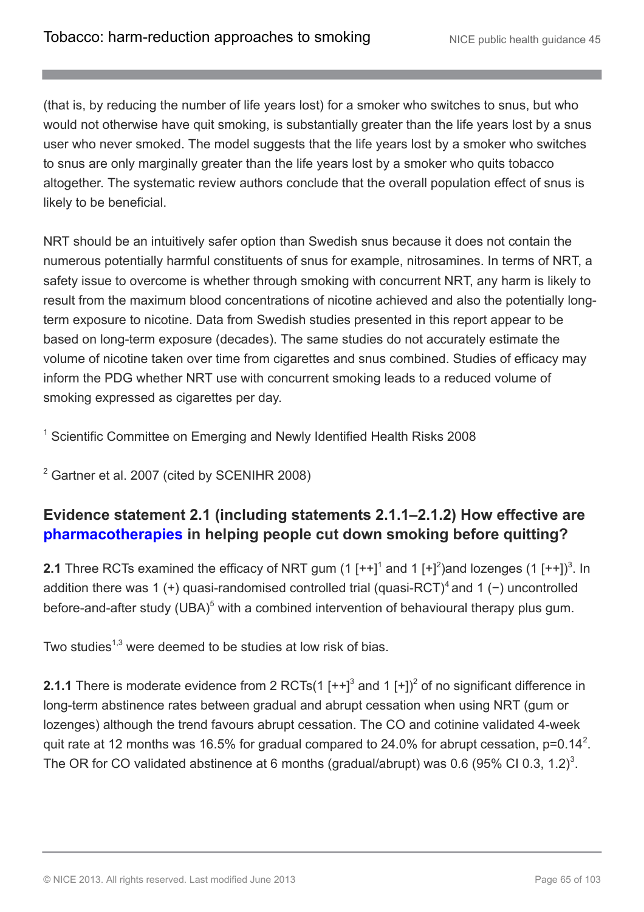(that is, by reducing the number of life years lost) for a smoker who switches to snus, but who would not otherwise have quit smoking, is substantially greater than the life years lost by a snus user who never smoked. The model suggests that the life years lost by a smoker who switches to snus are only marginally greater than the life years lost by a smoker who quits tobacco altogether. The systematic review authors conclude that the overall population effect of snus is likely to be beneficial.

NRT should be an intuitively safer option than Swedish snus because it does not contain the numerous potentially harmful constituents of snus for example, nitrosamines. In terms of NRT, a safety issue to overcome is whether through smoking with concurrent NRT, any harm is likely to result from the maximum blood concentrations of nicotine achieved and also the potentially longterm exposure to nicotine. Data from Swedish studies presented in this report appear to be based on long-term exposure (decades). The same studies do not accurately estimate the volume of nicotine taken over time from cigarettes and snus combined. Studies of efficacy may inform the PDG whether NRT use with concurrent smoking leads to a reduced volume of smoking expressed as cigarettes per day.

<sup>1</sup> Scientific Committee on Emerging and Newly Identified Health Risks 2008

<sup>2</sup> Gartner et al. 2007 (cited by SCENIHR 2008)

### **Evidence statement 2.1 (including statements 2.1.1–2.1.2) How effective are [pharmacotherapies](http://publications.nice.org.uk/tobacco-harm-reduction-approaches-to-smoking-ph45/glossary#pharmacotherapies) in helping people cut down smoking before quitting?**

**2.1** Three RCTs examined the efficacy of NRT gum (1  $[++]^1$  and 1  $[+]^2$ )and lozenges (1  $[++]^3$ . In addition there was 1 (+) quasi-randomised controlled trial (quasi-RCT)<sup>4</sup> and 1 (-) uncontrolled before-and-after study  $(UBA)^5$  with a combined intervention of behavioural therapy plus gum.

Two studies<sup>1,3</sup> were deemed to be studies at low risk of bias.

**2.1.1** There is moderate evidence from 2 RCTs(1  $[++]$ <sup>3</sup> and 1  $[+]$ <sup>2</sup> of no significant difference in long-term abstinence rates between gradual and abrupt cessation when using NRT (gum or lozenges) although the trend favours abrupt cessation. The CO and cotinine validated 4-week quit rate at 12 months was 16.5% for gradual compared to 24.0% for abrupt cessation, p=0.14<sup>2</sup>. The OR for CO validated abstinence at 6 months (gradual/abrupt) was 0.6 (95% CI 0.3, 1.2)<sup>3</sup>.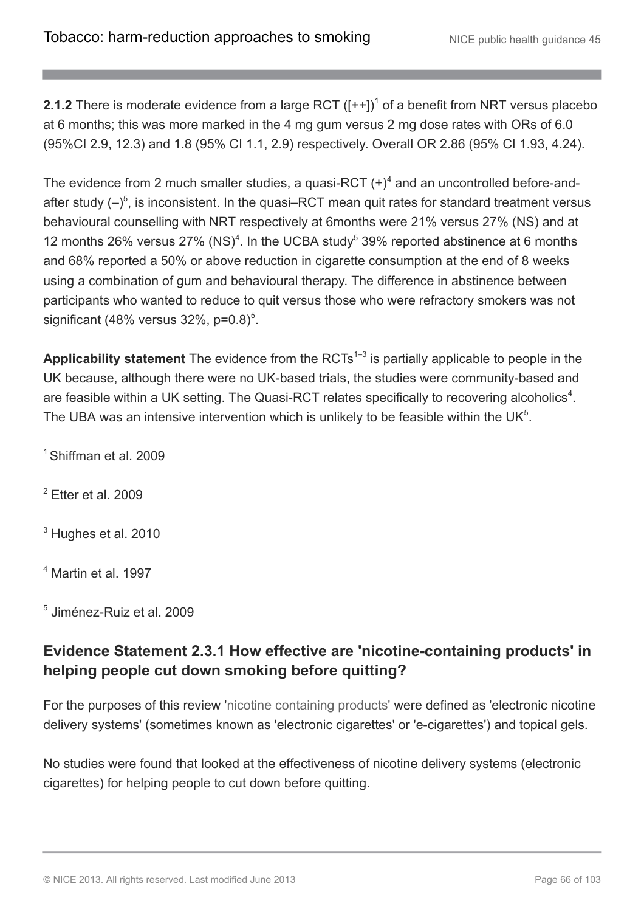**2.1.2** There is moderate evidence from a large RCT  $([-+]$ <sup>1</sup> of a benefit from NRT versus placebo at 6 months; this was more marked in the 4 mg gum versus 2 mg dose rates with ORs of 6.0 (95%CI 2.9, 12.3) and 1.8 (95% CI 1.1, 2.9) respectively. Overall OR 2.86 (95% CI 1.93, 4.24).

The evidence from 2 much smaller studies, a quasi-RCT  $(+)^4$  and an uncontrolled before-andafter study  $(-)^5$ , is inconsistent. In the quasi–RCT mean quit rates for standard treatment versus behavioural counselling with NRT respectively at 6months were 21% versus 27% (NS) and at 12 months 26% versus 27% (NS)<sup>4</sup>. In the UCBA study<sup>5</sup> 39% reported abstinence at 6 months and 68% reported a 50% or above reduction in cigarette consumption at the end of 8 weeks using a combination of gum and behavioural therapy. The difference in abstinence between participants who wanted to reduce to quit versus those who were refractory smokers was not significant (48% versus 32%, p= $0.8$ )<sup>5</sup>.

Applicability statement The evidence from the RCTs<sup>1-3</sup> is partially applicable to people in the UK because, although there were no UK-based trials, the studies were community-based and are feasible within a UK setting. The Quasi-RCT relates specifically to recovering alcoholics<sup>4</sup>. The UBA was an intensive intervention which is unlikely to be feasible within the UK $<sup>5</sup>$ .</sup>

<sup>1</sup> Shiffman et al. 2009

 $2$  Etter et al. 2009

<sup>3</sup> Hughes et al. 2010

<sup>4</sup> Martin et al. 1997

5 Jiménez-Ruiz et al. 2009

### **Evidence Statement 2.3.1 How effective are 'nicotine-containing products' in helping people cut down smoking before quitting?**

For the purposes of this review '[nicotine containing products'](http://publications.nice.org.uk/tobacco-harm-reduction-approaches-to-smoking-ph45/glossary#nicotine-containing-products-2) were defined as 'electronic nicotine delivery systems' (sometimes known as 'electronic cigarettes' or 'e-cigarettes') and topical gels.

No studies were found that looked at the effectiveness of nicotine delivery systems (electronic cigarettes) for helping people to cut down before quitting.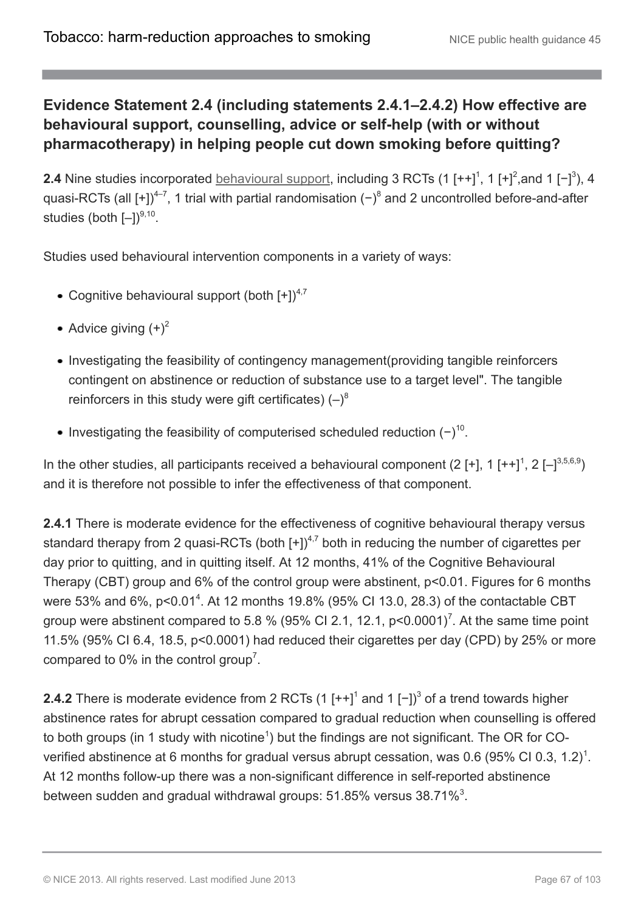### **Evidence Statement 2.4 (including statements 2.4.1–2.4.2) How effective are behavioural support, counselling, advice or self-help (with or without pharmacotherapy) in helping people cut down smoking before quitting?**

**2.4** Nine studies incorporated [behavioural support,](http://publications.nice.org.uk/tobacco-harm-reduction-approaches-to-smoking-ph45/glossary#behavioural-support-for-tobacco-harm-reduction) including 3 RCTs (1 [++]<sup>1</sup>, 1 [+]<sup>2</sup>, and 1 [-]<sup>3</sup>), 4 quasi-RCTs (all [+])<sup>4-7</sup>, 1 trial with partial randomisation (-)<sup>8</sup> and 2 uncontrolled before-and-after studies (both  $[-])^{9,10}$ .

Studies used behavioural intervention components in a variety of ways:

- Cognitive behavioural support (both  $[+]^{4,7}$
- Advice giving  $(+)^2$
- Investigating the feasibility of contingency management (providing tangible reinforcers contingent on abstinence or reduction of substance use to a target level". The tangible reinforcers in this study were gift certificates)  $(-)^8$
- Investigating the feasibility of computerised scheduled reduction  $(-)^{10}$ .

In the other studies, all participants received a behavioural component (2 [+], 1 [++]<sup>1</sup>, 2 [-]<sup>3,5,6,9</sup>) and it is therefore not possible to infer the effectiveness of that component.

**2.4.1** There is moderate evidence for the effectiveness of cognitive behavioural therapy versus standard therapy from 2 quasi-RCTs (both  $[+]^{4,7}$  both in reducing the number of cigarettes per day prior to quitting, and in quitting itself. At 12 months, 41% of the Cognitive Behavioural Therapy (CBT) group and 6% of the control group were abstinent, p<0.01. Figures for 6 months were 53% and 6%, p<0.01<sup>4</sup>. At 12 months 19.8% (95% CI 13.0, 28.3) of the contactable CBT group were abstinent compared to 5.8 % (95% CI 2.1, 12.1, p<0.0001)<sup>7</sup>. At the same time point 11.5% (95% CI 6.4, 18.5, p<0.0001) had reduced their cigarettes per day (CPD) by 25% or more compared to 0% in the control group<sup>7</sup>.

**2.4.2** There is moderate evidence from 2 RCTs (1  $[++]$ <sup>1</sup> and 1  $[-]$ )<sup>3</sup> of a trend towards higher abstinence rates for abrupt cessation compared to gradual reduction when counselling is offered to both groups (in 1 study with nicotine<sup>1</sup>) but the findings are not significant. The OR for COverified abstinence at 6 months for gradual versus abrupt cessation, was 0.6 (95% CI 0.3, 1.2)<sup>1</sup>. At 12 months follow-up there was a non-significant difference in self-reported abstinence between sudden and gradual withdrawal groups: 51.85% versus 38.71% $^3$ .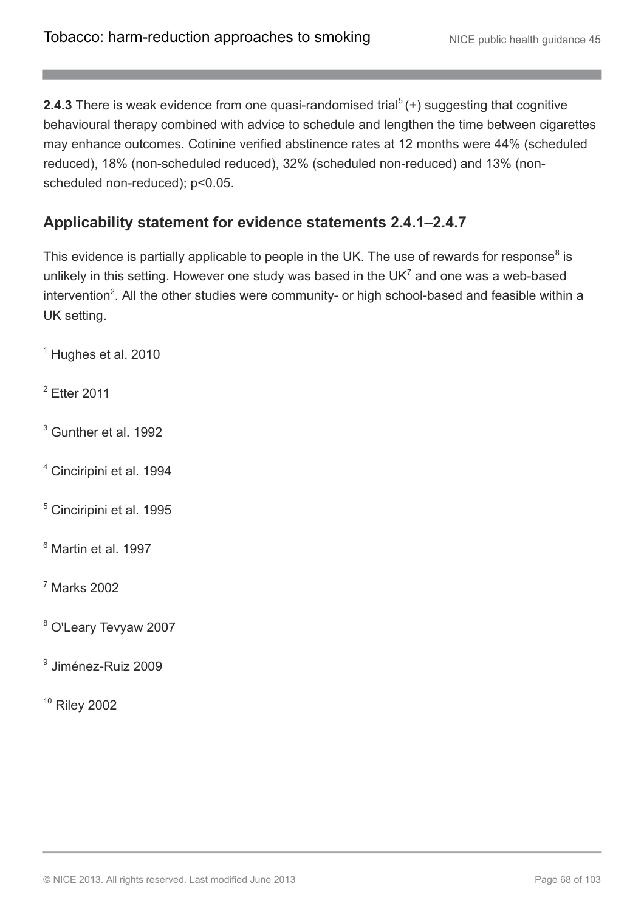**2.4.3** There is weak evidence from one quasi-randomised trial<sup>5</sup>(+) suggesting that cognitive behavioural therapy combined with advice to schedule and lengthen the time between cigarettes may enhance outcomes. Cotinine verified abstinence rates at 12 months were 44% (scheduled reduced), 18% (non-scheduled reduced), 32% (scheduled non-reduced) and 13% (nonscheduled non-reduced); p<0.05.

### **Applicability statement for evidence statements 2.4.1–2.4.7**

This evidence is partially applicable to people in the UK. The use of rewards for response<sup>8</sup> is unlikely in this setting. However one study was based in the UK<sup>7</sup> and one was a web-based intervention<sup>2</sup>. All the other studies were community- or high school-based and feasible within a UK setting.

<sup>1</sup> Hughes et al. 2010

<sup>2</sup> Etter 2011

- $3$  Gunther et al. 1992
- <sup>4</sup> Cinciripini et al. 1994
- <sup>5</sup> Cinciripini et al. 1995
- <sup>6</sup> Martin et al. 1997

<sup>7</sup> Marks 2002

- <sup>8</sup> O'Leary Tevyaw 2007
- 9 Jiménez-Ruiz 2009

 $10$  Riley 2002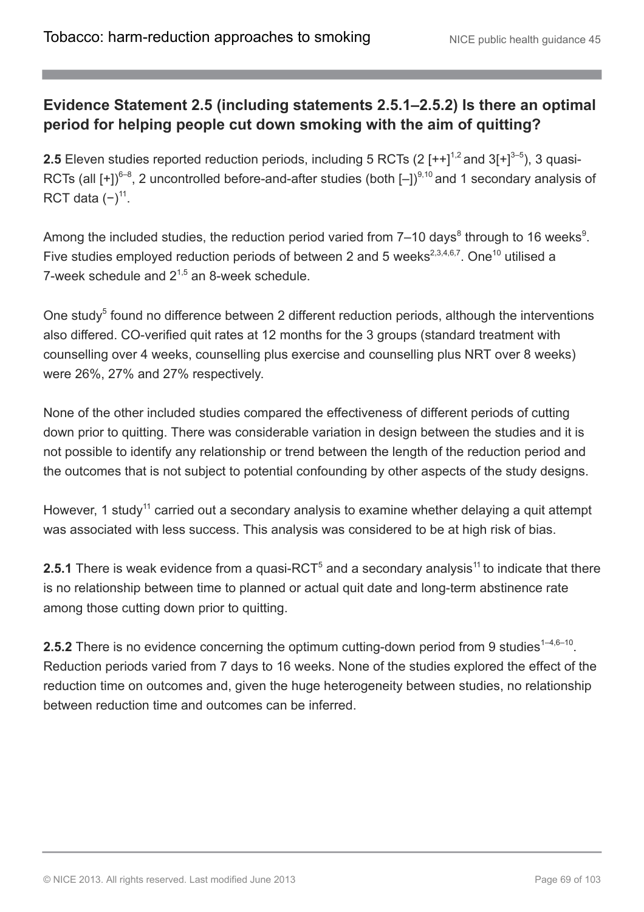### **Evidence Statement 2.5 (including statements 2.5.1–2.5.2) Is there an optimal period for helping people cut down smoking with the aim of quitting?**

**2.5** Eleven studies reported reduction periods, including 5 RCTs (2  $[++]^{1,2}$  and 3 $[+]^{3-5}$ ), 3 quasi-RCTs (all  $[+]^{6-8}$ , 2 uncontrolled before-and-after studies (both  $[-]^{9,10}$  and 1 secondary analysis of RCT data  $(-)^{11}$ .

Among the included studies, the reduction period varied from 7–10 days<sup>8</sup> through to 16 weeks<sup>9</sup>. Five studies employed reduction periods of between 2 and 5 weeks<sup>2,3,4,6,7</sup>. One<sup>10</sup> utilised a 7-week schedule and  $2^{1,5}$  an 8-week schedule.

One study<sup>5</sup> found no difference between 2 different reduction periods, although the interventions also differed. CO-verified quit rates at 12 months for the 3 groups (standard treatment with counselling over 4 weeks, counselling plus exercise and counselling plus NRT over 8 weeks) were 26%, 27% and 27% respectively.

None of the other included studies compared the effectiveness of different periods of cutting down prior to quitting. There was considerable variation in design between the studies and it is not possible to identify any relationship or trend between the length of the reduction period and the outcomes that is not subject to potential confounding by other aspects of the study designs.

However, 1 study<sup>11</sup> carried out a secondary analysis to examine whether delaying a quit attempt was associated with less success. This analysis was considered to be at high risk of bias.

**2.5.1** There is weak evidence from a quasi-RCT<sup>5</sup> and a secondary analysis<sup>11</sup> to indicate that there is no relationship between time to planned or actual quit date and long-term abstinence rate among those cutting down prior to quitting.

**2.5.2** There is no evidence concerning the optimum cutting-down period from 9 studies<sup> $1-4,6-10$ </sup>. Reduction periods varied from 7 days to 16 weeks. None of the studies explored the effect of the reduction time on outcomes and, given the huge heterogeneity between studies, no relationship between reduction time and outcomes can be inferred.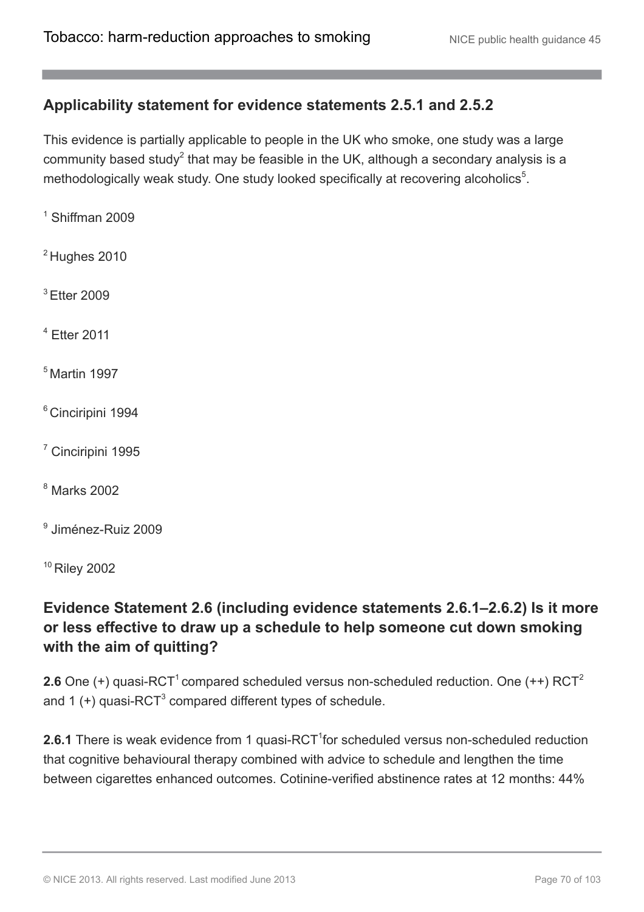### **Applicability statement for evidence statements 2.5.1 and 2.5.2**

This evidence is partially applicable to people in the UK who smoke, one study was a large community based study<sup>2</sup> that may be feasible in the UK, although a secondary analysis is a methodologically weak study. One study looked specifically at recovering alcoholics<sup>5</sup>.

- $1$  Shiffman 2009
- $2$  Hughes 2010
- <sup>3</sup> Etter 2009
- $4$  Etter 2011
- $<sup>5</sup>$  Martin 1997</sup>
- <sup>6</sup> Cinciripini 1994
- <sup>7</sup> Cinciripini 1995
- <sup>8</sup> Marks 2002
- 9 Jiménez-Ruiz 2009

<sup>10</sup> Riley 2002

### **Evidence Statement 2.6 (including evidence statements 2.6.1–2.6.2) Is it more or less effective to draw up a schedule to help someone cut down smoking with the aim of quitting?**

**2.6** One (+) quasi-RCT<sup>1</sup> compared scheduled versus non-scheduled reduction. One (++) RCT<sup>2</sup> and 1  $(+)$  quasi-RCT<sup>3</sup> compared different types of schedule.

**2.6.1** There is weak evidence from 1 quasi-RCT<sup>1</sup>for scheduled versus non-scheduled reduction that cognitive behavioural therapy combined with advice to schedule and lengthen the time between cigarettes enhanced outcomes. Cotinine-verified abstinence rates at 12 months: 44%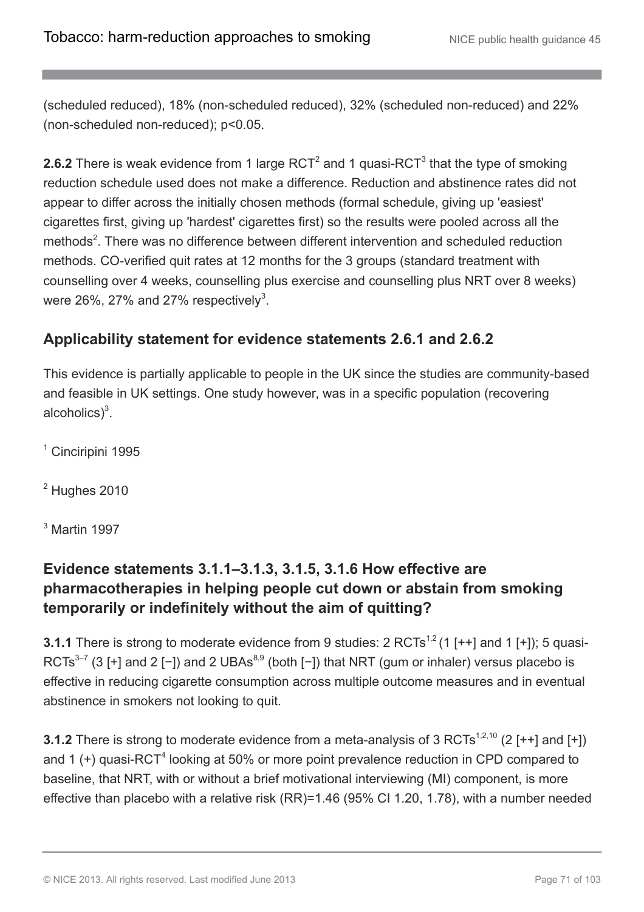(scheduled reduced), 18% (non-scheduled reduced), 32% (scheduled non-reduced) and 22% (non-scheduled non-reduced); p<0.05.

**2.6.2** There is weak evidence from 1 large  $\text{RCT}^2$  and 1 quasi- $\text{RCT}^3$  that the type of smoking reduction schedule used does not make a difference. Reduction and abstinence rates did not appear to differ across the initially chosen methods (formal schedule, giving up 'easiest' cigarettes first, giving up 'hardest' cigarettes first) so the results were pooled across all the methods<sup>2</sup>. There was no difference between different intervention and scheduled reduction methods. CO-verified quit rates at 12 months for the 3 groups (standard treatment with counselling over 4 weeks, counselling plus exercise and counselling plus NRT over 8 weeks) were 26%, 27% and 27% respectively<sup>3</sup>.

### **Applicability statement for evidence statements 2.6.1 and 2.6.2**

This evidence is partially applicable to people in the UK since the studies are community-based and feasible in UK settings. One study however, was in a specific population (recovering alcoholics $)^3$ .

<sup>1</sup> Cinciripini 1995

 $2$  Hughes 2010

<sup>3</sup> Martin 1997

### **Evidence statements 3.1.1–3.1.3, 3.1.5, 3.1.6 How effective are pharmacotherapies in helping people cut down or abstain from smoking temporarily or indefinitely without the aim of quitting?**

**3.1.1** There is strong to moderate evidence from 9 studies:  $2 \text{ RCTs}^{1,2}$  (1 [ $++$ ] and 1 [ $+$ ]); 5 quasi-RCTs<sup>3-7</sup> (3 [+] and 2 [-]) and 2 UBAs<sup>8,9</sup> (both [-]) that NRT (gum or inhaler) versus placebo is effective in reducing cigarette consumption across multiple outcome measures and in eventual abstinence in smokers not looking to quit.

**3.1.2** There is strong to moderate evidence from a meta-analysis of 3 RCTs<sup>1,2,10</sup> (2 [++] and [+]) and 1 (+) quasi-RCT<sup>4</sup> looking at 50% or more point prevalence reduction in CPD compared to baseline, that NRT, with or without a brief motivational interviewing (MI) component, is more effective than placebo with a relative risk (RR)=1.46 (95% CI 1.20, 1.78), with a number needed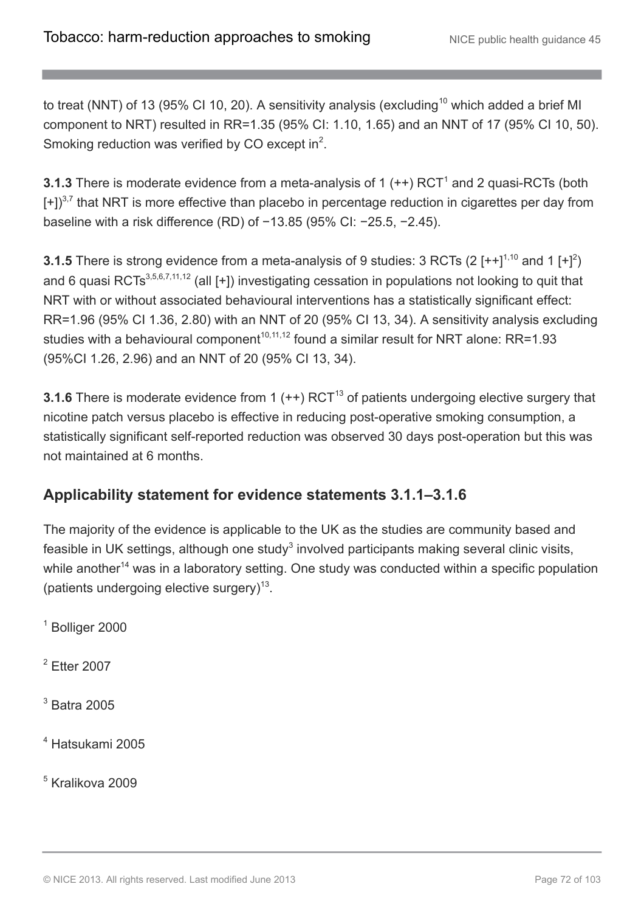to treat (NNT) of 13 (95% CI 10, 20). A sensitivity analysis (excluding<sup>10</sup> which added a brief MI component to NRT) resulted in RR=1.35 (95% CI: 1.10, 1.65) and an NNT of 17 (95% CI 10, 50). Smoking reduction was verified by CO except in $^2$ .

**3.1.3** There is moderate evidence from a meta-analysis of 1  $(++)$  RCT<sup>1</sup> and 2 quasi-RCTs (both  $[+]^{3,7}$  that NRT is more effective than placebo in percentage reduction in cigarettes per day from baseline with a risk difference (RD) of −13.85 (95% CI: −25.5, −2.45).

**3.1.5** There is strong evidence from a meta-analysis of 9 studies: 3 RCTs (2  $[++]^{1,10}$  and 1  $[+]^2$ ) and 6 quasi RCTs<sup>3,5,6,7,11,12</sup> (all [+]) investigating cessation in populations not looking to quit that NRT with or without associated behavioural interventions has a statistically significant effect: RR=1.96 (95% CI 1.36, 2.80) with an NNT of 20 (95% CI 13, 34). A sensitivity analysis excluding studies with a behavioural component<sup>10,11,12</sup> found a similar result for NRT alone: RR=1.93 (95%CI 1.26, 2.96) and an NNT of 20 (95% CI 13, 34).

**3.1.6** There is moderate evidence from 1 (++) RCT<sup>13</sup> of patients undergoing elective surgery that nicotine patch versus placebo is effective in reducing post-operative smoking consumption, a statistically significant self-reported reduction was observed 30 days post-operation but this was not maintained at 6 months.

### **Applicability statement for evidence statements 3.1.1–3.1.6**

The majority of the evidence is applicable to the UK as the studies are community based and feasible in UK settings, although one study<sup>3</sup> involved participants making several clinic visits, while another<sup>14</sup> was in a laboratory setting. One study was conducted within a specific population (patients undergoing elective surgery) $^{13}$ .

<sup>1</sup> Bolliger 2000

 $2$  Etter 2007

 $3$  Batra 2005

<sup>4</sup> Hatsukami 2005

<sup>5</sup> Kralikova 2009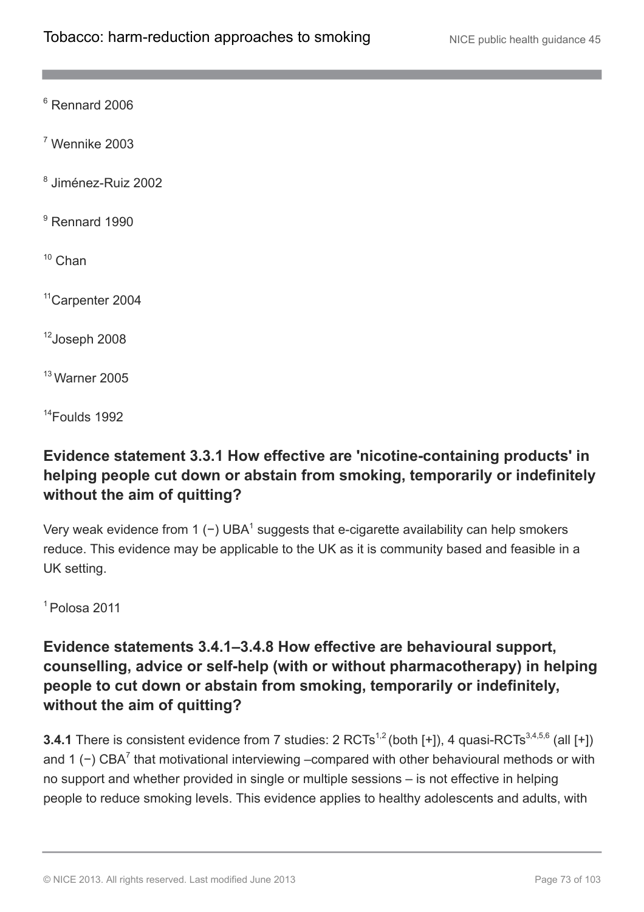$6$  Rennard 2006

 $7$  Wennike 2003

8 Jiménez-Ruiz 2002

<sup>9</sup> Rennard 1990

 $10$  Chan

<sup>11</sup>Carpenter 2004

<sup>12</sup>Joseph 2008

<sup>13</sup> Warner 2005

<sup>14</sup>Foulds 1992

## **Evidence statement 3.3.1 How effective are 'nicotine-containing products' in helping people cut down or abstain from smoking, temporarily or indefinitely without the aim of quitting?**

Very weak evidence from 1 (−) UBA<sup>1</sup> suggests that e-cigarette availability can help smokers reduce. This evidence may be applicable to the UK as it is community based and feasible in a UK setting.

 $<sup>1</sup>$  Polosa 2011</sup>

## **Evidence statements 3.4.1–3.4.8 How effective are behavioural support, counselling, advice or self-help (with or without pharmacotherapy) in helping people to cut down or abstain from smoking, temporarily or indefinitely, without the aim of quitting?**

**3.4.1** There is consistent evidence from 7 studies:  $2 \text{ RCTs}^{1,2}$  (both [+]), 4 quasi-RCTs<sup>3,4,5,6</sup> (all [+]) and 1 ( $-$ ) CBA<sup>7</sup> that motivational interviewing –compared with other behavioural methods or with no support and whether provided in single or multiple sessions – is not effective in helping people to reduce smoking levels. This evidence applies to healthy adolescents and adults, with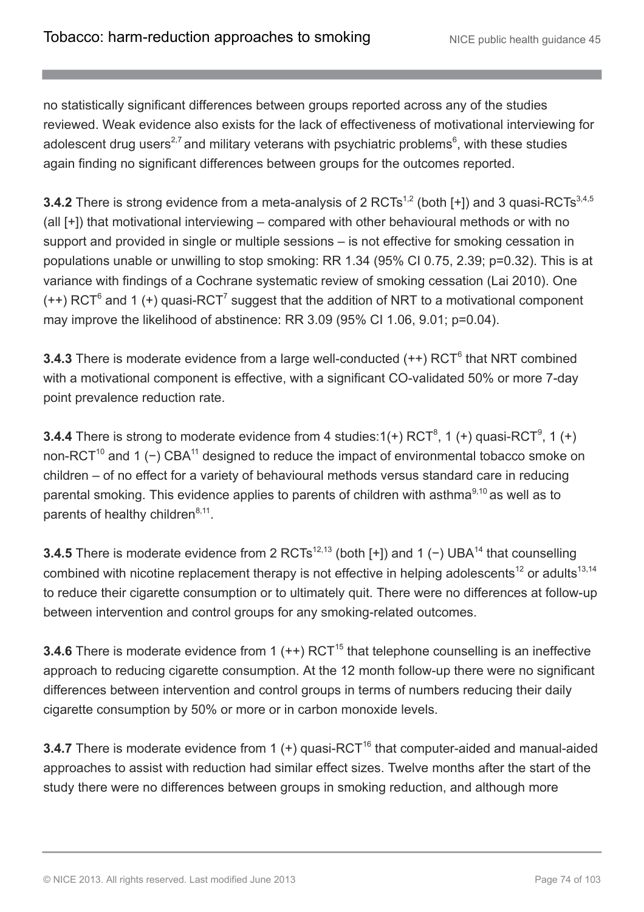no statistically significant differences between groups reported across any of the studies reviewed. Weak evidence also exists for the lack of effectiveness of motivational interviewing for adolescent drug users<sup>2,7</sup> and military veterans with psychiatric problems<sup>6</sup>, with these studies again finding no significant differences between groups for the outcomes reported.

**3.4.2** There is strong evidence from a meta-analysis of 2 RCTs<sup>1,2</sup> (both [+]) and 3 quasi-RCTs<sup>3,4,5</sup> (all [+]) that motivational interviewing – compared with other behavioural methods or with no support and provided in single or multiple sessions – is not effective for smoking cessation in populations unable or unwilling to stop smoking: RR 1.34 (95% CI 0.75, 2.39; p=0.32). This is at variance with findings of a Cochrane systematic review of smoking cessation (Lai 2010). One  $(++)$  RCT<sup>6</sup> and 1 (+) quasi-RCT<sup>7</sup> suggest that the addition of NRT to a motivational component may improve the likelihood of abstinence: RR 3.09 (95% CI 1.06, 9.01; p=0.04).

**3.4.3** There is moderate evidence from a large well-conducted (++) RCT<sup>6</sup> that NRT combined with a motivational component is effective, with a significant CO-validated 50% or more 7-day point prevalence reduction rate.

**3.4.4** There is strong to moderate evidence from 4 studies: $1(+)$  RCT<sup>8</sup>, 1 (+) quasi-RCT<sup>9</sup>, 1 (+) non-RCT<sup>10</sup> and 1 (−) CBA<sup>11</sup> designed to reduce the impact of environmental tobacco smoke on children – of no effect for a variety of behavioural methods versus standard care in reducing parental smoking. This evidence applies to parents of children with asthma<sup>9,10</sup> as well as to parents of healthy children<sup>8,11</sup>.

**3.4.5** There is moderate evidence from 2 RCTs<sup>12,13</sup> (both [+]) and 1 (−) UBA<sup>14</sup> that counselling combined with nicotine replacement therapy is not effective in helping adolescents<sup>12</sup> or adults<sup>13,14</sup> to reduce their cigarette consumption or to ultimately quit. There were no differences at follow-up between intervention and control groups for any smoking-related outcomes.

**3.4.6** There is moderate evidence from 1  $(++)$  RCT<sup>15</sup> that telephone counselling is an ineffective approach to reducing cigarette consumption. At the 12 month follow-up there were no significant differences between intervention and control groups in terms of numbers reducing their daily cigarette consumption by 50% or more or in carbon monoxide levels.

**3.4.7** There is moderate evidence from 1 (+) quasi-RCT<sup>16</sup> that computer-aided and manual-aided approaches to assist with reduction had similar effect sizes. Twelve months after the start of the study there were no differences between groups in smoking reduction, and although more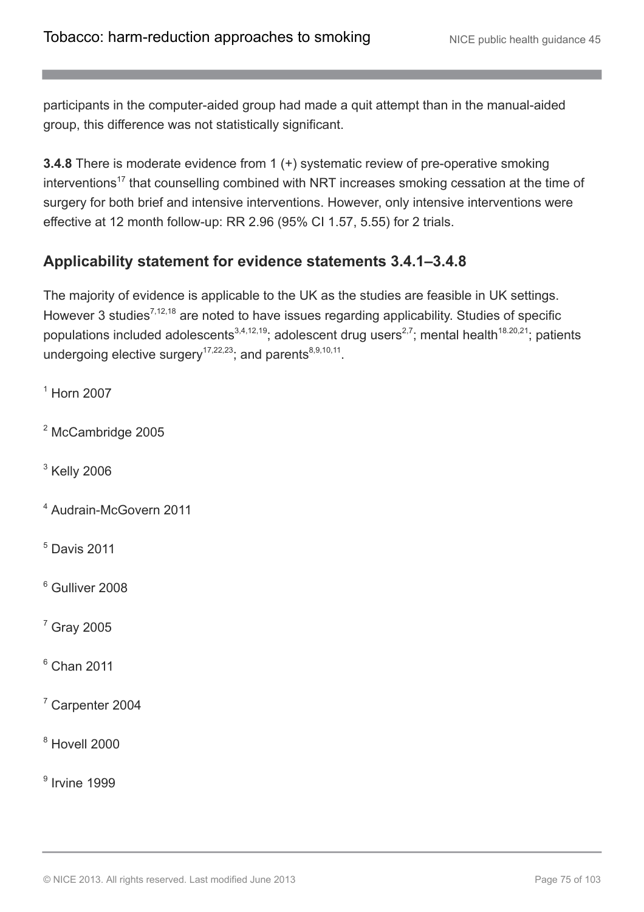participants in the computer-aided group had made a quit attempt than in the manual-aided group, this difference was not statistically significant.

**3.4.8** There is moderate evidence from 1 (+) systematic review of pre-operative smoking interventions<sup>17</sup> that counselling combined with NRT increases smoking cessation at the time of surgery for both brief and intensive interventions. However, only intensive interventions were effective at 12 month follow-up: RR 2.96 (95% CI 1.57, 5.55) for 2 trials.

## **Applicability statement for evidence statements 3.4.1–3.4.8**

The majority of evidence is applicable to the UK as the studies are feasible in UK settings. However 3 studies<sup>7,12,18</sup> are noted to have issues regarding applicability. Studies of specific populations included adolescents<sup>3,4,12,19</sup>; adolescent drug users<sup>2,7</sup>; mental health<sup>18.20,21</sup>; patients undergoing elective surgery<sup>17,22,23</sup>; and parents<sup>8,9,10,11</sup>.

<sup>1</sup> Horn 2007

<sup>2</sup> McCambridge 2005

 $3$  Kelly 2006

- <sup>4</sup> Audrain-McGovern 2011
- $<sup>5</sup>$  Davis 2011</sup>

<sup>6</sup> Gulliver 2008

 $<sup>7</sup>$  Gray 2005</sup>

 $6$  Chan 2011

 $7$  Carpenter 2004

 $8$  Hovell 2000

9 Irvine 1999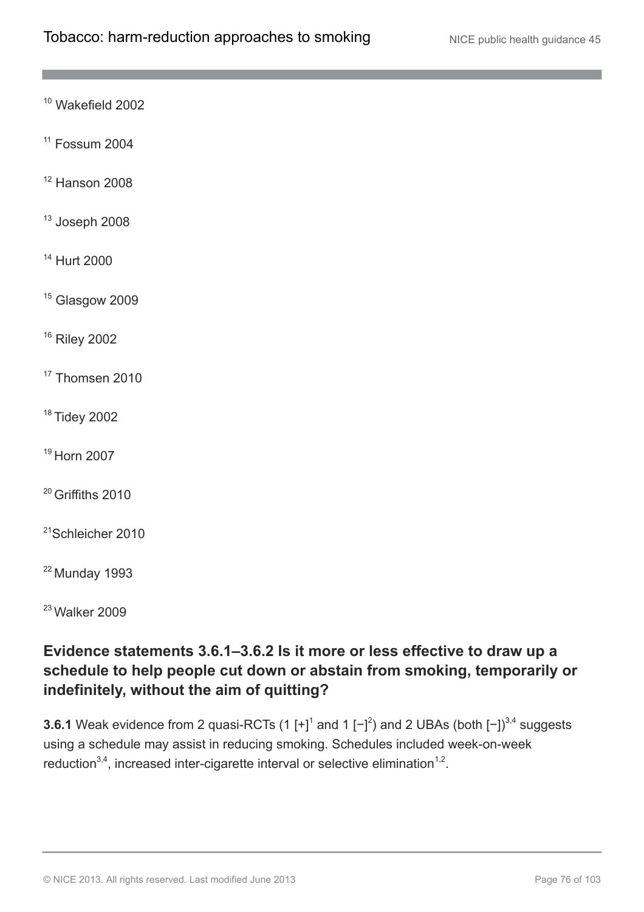<sup>10</sup> Wakefield 2002

 $11$  Fossum 2004

 $12$  Hanson 2008

 $13$  Joseph 2008

<sup>14</sup> Hurt 2000

<sup>15</sup> Glasgow 2009

<sup>16</sup> Riley 2002

<sup>17</sup> Thomsen 2010

<sup>18</sup> Tidey 2002

<sup>19</sup> Horn 2007

<sup>20</sup> Griffiths 2010

<sup>21</sup>Schleicher 2010

 $22$  Munday 1993

 $23$  Walker 2009

## **Evidence statements 3.6.1–3.6.2 Is it more or less effective to draw up a schedule to help people cut down or abstain from smoking, temporarily or indefinitely, without the aim of quitting?**

**3.6.1** Weak evidence from 2 quasi-RCTs (1  $[+]^1$  and 1  $[-]^2$ ) and 2 UBAs (both  $[-])^{3,4}$  suggests using a schedule may assist in reducing smoking. Schedules included week-on-week reduction<sup>3,4</sup>, increased inter-cigarette interval or selective elimination<sup>1,2</sup>.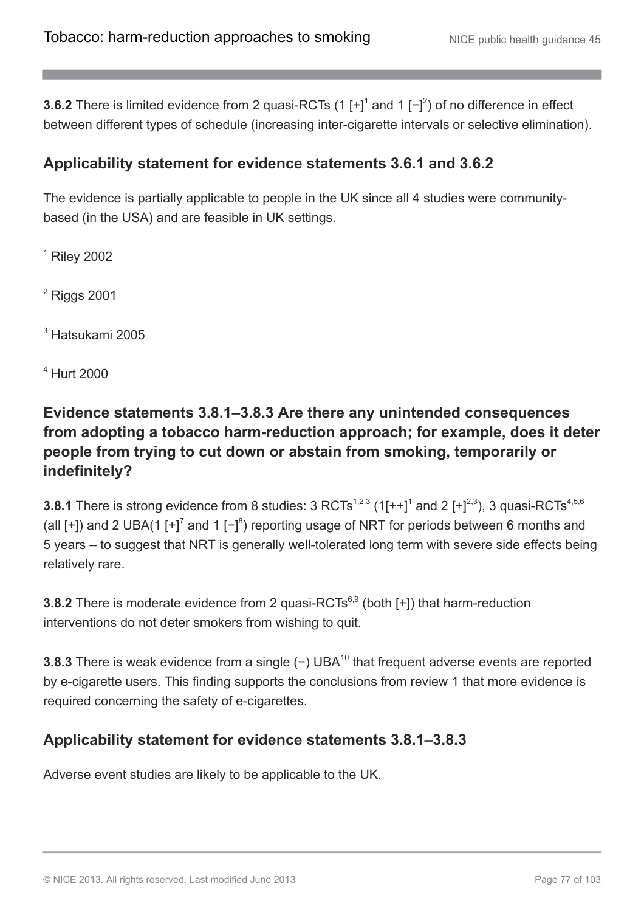**3.6.2** There is limited evidence from 2 quasi-RCTs (1  $[+]^1$  and 1  $[-]^2$ ) of no difference in effect between different types of schedule (increasing inter-cigarette intervals or selective elimination).

## **Applicability statement for evidence statements 3.6.1 and 3.6.2**

The evidence is partially applicable to people in the UK since all 4 studies were communitybased (in the USA) and are feasible in UK settings.

 $<sup>1</sup>$  Riley 2002</sup>

<sup>2</sup> Riggs 2001

<sup>3</sup> Hatsukami 2005

<sup>4</sup> Hurt 2000

## **Evidence statements 3.8.1–3.8.3 Are there any unintended consequences from adopting a tobacco harm-reduction approach; for example, does it deter people from trying to cut down or abstain from smoking, temporarily or indefinitely?**

**3.8.1** There is strong evidence from 8 studies:  $3$  RCTs<sup>1,2,3</sup> (1[++]<sup>1</sup> and 2 [+]<sup>2,3</sup>), 3 quasi-RCTs<sup>4,5,6</sup> (all [+]) and 2 UBA(1 [+]<sup>7</sup> and 1 [-]<sup>8</sup>) reporting usage of NRT for periods between 6 months and 5 years – to suggest that NRT is generally well-tolerated long term with severe side effects being relatively rare.

**3.8.2** There is moderate evidence from 2 quasi-RCTs<sup>6,9</sup> (both [+]) that harm-reduction interventions do not deter smokers from wishing to quit.

**3.8.3** There is weak evidence from a single (−) UBA<sup>10</sup> that frequent adverse events are reported by e-cigarette users. This finding supports the conclusions from review 1 that more evidence is required concerning the safety of e-cigarettes.

## **Applicability statement for evidence statements 3.8.1–3.8.3**

Adverse event studies are likely to be applicable to the UK.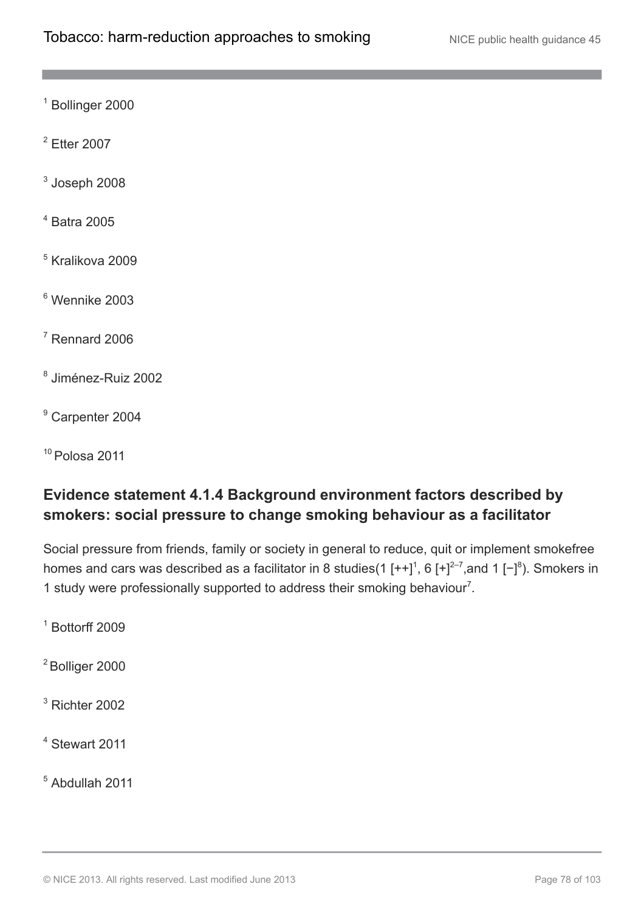<sup>1</sup> Bollinger 2000

<sup>2</sup> Etter 2007

 $^3$  Joseph 2008

<sup>4</sup> Batra 2005

<sup>5</sup> Kralikova 2009

<sup>6</sup> Wennike 2003

 $<sup>7</sup>$  Rennard 2006</sup>

8 Jiménez-Ruiz 2002

<sup>9</sup> Carpenter 2004

 $10$  Polosa 2011

## **Evidence statement 4.1.4 Background environment factors described by smokers: social pressure to change smoking behaviour as a facilitator**

Social pressure from friends, family or society in general to reduce, quit or implement smokefree homes and cars was described as a facilitator in 8 studies(1  $[++]^1$ , 6  $[+]^{2-7}$ , and 1  $[-]^8$ ). Smokers in 1 study were professionally supported to address their smoking behaviour<sup>7</sup>.

 $1$  Bottorff 2009

<sup>2</sup> Bolliger 2000

 $3$  Richter 2002

<sup>4</sup> Stewart 2011

<sup>5</sup> Abdullah 2011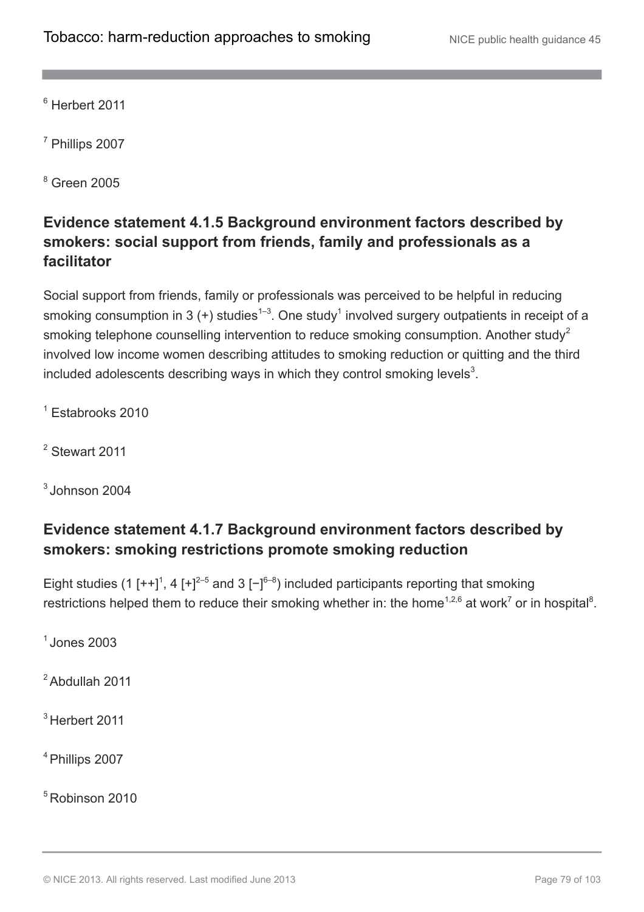<sup>6</sup> Herbert 2011

<sup>7</sup> Phillips 2007

<sup>8</sup> Green 2005

## **Evidence statement 4.1.5 Background environment factors described by smokers: social support from friends, family and professionals as a facilitator**

Social support from friends, family or professionals was perceived to be helpful in reducing smoking consumption in 3 (+) studies<sup>1–3</sup>. One study<sup>1</sup> involved surgery outpatients in receipt of a smoking telephone counselling intervention to reduce smoking consumption. Another study<sup>2</sup> involved low income women describing attitudes to smoking reduction or quitting and the third included adolescents describing ways in which they control smoking levels<sup>3</sup>.

 $<sup>1</sup>$  Estabrooks 2010</sup>

<sup>2</sup> Stewart 2011

 $^3$  Johnson 2004

## **Evidence statement 4.1.7 Background environment factors described by smokers: smoking restrictions promote smoking reduction**

Eight studies (1 [++]<sup>1</sup>, 4 [+]<sup>2–5</sup> and 3 [-]<sup>6–8</sup>) included participants reporting that smoking restrictions helped them to reduce their smoking whether in: the home<sup>1,2,6</sup> at work<sup>7</sup> or in hospital<sup>8</sup>.

 $<sup>1</sup>$  Jones 2003</sup>

<sup>2</sup> Abdullah 2011

<sup>3</sup> Herbert 2011

<sup>4</sup> Phillips 2007

<sup>5</sup> Robinson 2010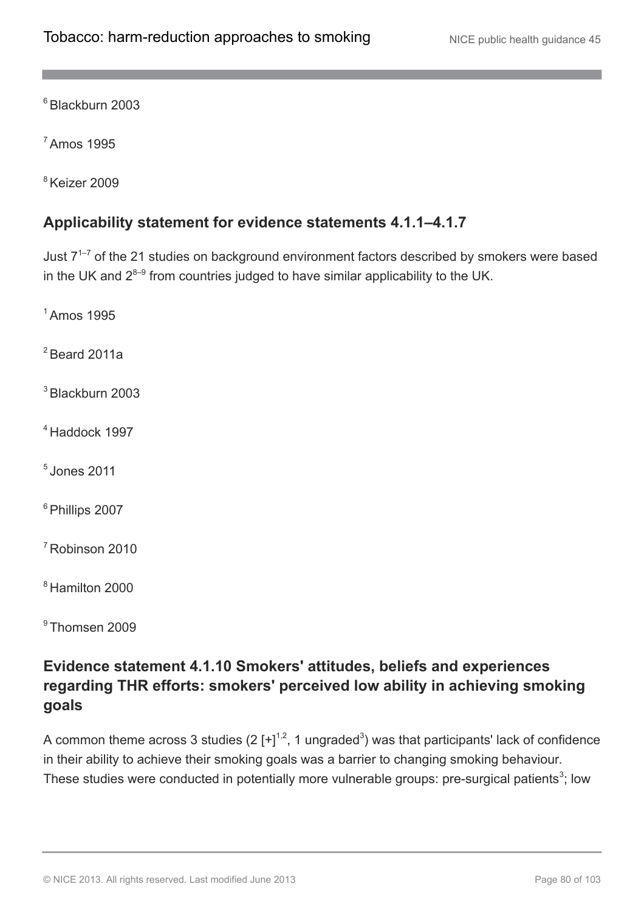<sup>6</sup> Blackburn 2003

<sup>7</sup> Amos 1995

<sup>8</sup> Keizer 2009

### **Applicability statement for evidence statements 4.1.1–4.1.7**

Just  $7^{1-7}$  of the 21 studies on background environment factors described by smokers were based in the UK and  $2^{8-9}$  from countries judged to have similar applicability to the UK.

<sup>1</sup> Amos 1995

 $2$  Beard 2011a

 $3$  Blackburn 2003

<sup>4</sup> Haddock 1997

 $<sup>5</sup>$  Jones 2011</sup>

<sup>6</sup> Phillips 2007

<sup>7</sup> Robinson 2010

<sup>8</sup> Hamilton 2000

<sup>9</sup> Thomsen 2009

## **Evidence statement 4.1.10 Smokers' attitudes, beliefs and experiences regarding THR efforts: smokers' perceived low ability in achieving smoking goals**

A common theme across 3 studies (2  $[+]^{1,2}$ , 1 ungraded<sup>3</sup>) was that participants' lack of confidence in their ability to achieve their smoking goals was a barrier to changing smoking behaviour. These studies were conducted in potentially more vulnerable groups: pre-surgical patients<sup>3</sup>; low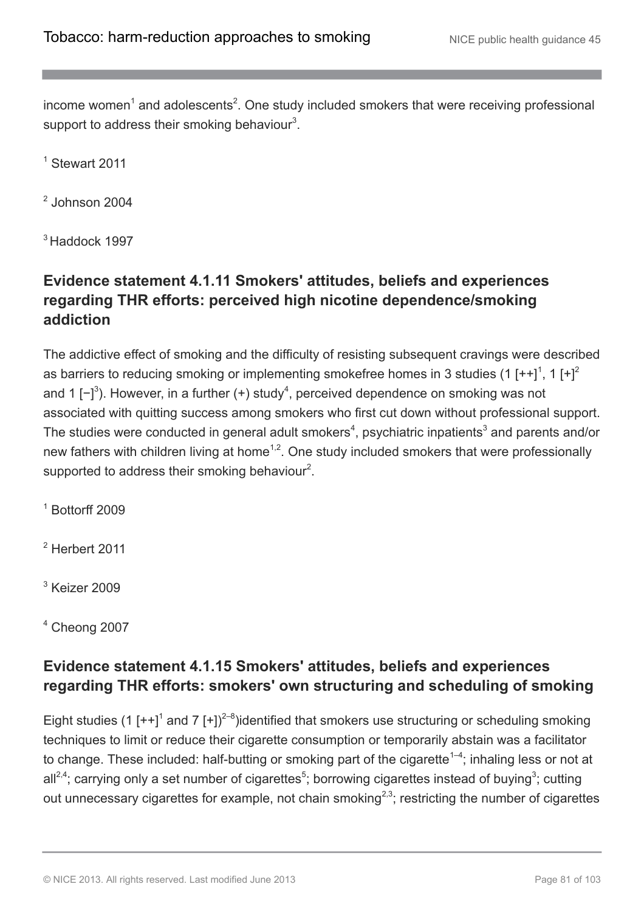income women<sup>1</sup> and adolescents<sup>2</sup>. One study included smokers that were receiving professional support to address their smoking behaviour $3$ .

<sup>1</sup> Stewart 2011

2 Johnson 2004

<sup>3</sup> Haddock 1997

## **Evidence statement 4.1.11 Smokers' attitudes, beliefs and experiences regarding THR efforts: perceived high nicotine dependence/smoking addiction**

The addictive effect of smoking and the difficulty of resisting subsequent cravings were described as barriers to reducing smoking or implementing smokefree homes in 3 studies (1 [++]<sup>1</sup>, 1 [+]<sup>2</sup> and 1 [-]<sup>3</sup>). However, in a further (+) study<sup>4</sup>, perceived dependence on smoking was not associated with quitting success among smokers who first cut down without professional support. The studies were conducted in general adult smokers<sup>4</sup>, psychiatric inpatients<sup>3</sup> and parents and/or new fathers with children living at home<sup>1,2</sup>. One study included smokers that were professionally supported to address their smoking behaviour<sup>2</sup>.

 $1$  Bottorff 2009

 $2$  Herbert 2011

 $3$  Keizer 2009

 $4$  Cheong 2007

## **Evidence statement 4.1.15 Smokers' attitudes, beliefs and experiences regarding THR efforts: smokers' own structuring and scheduling of smoking**

Eight studies (1  $[++]$ <sup>1</sup> and 7  $[+]$ <sup>2-8</sup>)identified that smokers use structuring or scheduling smoking techniques to limit or reduce their cigarette consumption or temporarily abstain was a facilitator to change. These included: half-butting or smoking part of the cigarette<sup>1-4</sup>; inhaling less or not at all<sup>2,4</sup>; carrying only a set number of cigarettes<sup>5</sup>; borrowing cigarettes instead of buying<sup>3</sup>; cutting out unnecessary cigarettes for example, not chain smoking<sup>2,3</sup>; restricting the number of cigarettes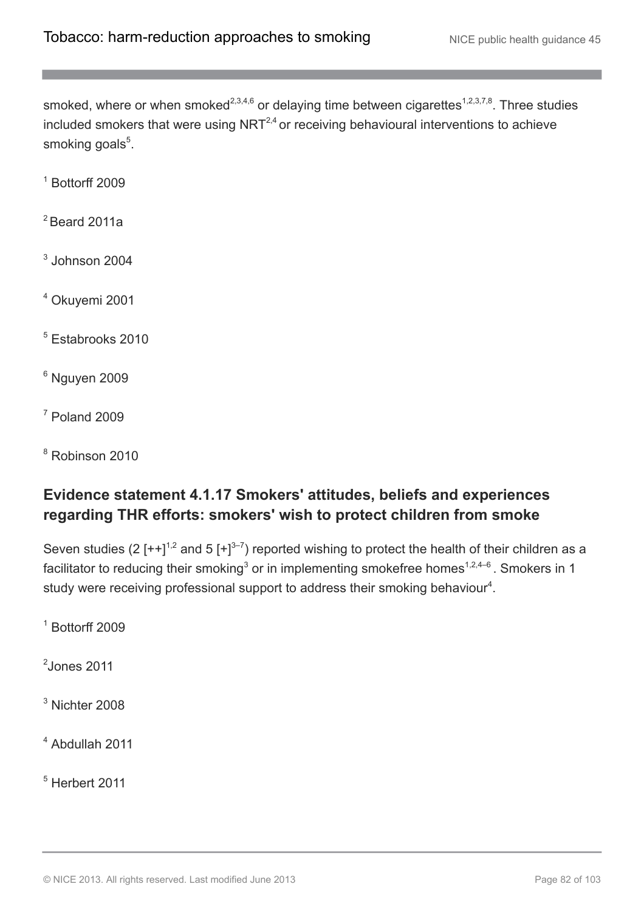smoked, where or when smoked<sup>2,3,4,6</sup> or delaying time between cigarettes<sup>1,2,3,7,8</sup>. Three studies included smokers that were using NRT $^{2,4}$  or receiving behavioural interventions to achieve smoking goals<sup>5</sup>.

 $1$  Bottorff 2009

 $2$  Beard 2011a

 $3$  Johnson 2004

<sup>4</sup> Okuyemi 2001

<sup>5</sup> Estabrooks 2010

 $6$  Nguyen 2009

 $<sup>7</sup>$  Poland 2009</sup>

<sup>8</sup> Robinson 2010

## **Evidence statement 4.1.17 Smokers' attitudes, beliefs and experiences regarding THR efforts: smokers' wish to protect children from smoke**

Seven studies (2  $[++]^{1,2}$  and 5  $[+]^{3-7}$ ) reported wishing to protect the health of their children as a facilitator to reducing their smoking<sup>3</sup> or in implementing smokefree homes<sup>1,2,4–6</sup>. Smokers in 1 study were receiving professional support to address their smoking behaviour $4$ .

 $1$  Bottorff 2009

 $<sup>2</sup>$ Jones 2011</sup>

<sup>3</sup> Nichter 2008

<sup>4</sup> Abdullah 2011

 $<sup>5</sup>$  Herbert 2011</sup>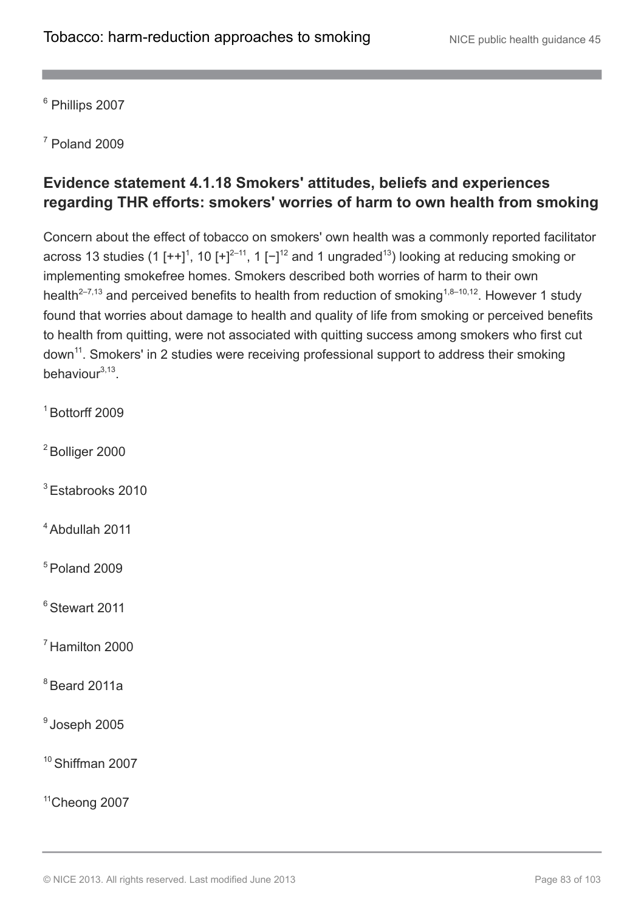<sup>6</sup> Phillips 2007

 $<sup>7</sup>$  Poland 2009</sup>

## **Evidence statement 4.1.18 Smokers' attitudes, beliefs and experiences regarding THR efforts: smokers' worries of harm to own health from smoking**

Concern about the effect of tobacco on smokers' own health was a commonly reported facilitator across 13 studies (1 [++]<sup>1</sup>, 10 [+]<sup>2-11</sup>, 1 [-]<sup>12</sup> and 1 ungraded<sup>13</sup>) looking at reducing smoking or implementing smokefree homes. Smokers described both worries of harm to their own health<sup>2–7,13</sup> and perceived benefits to health from reduction of smoking<sup>1,8–10,12</sup>. However 1 study found that worries about damage to health and quality of life from smoking or perceived benefits to health from quitting, were not associated with quitting success among smokers who first cut down<sup>11</sup>. Smokers' in 2 studies were receiving professional support to address their smoking behaviour<sup>3,13</sup>.

- $1$  Bottorff 2009
- <sup>2</sup> Bolliger 2000
- <sup>3</sup> Estabrooks 2010
- <sup>4</sup> Abdullah 2011

 $5$  Poland 2009

<sup>6</sup> Stewart 2011

<sup>7</sup> Hamilton 2000

 $8$  Beard 2011a

 $^{\circ}$ Joseph 2005

<sup>10</sup> Shiffman 2007

<sup>11</sup>Cheong 2007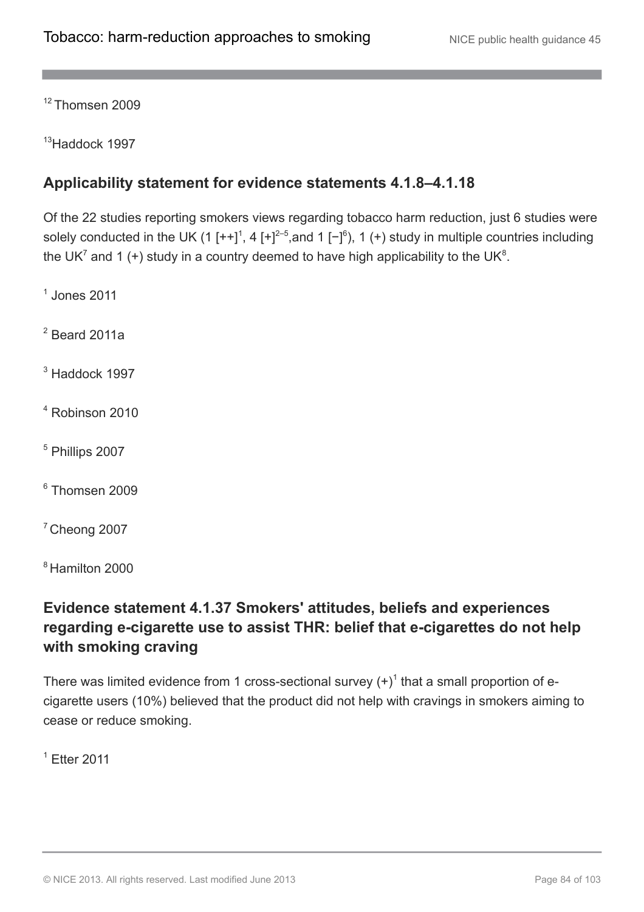<sup>12</sup> Thomsen 2009

<sup>13</sup>Haddock 1997

## **Applicability statement for evidence statements 4.1.8–4.1.18**

Of the 22 studies reporting smokers views regarding tobacco harm reduction, just 6 studies were solely conducted in the UK (1  $[++]^1$ , 4  $[+]^{2-5}$ , and 1  $[-]^6$ ), 1 (+) study in multiple countries including the UK<sup>7</sup> and 1 (+) study in a country deemed to have high applicability to the UK<sup>8</sup>.

 $<sup>1</sup>$  Jones 2011</sup>

 $2$  Beard 2011a

<sup>3</sup> Haddock 1997

<sup>4</sup> Robinson 2010

<sup>5</sup> Phillips 2007

<sup>6</sup> Thomsen 2009

 $7$  Cheong 2007

<sup>8</sup> Hamilton 2000

## **Evidence statement 4.1.37 Smokers' attitudes, beliefs and experiences regarding e-cigarette use to assist THR: belief that e-cigarettes do not help with smoking craving**

There was limited evidence from 1 cross-sectional survey  $(+)^1$  that a small proportion of ecigarette users (10%) believed that the product did not help with cravings in smokers aiming to cease or reduce smoking.

 $<sup>1</sup>$  Etter 2011</sup>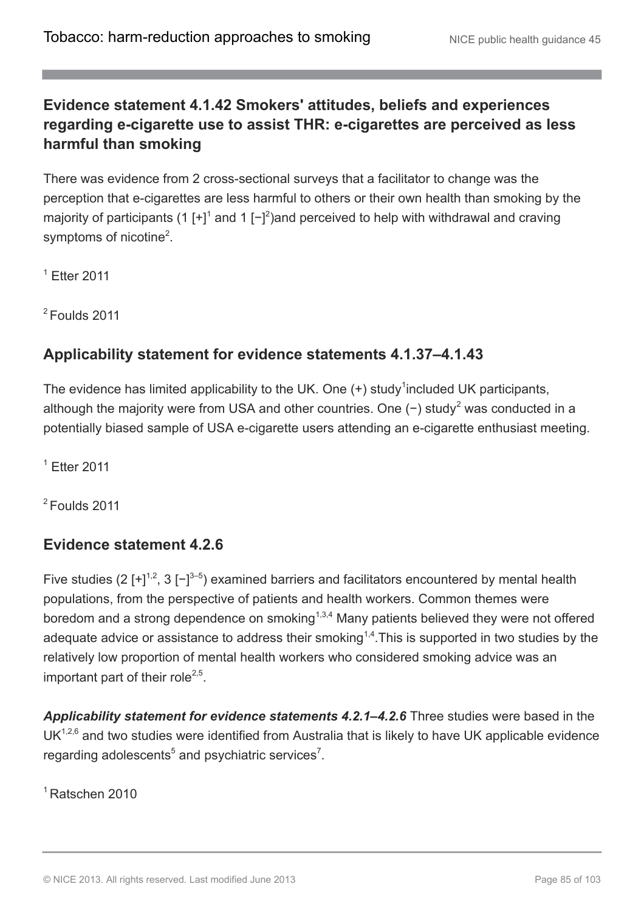## **Evidence statement 4.1.42 Smokers' attitudes, beliefs and experiences regarding e-cigarette use to assist THR: e-cigarettes are perceived as less harmful than smoking**

There was evidence from 2 cross-sectional surveys that a facilitator to change was the perception that e-cigarettes are less harmful to others or their own health than smoking by the majority of participants (1 [+]<sup>1</sup> and 1 [-]<sup>2</sup>)and perceived to help with withdrawal and craving symptoms of nicotine<sup>2</sup>.

 $<sup>1</sup>$  Ftter 2011</sup>

 $2$  Foulds 2011

### **Applicability statement for evidence statements 4.1.37–4.1.43**

The evidence has limited applicability to the UK. One  $(+)$  study<sup>1</sup> included UK participants, although the majority were from USA and other countries. One  $(-)$  study<sup>2</sup> was conducted in a potentially biased sample of USA e-cigarette users attending an e-cigarette enthusiast meeting.

 $<sup>1</sup>$  Etter 2011</sup>

 $2$  Foulds 2011

### **Evidence statement 4.2.6**

Five studies (2  $[+]^{1,2}$ , 3  $[-]^{3-5}$ ) examined barriers and facilitators encountered by mental health populations, from the perspective of patients and health workers. Common themes were boredom and a strong dependence on smoking<sup>1,3,4</sup> Many patients believed they were not offered adequate advice or assistance to address their smoking<sup>1,4</sup>. This is supported in two studies by the relatively low proportion of mental health workers who considered smoking advice was an important part of their role<sup>2,5</sup>.

*Applicability statement for evidence statements 4.2.1–4.2.6* Three studies were based in the  $UK<sup>1,2,6</sup>$  and two studies were identified from Australia that is likely to have UK applicable evidence regarding adolescents<sup>5</sup> and psychiatric services<sup>7</sup>.

<sup>1</sup> Ratschen 2010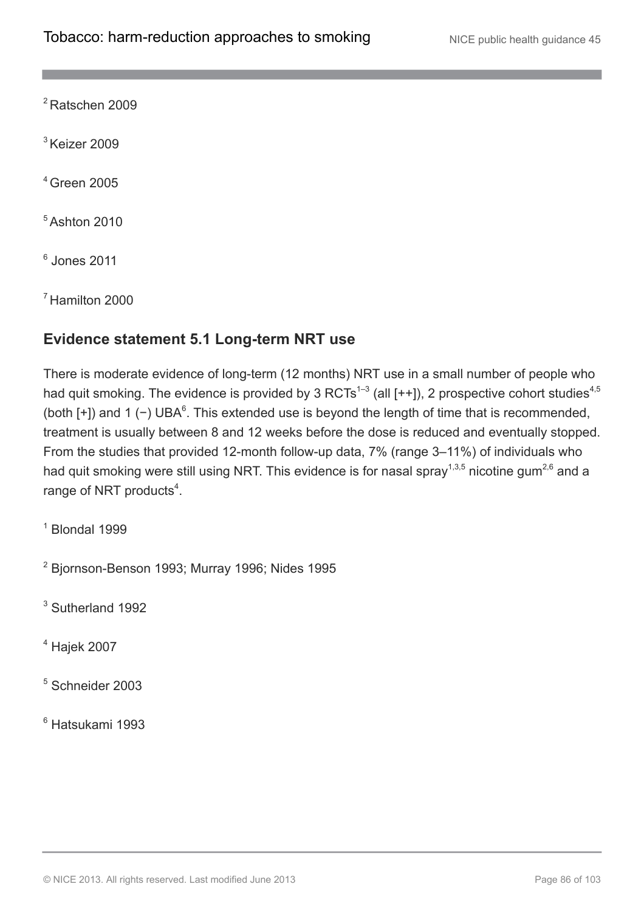<sup>2</sup> Ratschen 2009

 $3$  Keizer 2009

<sup>4</sup> Green 2005

<sup>5</sup> Ashton 2010

6 Jones 2011

<sup>7</sup> Hamilton 2000

## **Evidence statement 5.1 Long-term NRT use**

There is moderate evidence of long-term (12 months) NRT use in a small number of people who had quit smoking. The evidence is provided by 3 RCTs<sup>1-3</sup> (all [++]), 2 prospective cohort studies<sup>4,5</sup> (both  $[+]$ ) and 1 (-) UBA<sup>6</sup>. This extended use is beyond the length of time that is recommended, treatment is usually between 8 and 12 weeks before the dose is reduced and eventually stopped. From the studies that provided 12-month follow-up data, 7% (range 3–11%) of individuals who had quit smoking were still using NRT. This evidence is for nasal spray<sup>1,3,5</sup> nicotine gum<sup>2,6</sup> and a range of NRT products $4$ .

 $<sup>1</sup>$  Blondal 1999</sup>

<sup>2</sup> Bjornson-Benson 1993; Murray 1996; Nides 1995

<sup>3</sup> Sutherland 1992

<sup>4</sup> Hajek 2007

<sup>5</sup> Schneider 2003

<sup>6</sup> Hatsukami 1993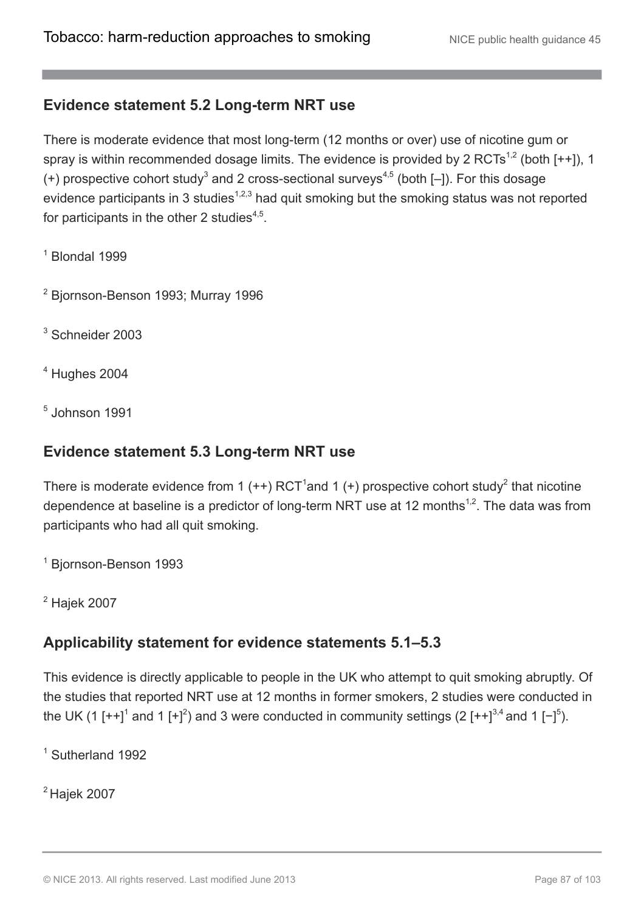### **Evidence statement 5.2 Long-term NRT use**

There is moderate evidence that most long-term (12 months or over) use of nicotine gum or spray is within recommended dosage limits. The evidence is provided by 2 RCTs<sup>1,2</sup> (both [++]), 1 (+) prospective cohort study<sup>3</sup> and 2 cross-sectional surveys<sup>4,5</sup> (both  $[-]$ ). For this dosage evidence participants in 3 studies<sup>1,2,3</sup> had quit smoking but the smoking status was not reported for participants in the other 2 studies<sup>4,5</sup>.

 $<sup>1</sup>$  Blondal 1999</sup>

<sup>2</sup> Bjornson-Benson 1993; Murray 1996

<sup>3</sup> Schneider 2003

 $<sup>4</sup>$  Hughes 2004</sup>

5 Johnson 1991

### **Evidence statement 5.3 Long-term NRT use**

There is moderate evidence from 1 (++) RCT<sup>1</sup>and 1 (+) prospective cohort study<sup>2</sup> that nicotine dependence at baseline is a predictor of long-term NRT use at 12 months<sup>1,2</sup>. The data was from participants who had all quit smoking.

<sup>1</sup> Bjornson-Benson 1993

<sup>2</sup> Hajek 2007

## **Applicability statement for evidence statements 5.1–5.3**

This evidence is directly applicable to people in the UK who attempt to quit smoking abruptly. Of the studies that reported NRT use at 12 months in former smokers, 2 studies were conducted in the UK (1  $[++]$ <sup>1</sup> and 1  $[+]^2$ ) and 3 were conducted in community settings (2  $[++]^{3,4}$  and 1  $[-]^{5}$ ).

<sup>1</sup> Sutherland 1992

 $2$  Hajek 2007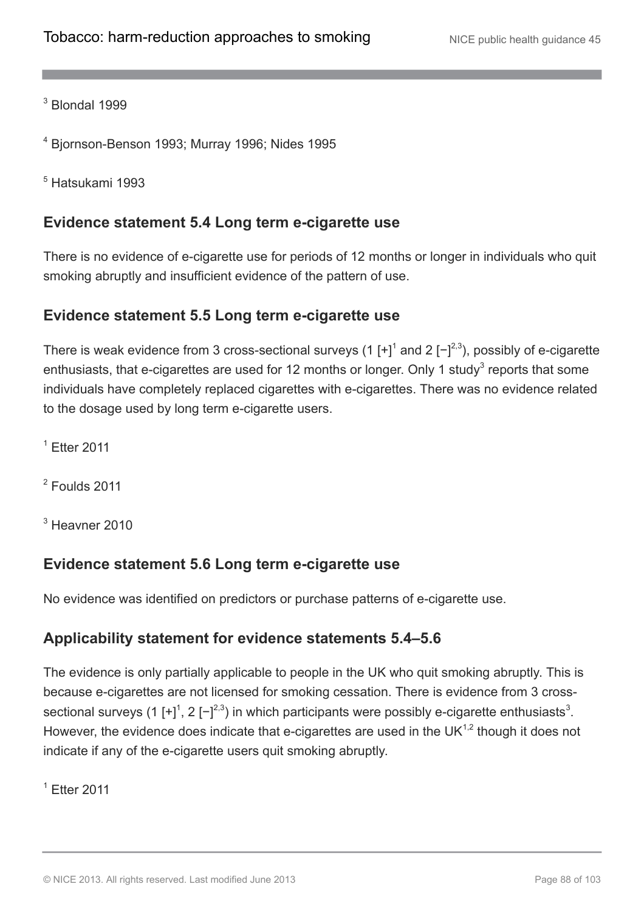<sup>3</sup> Blondal 1999

<sup>4</sup> Bjornson-Benson 1993; Murray 1996; Nides 1995

<sup>5</sup> Hatsukami 1993

### **Evidence statement 5.4 Long term e-cigarette use**

There is no evidence of e-cigarette use for periods of 12 months or longer in individuals who quit smoking abruptly and insufficient evidence of the pattern of use.

### **Evidence statement 5.5 Long term e-cigarette use**

There is weak evidence from 3 cross-sectional surveys (1 [+]<sup>1</sup> and 2 [-]<sup>2,3</sup>), possibly of e-cigarette enthusiasts, that e-cigarettes are used for 12 months or longer. Only 1 study<sup>3</sup> reports that some individuals have completely replaced cigarettes with e-cigarettes. There was no evidence related to the dosage used by long term e-cigarette users.

<sup>1</sup> Etter 2011

 $2$  Foulds 2011

<sup>3</sup> Heavner 2010

### **Evidence statement 5.6 Long term e-cigarette use**

No evidence was identified on predictors or purchase patterns of e-cigarette use.

### **Applicability statement for evidence statements 5.4–5.6**

The evidence is only partially applicable to people in the UK who quit smoking abruptly. This is because e-cigarettes are not licensed for smoking cessation. There is evidence from 3 crosssectional surveys (1 [+]<sup>1</sup>, 2 [-]<sup>2,3</sup>) in which participants were possibly e-cigarette enthusiasts<sup>3</sup>. However, the evidence does indicate that e-cigarettes are used in the UK $1,2$  though it does not indicate if any of the e-cigarette users quit smoking abruptly.

<sup>1</sup> Etter 2011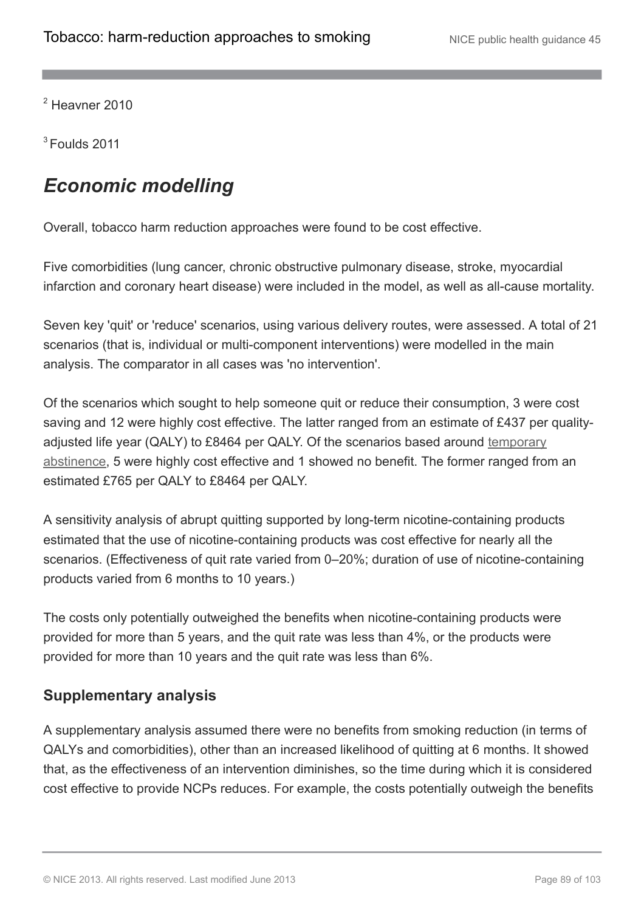$2$  Heavner 2010

 $3$  Foulds 2011

# *Economic modelling*

Overall, tobacco harm reduction approaches were found to be cost effective.

Five comorbidities (lung cancer, chronic obstructive pulmonary disease, stroke, myocardial infarction and coronary heart disease) were included in the model, as well as all-cause mortality.

Seven key 'quit' or 'reduce' scenarios, using various delivery routes, were assessed. A total of 21 scenarios (that is, individual or multi-component interventions) were modelled in the main analysis. The comparator in all cases was 'no intervention'.

Of the scenarios which sought to help someone quit or reduce their consumption, 3 were cost saving and 12 were highly cost effective. The latter ranged from an estimate of £437 per qualityadjusted life year (QALY) to £8464 per QALY. Of the scenarios based around [temporary](http://publications.nice.org.uk/tobacco-harm-reduction-approaches-to-smoking-ph45/glossary#temporary-abstinence) [abstinence](http://publications.nice.org.uk/tobacco-harm-reduction-approaches-to-smoking-ph45/glossary#temporary-abstinence), 5 were highly cost effective and 1 showed no benefit. The former ranged from an estimated £765 per QALY to £8464 per QALY.

A sensitivity analysis of abrupt quitting supported by long-term nicotine-containing products estimated that the use of nicotine-containing products was cost effective for nearly all the scenarios. (Effectiveness of quit rate varied from 0–20%; duration of use of nicotine-containing products varied from 6 months to 10 years.)

The costs only potentially outweighed the benefits when nicotine-containing products were provided for more than 5 years, and the quit rate was less than 4%, or the products were provided for more than 10 years and the quit rate was less than 6%.

## **Supplementary analysis**

A supplementary analysis assumed there were no benefits from smoking reduction (in terms of QALYs and comorbidities), other than an increased likelihood of quitting at 6 months. It showed that, as the effectiveness of an intervention diminishes, so the time during which it is considered cost effective to provide NCPs reduces. For example, the costs potentially outweigh the benefits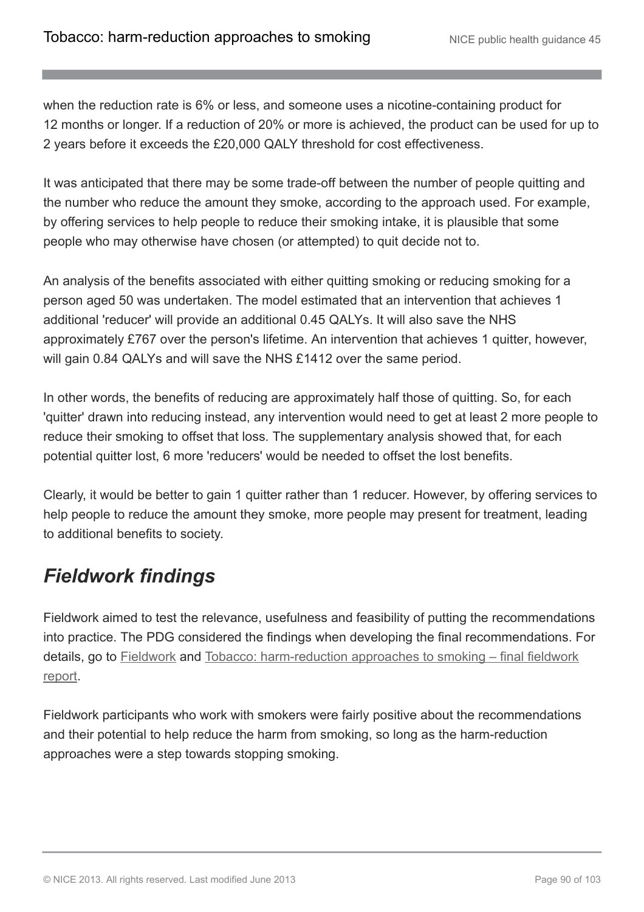when the reduction rate is 6% or less, and someone uses a nicotine-containing product for 12 months or longer. If a reduction of 20% or more is achieved, the product can be used for up to 2 years before it exceeds the £20,000 QALY threshold for cost effectiveness.

It was anticipated that there may be some trade-off between the number of people quitting and the number who reduce the amount they smoke, according to the approach used. For example, by offering services to help people to reduce their smoking intake, it is plausible that some people who may otherwise have chosen (or attempted) to quit decide not to.

An analysis of the benefits associated with either quitting smoking or reducing smoking for a person aged 50 was undertaken. The model estimated that an intervention that achieves 1 additional 'reducer' will provide an additional 0.45 QALYs. It will also save the NHS approximately £767 over the person's lifetime. An intervention that achieves 1 quitter, however, will gain 0.84 QALYs and will save the NHS £1412 over the same period.

In other words, the benefits of reducing are approximately half those of quitting. So, for each 'quitter' drawn into reducing instead, any intervention would need to get at least 2 more people to reduce their smoking to offset that loss. The supplementary analysis showed that, for each potential quitter lost, 6 more 'reducers' would be needed to offset the lost benefits.

Clearly, it would be better to gain 1 quitter rather than 1 reducer. However, by offering services to help people to reduce the amount they smoke, more people may present for treatment, leading to additional benefits to society.

# *Fieldwork findings*

Fieldwork aimed to test the relevance, usefulness and feasibility of putting the recommendations into practice. The PDG considered the findings when developing the final recommendations. For details, go to [Fieldwork](http://publications.nice.org.uk/tobacco-harm-reduction-approaches-to-smoking-ph45/the-evidence-2#fieldwork-findings) and [Tobacco: harm-reduction approaches to smoking – final fieldwork](http://guidance.nice.org.uk/PH45/supportingevidence) [report](http://guidance.nice.org.uk/PH45/supportingevidence).

Fieldwork participants who work with smokers were fairly positive about the recommendations and their potential to help reduce the harm from smoking, so long as the harm-reduction approaches were a step towards stopping smoking.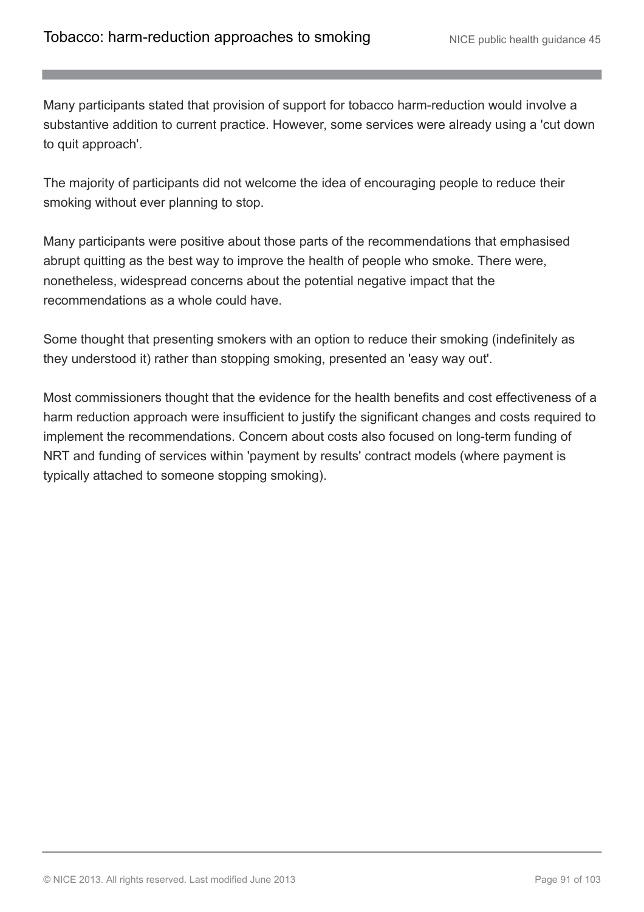Many participants stated that provision of support for tobacco harm-reduction would involve a substantive addition to current practice. However, some services were already using a 'cut down to quit approach'.

The majority of participants did not welcome the idea of encouraging people to reduce their smoking without ever planning to stop.

Many participants were positive about those parts of the recommendations that emphasised abrupt quitting as the best way to improve the health of people who smoke. There were, nonetheless, widespread concerns about the potential negative impact that the recommendations as a whole could have.

Some thought that presenting smokers with an option to reduce their smoking (indefinitely as they understood it) rather than stopping smoking, presented an 'easy way out'.

Most commissioners thought that the evidence for the health benefits and cost effectiveness of a harm reduction approach were insufficient to justify the significant changes and costs required to implement the recommendations. Concern about costs also focused on long-term funding of NRT and funding of services within 'payment by results' contract models (where payment is typically attached to someone stopping smoking).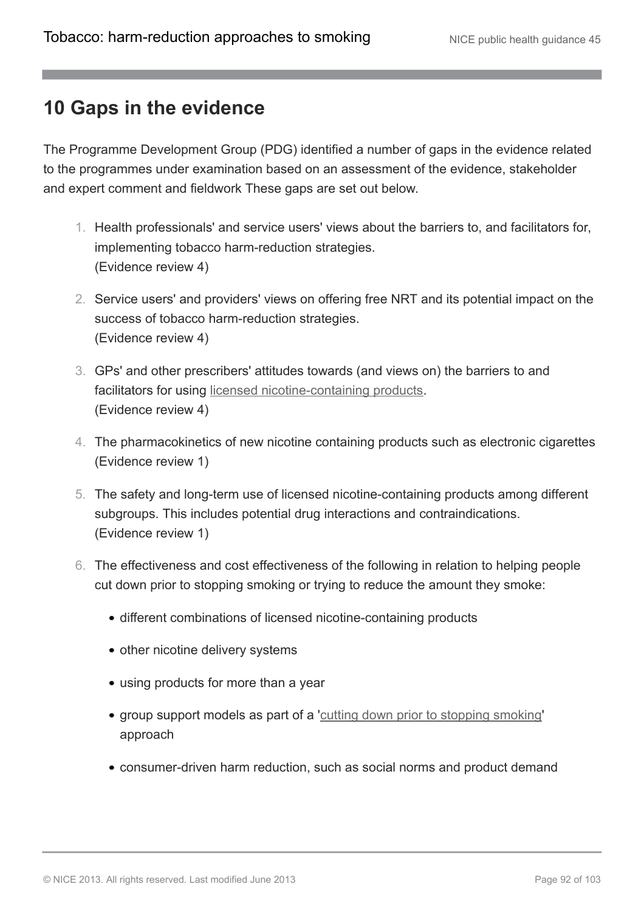## **10 Gaps in the evidence**

The Programme Development Group (PDG) identified a number of gaps in the evidence related to the programmes under examination based on an assessment of the evidence, stakeholder and expert comment and fieldwork These gaps are set out below.

- 1. Health professionals' and service users' views about the barriers to, and facilitators for, implementing tobacco harm-reduction strategies. (Evidence review 4)
- 2. Service users' and providers' views on offering free NRT and its potential impact on the success of tobacco harm-reduction strategies. (Evidence review 4)
- 3. GPs' and other prescribers' attitudes towards (and views on) the barriers to and facilitators for using [licensed nicotine-containing products.](http://publications.nice.org.uk/tobacco-harm-reduction-approaches-to-smoking-ph45/glossary#licensed-nicotine-containing-products) (Evidence review 4)
- 4. The pharmacokinetics of new nicotine containing products such as electronic cigarettes (Evidence review 1)
- 5. The safety and long-term use of licensed nicotine-containing products among different subgroups. This includes potential drug interactions and contraindications. (Evidence review 1)
- 6. The effectiveness and cost effectiveness of the following in relation to helping people cut down prior to stopping smoking or trying to reduce the amount they smoke:
	- different combinations of licensed nicotine-containing products
	- other nicotine delivery systems
	- using products for more than a year
	- group support models as part of a '[cutting down prior to stopping smoking](http://publications.nice.org.uk/tobacco-harm-reduction-approaches-to-smoking-ph45/glossary#cutting-down-prior-to-stopping-cut-down-to-quit)' approach
	- consumer-driven harm reduction, such as social norms and product demand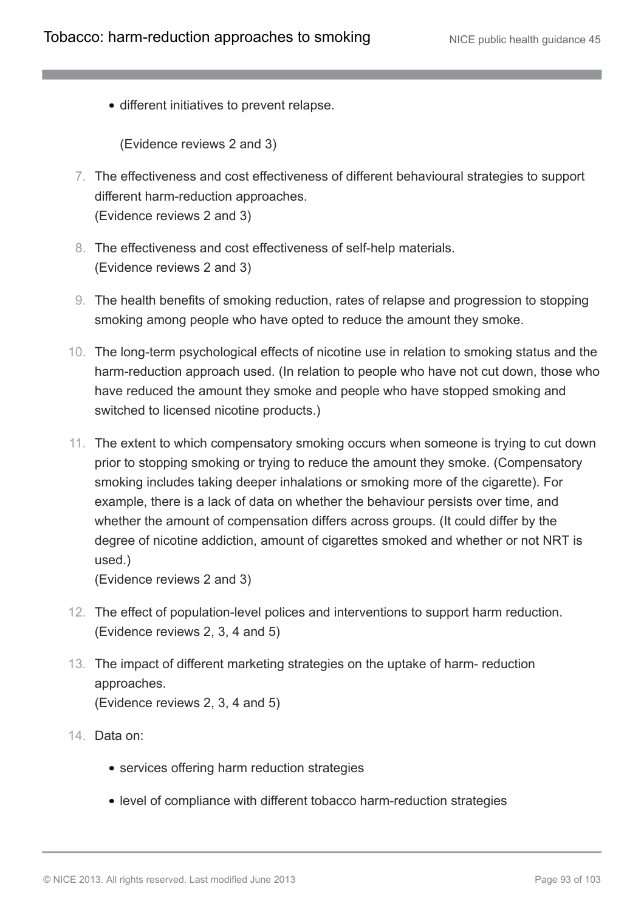different initiatives to prevent relapse.

(Evidence reviews 2 and 3)

- 7. The effectiveness and cost effectiveness of different behavioural strategies to support different harm-reduction approaches. (Evidence reviews 2 and 3)
- 8. The effectiveness and cost effectiveness of self-help materials. (Evidence reviews 2 and 3)
- 9. The health benefits of smoking reduction, rates of relapse and progression to stopping smoking among people who have opted to reduce the amount they smoke.
- 10. The long-term psychological effects of nicotine use in relation to smoking status and the harm-reduction approach used. (In relation to people who have not cut down, those who have reduced the amount they smoke and people who have stopped smoking and switched to licensed nicotine products.)
- 11. The extent to which compensatory smoking occurs when someone is trying to cut down prior to stopping smoking or trying to reduce the amount they smoke. (Compensatory smoking includes taking deeper inhalations or smoking more of the cigarette). For example, there is a lack of data on whether the behaviour persists over time, and whether the amount of compensation differs across groups. (It could differ by the degree of nicotine addiction, amount of cigarettes smoked and whether or not NRT is used.)

(Evidence reviews 2 and 3)

- 12. The effect of population-level polices and interventions to support harm reduction. (Evidence reviews 2, 3, 4 and 5)
- 13. The impact of different marketing strategies on the uptake of harm- reduction approaches. (Evidence reviews 2, 3, 4 and 5)
- 14. Data on:
	- services offering harm reduction strategies
	- level of compliance with different tobacco harm-reduction strategies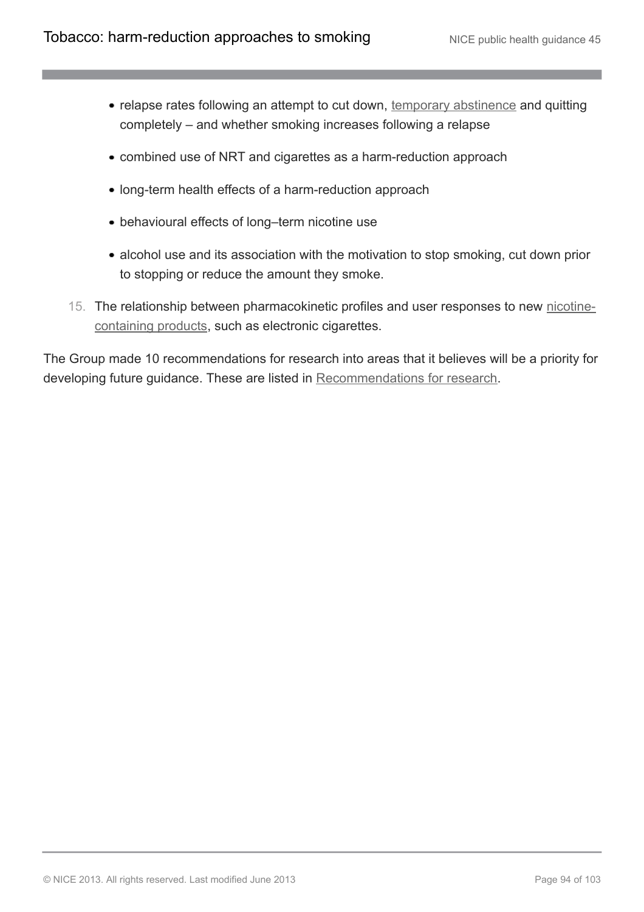- relapse rates following an attempt to cut down, [temporary abstinence](http://publications.nice.org.uk/tobacco-harm-reduction-approaches-to-smoking-ph45/glossary#temporary-abstinence) and quitting completely – and whether smoking increases following a relapse
- combined use of NRT and cigarettes as a harm-reduction approach
- long-term health effects of a harm-reduction approach
- behavioural effects of long–term nicotine use
- alcohol use and its association with the motivation to stop smoking, cut down prior to stopping or reduce the amount they smoke.
- 15. The relationship between pharmacokinetic profiles and user responses to new [nicotine](http://publications.nice.org.uk/tobacco-harm-reduction-approaches-to-smoking-ph45/glossary#nicotine-containing-products-2)[containing products,](http://publications.nice.org.uk/tobacco-harm-reduction-approaches-to-smoking-ph45/glossary#nicotine-containing-products-2) such as electronic cigarettes.

The Group made 10 recommendations for research into areas that it believes will be a priority for developing future guidance. These are listed in [Recommendations for research.](http://publications.nice.org.uk/tobacco-harm-reduction-approaches-to-smoking-ph45/recommendations-for-research)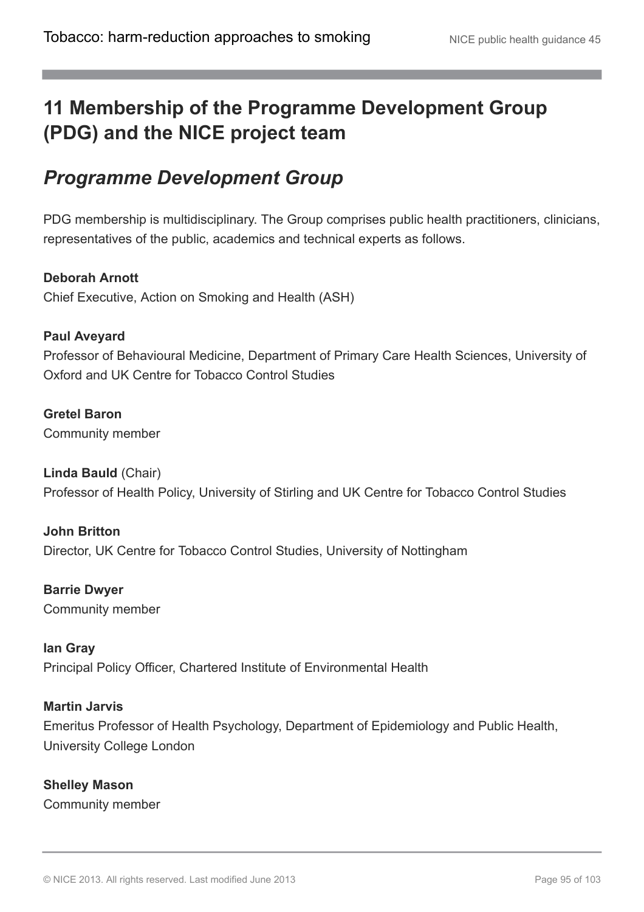# **11 Membership of the Programme Development Group (PDG) and the NICE project team**

# *Programme Development Group*

PDG membership is multidisciplinary. The Group comprises public health practitioners, clinicians, representatives of the public, academics and technical experts as follows.

## **Deborah Arnott**

Chief Executive, Action on Smoking and Health (ASH)

### **Paul Aveyard**

Professor of Behavioural Medicine, Department of Primary Care Health Sciences, University of Oxford and UK Centre for Tobacco Control Studies

#### **Gretel Baron**

Community member

#### **Linda Bauld** (Chair) Professor of Health Policy, University of Stirling and UK Centre for Tobacco Control Studies

**John Britton** Director, UK Centre for Tobacco Control Studies, University of Nottingham

**Barrie Dwyer** Community member

## **Ian Gray**

Principal Policy Officer, Chartered Institute of Environmental Health

#### **Martin Jarvis**

Emeritus Professor of Health Psychology, Department of Epidemiology and Public Health, University College London

**Shelley Mason** Community member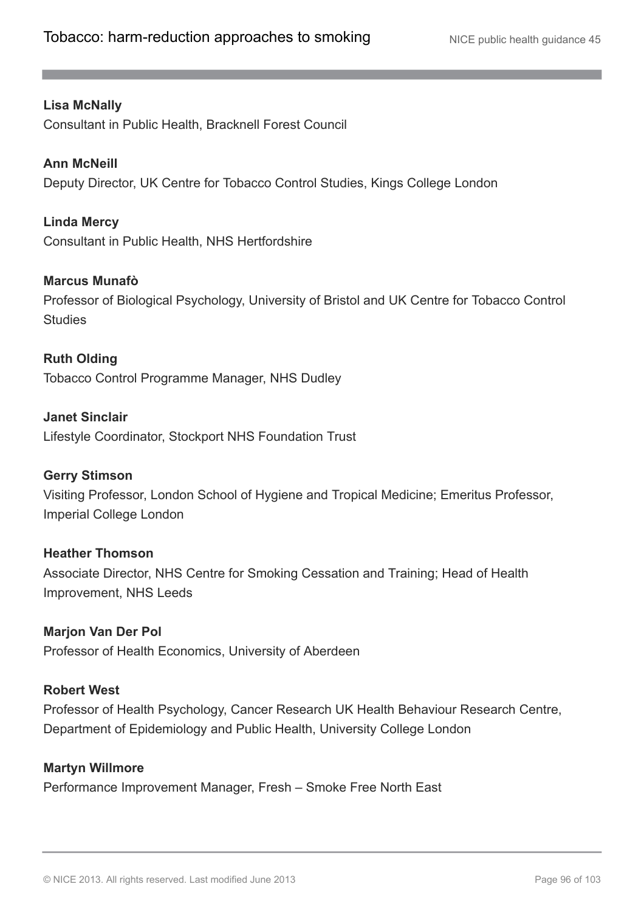#### **Lisa McNally**

Consultant in Public Health, Bracknell Forest Council

#### **Ann McNeill**

Deputy Director, UK Centre for Tobacco Control Studies, Kings College London

#### **Linda Mercy**

Consultant in Public Health, NHS Hertfordshire

#### **Marcus Munafò**

Professor of Biological Psychology, University of Bristol and UK Centre for Tobacco Control **Studies** 

#### **Ruth Olding**

Tobacco Control Programme Manager, NHS Dudley

#### **Janet Sinclair**

Lifestyle Coordinator, Stockport NHS Foundation Trust

#### **Gerry Stimson**

Visiting Professor, London School of Hygiene and Tropical Medicine; Emeritus Professor, Imperial College London

#### **Heather Thomson**

Associate Director, NHS Centre for Smoking Cessation and Training; Head of Health Improvement, NHS Leeds

#### **Marjon Van Der Pol**

Professor of Health Economics, University of Aberdeen

#### **Robert West**

Professor of Health Psychology, Cancer Research UK Health Behaviour Research Centre, Department of Epidemiology and Public Health, University College London

#### **Martyn Willmore**

Performance Improvement Manager, Fresh – Smoke Free North East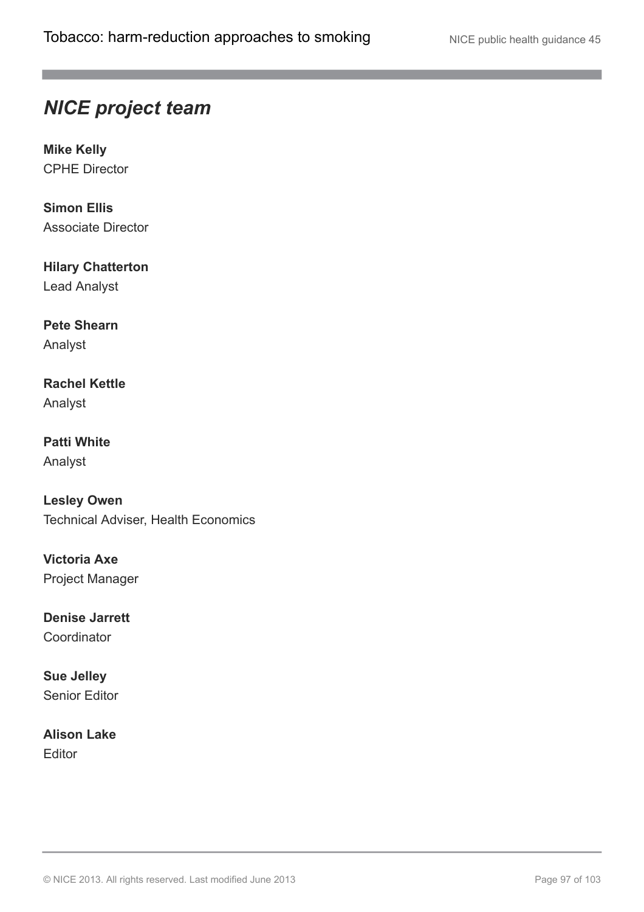## *NICE project team*

**Mike Kelly** CPHE Director

**Simon Ellis** Associate Director

**Hilary Chatterton** Lead Analyst

**Pete Shearn** Analyst

**Rachel Kettle** Analyst

**Patti White** Analyst

**Lesley Owen** Technical Adviser, Health Economics

**Victoria Axe** Project Manager

**Denise Jarrett Coordinator** 

**Sue Jelley** Senior Editor

**Alison Lake** Editor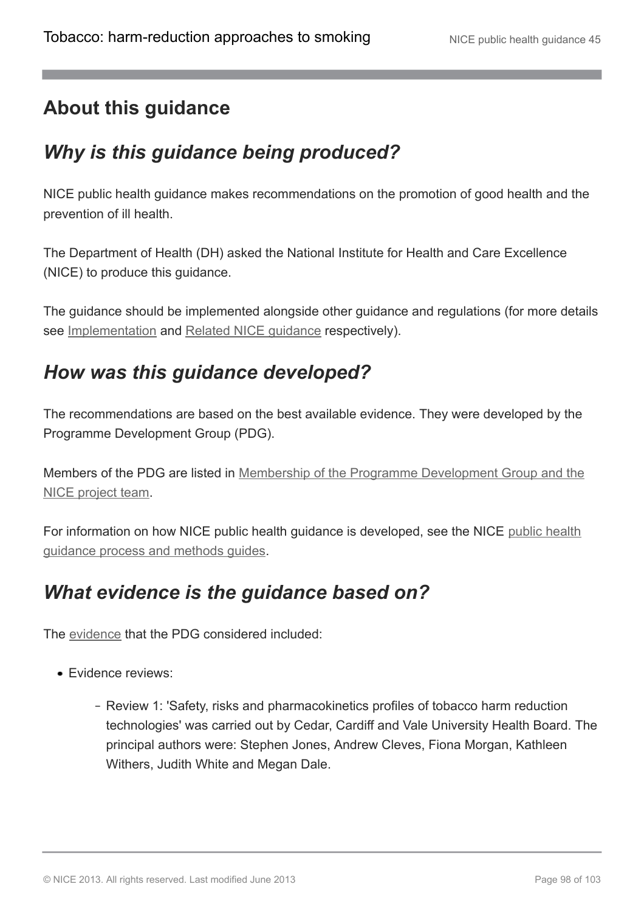# **About this guidance**

# *Why is this guidance being produced?*

NICE public health guidance makes recommendations on the promotion of good health and the prevention of ill health.

The Department of Health (DH) asked the National Institute for Health and Care Excellence (NICE) to produce this guidance.

The guidance should be implemented alongside other guidance and regulations (for more details see [Implementation](http://publications.nice.org.uk/tobacco-harm-reduction-approaches-to-smoking-ph45/about-this-guidance#implementation) and [Related NICE guidance](http://publications.nice.org.uk/tobacco-harm-reduction-approaches-to-smoking-ph45/related-nice-guidance) respectively).

## *How was this guidance developed?*

The recommendations are based on the best available evidence. They were developed by the Programme Development Group (PDG).

Members of the PDG are listed in [Membership of the Programme Development Group and the](http://publications.nice.org.uk/tobacco-harm-reduction-approaches-to-smoking-ph45/membership-of-the-programme-development-group-pdg-and-the-nice-project-team) [NICE project team](http://publications.nice.org.uk/tobacco-harm-reduction-approaches-to-smoking-ph45/membership-of-the-programme-development-group-pdg-and-the-nice-project-team).

For information on how NICE public health guidance is developed, see the NICE [public health](http://www.nice.org.uk/aboutnice/howwework/developingnicepublichealthguidance/publichealthguidanceprocessandmethodguides/public_health_guidance_process_and_method_guides.jsp) [guidance process and methods guides](http://www.nice.org.uk/aboutnice/howwework/developingnicepublichealthguidance/publichealthguidanceprocessandmethodguides/public_health_guidance_process_and_method_guides.jsp).

# *What evidence is the guidance based on?*

The [evidence](http://guidance.nice.org.uk/ph45/supportingevidence) that the PDG considered included:

- **Evidence reviews:** 
	- Review 1: 'Safety, risks and pharmacokinetics profiles of tobacco harm reduction technologies' was carried out by Cedar, Cardiff and Vale University Health Board. The principal authors were: Stephen Jones, Andrew Cleves, Fiona Morgan, Kathleen Withers, Judith White and Megan Dale.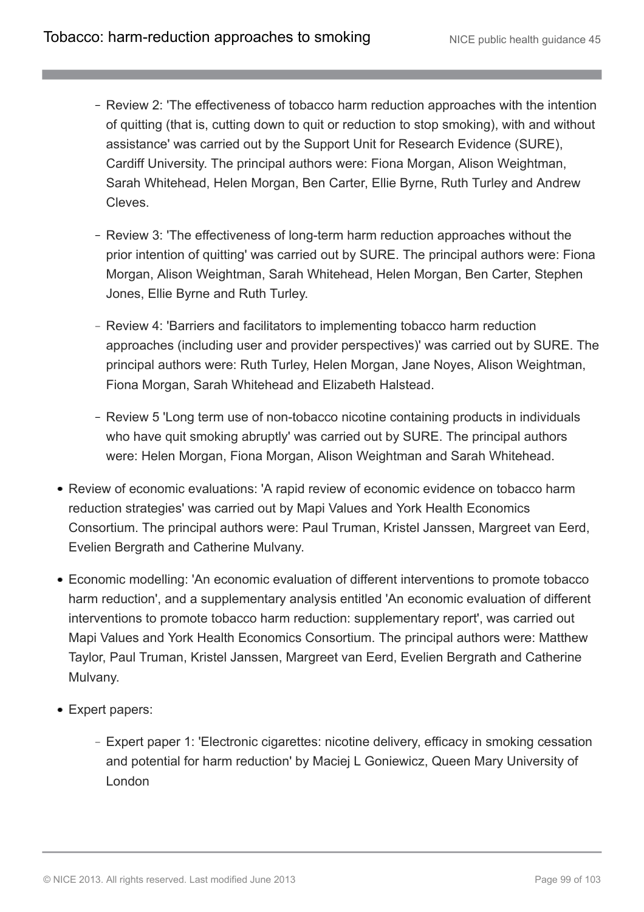- Review 2: 'The effectiveness of tobacco harm reduction approaches with the intention of quitting (that is, cutting down to quit or reduction to stop smoking), with and without assistance' was carried out by the Support Unit for Research Evidence (SURE), Cardiff University. The principal authors were: Fiona Morgan, Alison Weightman, Sarah Whitehead, Helen Morgan, Ben Carter, Ellie Byrne, Ruth Turley and Andrew Cleves.
- Review 3: 'The effectiveness of long-term harm reduction approaches without the prior intention of quitting' was carried out by SURE. The principal authors were: Fiona Morgan, Alison Weightman, Sarah Whitehead, Helen Morgan, Ben Carter, Stephen Jones, Ellie Byrne and Ruth Turley.
- Review 4: 'Barriers and facilitators to implementing tobacco harm reduction approaches (including user and provider perspectives)' was carried out by SURE. The principal authors were: Ruth Turley, Helen Morgan, Jane Noyes, Alison Weightman, Fiona Morgan, Sarah Whitehead and Elizabeth Halstead.
- Review 5 'Long term use of non-tobacco nicotine containing products in individuals who have quit smoking abruptly' was carried out by SURE. The principal authors were: Helen Morgan, Fiona Morgan, Alison Weightman and Sarah Whitehead.
- Review of economic evaluations: 'A rapid review of economic evidence on tobacco harm reduction strategies' was carried out by Mapi Values and York Health Economics Consortium. The principal authors were: Paul Truman, Kristel Janssen, Margreet van Eerd, Evelien Bergrath and Catherine Mulvany.
- Economic modelling: 'An economic evaluation of different interventions to promote tobacco harm reduction', and a supplementary analysis entitled 'An economic evaluation of different interventions to promote tobacco harm reduction: supplementary report', was carried out Mapi Values and York Health Economics Consortium. The principal authors were: Matthew Taylor, Paul Truman, Kristel Janssen, Margreet van Eerd, Evelien Bergrath and Catherine Mulvany.
- Expert papers:
	- Expert paper 1: 'Electronic cigarettes: nicotine delivery, efficacy in smoking cessation and potential for harm reduction' by Maciej L Goniewicz, Queen Mary University of London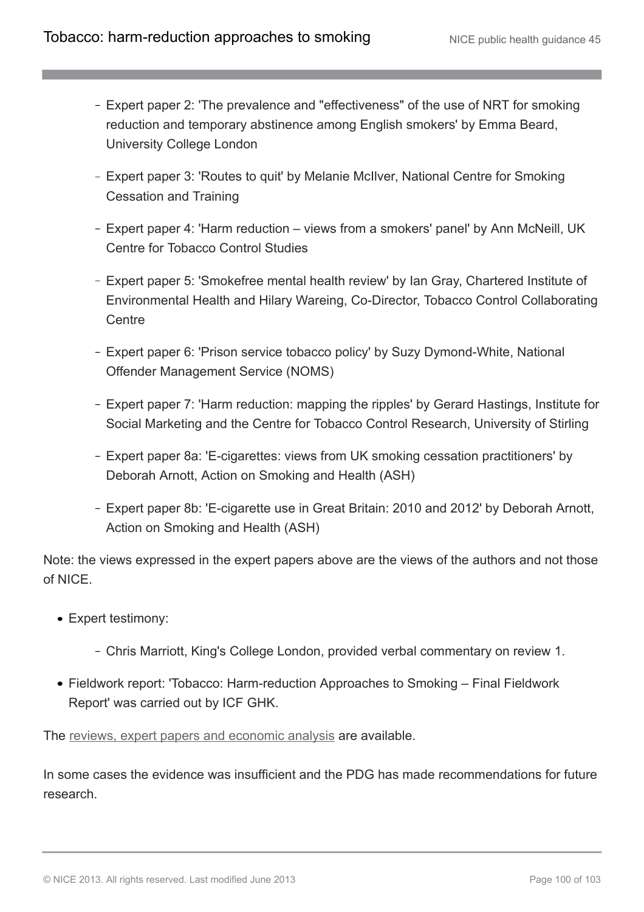- Expert paper 2: 'The prevalence and "effectiveness" of the use of NRT for smoking reduction and temporary abstinence among English smokers' by Emma Beard, University College London
- Expert paper 3: 'Routes to quit' by Melanie McIlver, National Centre for Smoking Cessation and Training
- Expert paper 4: 'Harm reduction views from a smokers' panel' by Ann McNeill, UK Centre for Tobacco Control Studies
- Expert paper 5: 'Smokefree mental health review' by Ian Gray, Chartered Institute of Environmental Health and Hilary Wareing, Co-Director, Tobacco Control Collaborating **Centre**
- Expert paper 6: 'Prison service tobacco policy' by Suzy Dymond-White, National Offender Management Service (NOMS)
- Expert paper 7: 'Harm reduction: mapping the ripples' by Gerard Hastings, Institute for Social Marketing and the Centre for Tobacco Control Research, University of Stirling
- Expert paper 8a: 'E-cigarettes: views from UK smoking cessation practitioners' by Deborah Arnott, Action on Smoking and Health (ASH)
- Expert paper 8b: 'E-cigarette use in Great Britain: 2010 and 2012' by Deborah Arnott, Action on Smoking and Health (ASH)

Note: the views expressed in the expert papers above are the views of the authors and not those of NICE.

- Expert testimony:
	- Chris Marriott, King's College London, provided verbal commentary on review 1.
- Fieldwork report: 'Tobacco: Harm-reduction Approaches to Smoking Final Fieldwork Report' was carried out by ICF GHK.

The [reviews, expert papers and economic analysis](http://guidance.nice.org.uk/PH45/supportingevidence) are available.

In some cases the evidence was insufficient and the PDG has made recommendations for future research.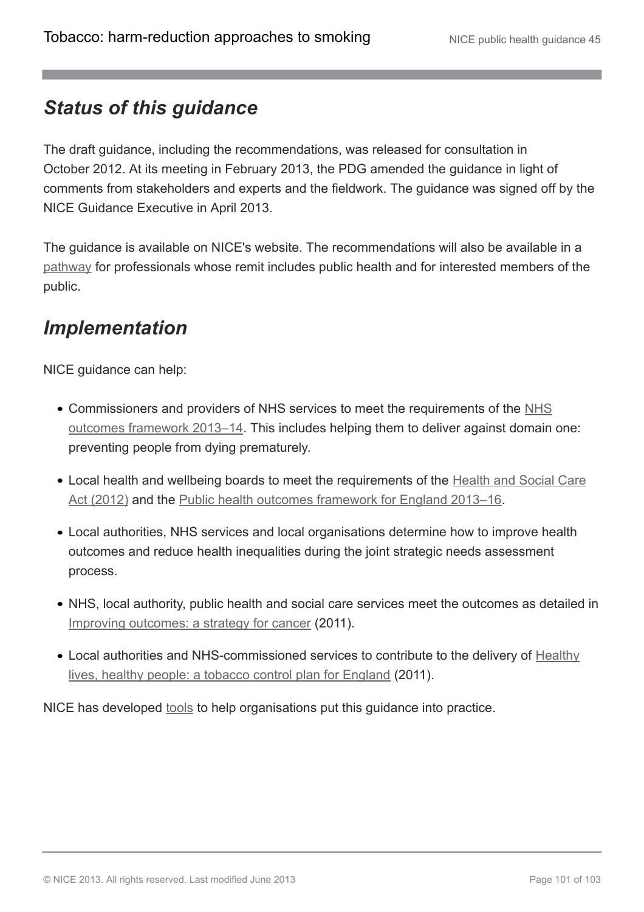# *Status of this guidance*

The draft guidance, including the recommendations, was released for consultation in October 2012. At its meeting in February 2013, the PDG amended the guidance in light of comments from stakeholders and experts and the fieldwork. The guidance was signed off by the NICE Guidance Executive in April 2013.

The guidance is available on NICE's website. The recommendations will also be available in a [pathway](http://pathways.nice.org.uk/pathways/smoking-tobacco-harm-reduction-approaches) for professionals whose remit includes public health and for interested members of the public.

# *Implementation*

NICE guidance can help:

- Commissioners and providers of [NHS](https://www.gov.uk/government/uploads/system/uploads/attachment_data/file/127106/121109-NHS-Outcomes-Framework-2013-14.pdf.pdf) services to meet the requirements of the NHS [outcomes framework 2013–14.](https://www.gov.uk/government/uploads/system/uploads/attachment_data/file/127106/121109-NHS-Outcomes-Framework-2013-14.pdf.pdf) This includes helping them to deliver against domain one: preventing people from dying prematurely.
- Local health and wellbeing boards to meet the requirements of the [Health and Social Care](http://www.legislation.gov.uk/ukpga/2012/7/contents/enacted) [Act \(2012\)](http://www.legislation.gov.uk/ukpga/2012/7/contents/enacted) and the [Public health outcomes framework for England 2013–16.](https://www.gov.uk/government/publications/public-health-outcomes-framework-update)
- Local authorities, NHS services and local organisations determine how to improve health outcomes and reduce health inequalities during the joint strategic needs assessment process.
- NHS, local authority, public health and social care services meet the outcomes as detailed in [Improving outcomes: a strategy for cancer](http://www.dh.gov.uk/en/Publicationsandstatistics/Publications/PublicationsPolicyAndGuidance/DH_123371) (2011).
- Local authorities and NHS-commissioned services to contribute to the delivery of [Healthy](http://www.dh.gov.uk/en/Publicationsandstatistics/Publications/PublicationsPolicyAndGuidance/DH_124917) [lives, healthy people: a tobacco control plan for England](http://www.dh.gov.uk/en/Publicationsandstatistics/Publications/PublicationsPolicyAndGuidance/DH_124917) (2011).

NICE has developed [tools](http://guidance.nice.org.uk/ph45) to help organisations put this guidance into practice.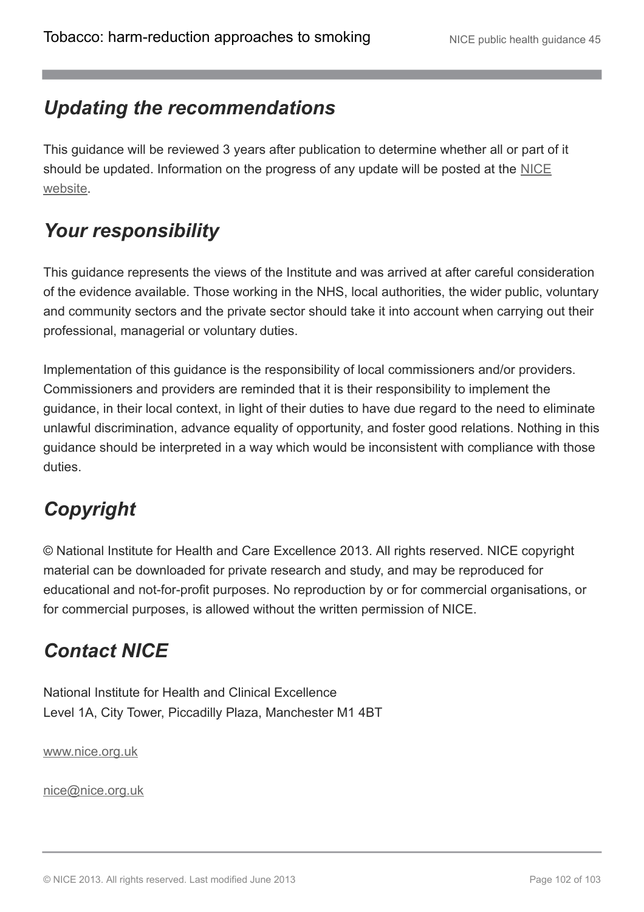# *Updating the recommendations*

This guidance will be reviewed 3 years after publication to determine whether all or part of it should be updated. Information on the progress of any update will be posted at the [NICE](http://www.nice.org.uk/) [website.](http://www.nice.org.uk/)

# *Your responsibility*

This guidance represents the views of the Institute and was arrived at after careful consideration of the evidence available. Those working in the NHS, local authorities, the wider public, voluntary and community sectors and the private sector should take it into account when carrying out their professional, managerial or voluntary duties.

Implementation of this guidance is the responsibility of local commissioners and/or providers. Commissioners and providers are reminded that it is their responsibility to implement the guidance, in their local context, in light of their duties to have due regard to the need to eliminate unlawful discrimination, advance equality of opportunity, and foster good relations. Nothing in this guidance should be interpreted in a way which would be inconsistent with compliance with those duties.

# *Copyright*

© National Institute for Health and Care Excellence 2013. All rights reserved. NICE copyright material can be downloaded for private research and study, and may be reproduced for educational and not-for-profit purposes. No reproduction by or for commercial organisations, or for commercial purposes, is allowed without the written permission of NICE.

# *Contact NICE*

National Institute for Health and Clinical Excellence Level 1A, City Tower, Piccadilly Plaza, Manchester M1 4BT

[www.nice.org.uk](http://www.nice.org.uk/)

[nice@nice.org.uk](mailto:nice@nice.org.uk)